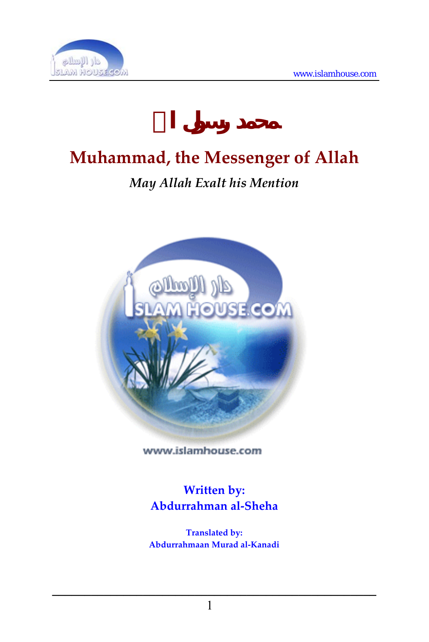

# **Muhammad, the Messenger of Allah**

### *May Allah Exalt his Mention*



www.islamhouse.com

**Written by: Abdurrahman al‐Sheha**

**Translated by: Abdurrahmaan Murad al‐Kanadi**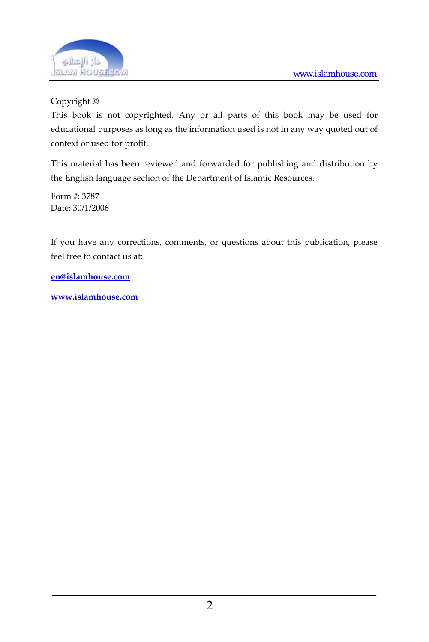

#### Copyright ©

This book is not copyrighted. Any or all parts of this book may be used for educational purposes as long as the information used is not in any way quoted out of context or used for profit.

This material has been reviewed and forwarded for publishing and distribution by the English language section of the Department of Islamic Resources.

Form #: 3787 Date: 30/1/2006

If you have any corrections, comments, or questions about this publication, please feel free to contact us at:

**[en@islamhouse.com](mailto:en@islamhouse.com)**

**[www.islamhouse.com](http://www.islamhouse.com/)**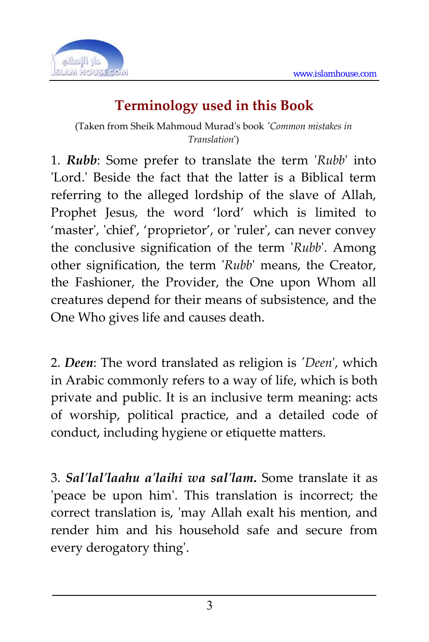

# **Terminology used in this Book**

(Taken from Sheik Mahmoud Muradʹs book *ʹCommon mistakes in Translation*ʹ)

1. *Rubb*: Some prefer to translate the term ʹ*Rubb*ʹ into ʹLord.ʹ Beside the fact that the latter is a Biblical term referring to the alleged lordship of the slave of Allah, Prophet Jesus, the word 'lord' which is limited to 'master', 'chief', 'proprietor', or 'ruler', can never convey the conclusive signification of the term ʹ*Rubb*ʹ. Among other signification, the term '*Rubb*' means, the Creator, the Fashioner, the Provider, the One upon Whom all creatures depend for their means of subsistence, and the One Who gives life and causes death.

2. *Deen*: The word translated as religion is *ʹDeen*ʹ, which in Arabic commonly refers to a way of life, which is both private and public. It is an inclusive term meaning: acts of worship, political practice, and a detailed code of conduct, including hygiene or etiquette matters.

3. *Salʹlalʹlaahu aʹlaihi wa salʹlam***.** Some translate it as 'peace be upon him'. This translation is incorrect; the correct translation is, 'may Allah exalt his mention, and render him and his household safe and secure from every derogatory thing'.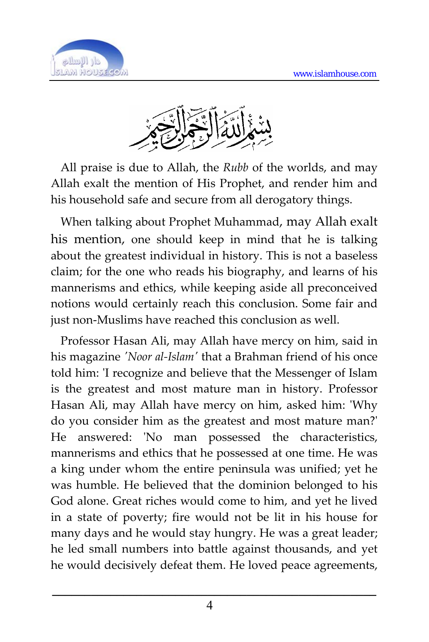



All praise is due to Allah, the *Rubb* of the worlds, and may Allah exalt the mention of His Prophet, and render him and his household safe and secure from all derogatory things.

When talking about Prophet Muhammad, may Allah exalt his mention, one should keep in mind that he is talking about the greatest individual in history. This is not a baseless claim; for the one who reads his biography, and learns of his mannerisms and ethics, while keeping aside all preconceived notions would certainly reach this conclusion. Some fair and just non‐Muslims have reached this conclusion as well.

Professor Hasan Ali, may Allah have mercy on him, said in his magazine *ʹNoor al‐Islamʹ* that a Brahman friend of his once told him: 'I recognize and believe that the Messenger of Islam is the greatest and most mature man in history. Professor Hasan Ali, may Allah have mercy on him, asked him: 'Why do you consider him as the greatest and most mature man?ʹ He answered: 'No man possessed the characteristics, mannerisms and ethics that he possessed at one time. He was a king under whom the entire peninsula was unified; yet he was humble. He believed that the dominion belonged to his God alone. Great riches would come to him, and yet he lived in a state of poverty; fire would not be lit in his house for many days and he would stay hungry. He was a great leader; he led small numbers into battle against thousands, and yet he would decisively defeat them. He loved peace agreements,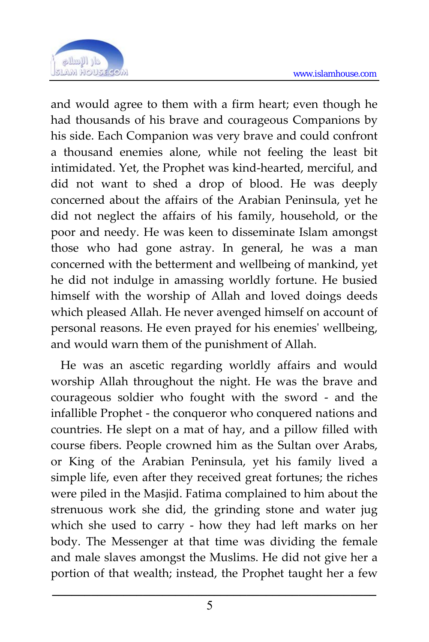

and would agree to them with a firm heart; even though he had thousands of his brave and courageous Companions by his side. Each Companion was very brave and could confront a thousand enemies alone, while not feeling the least bit intimidated. Yet, the Prophet was kind‐hearted, merciful, and did not want to shed a drop of blood. He was deeply concerned about the affairs of the Arabian Peninsula, yet he did not neglect the affairs of his family, household, or the poor and needy. He was keen to disseminate Islam amongst those who had gone astray. In general, he was a man concerned with the betterment and wellbeing of mankind, yet he did not indulge in amassing worldly fortune. He busied himself with the worship of Allah and loved doings deeds which pleased Allah. He never avenged himself on account of personal reasons. He even prayed for his enemiesʹ wellbeing, and would warn them of the punishment of Allah.

He was an ascetic regarding worldly affairs and would worship Allah throughout the night. He was the brave and courageous soldier who fought with the sword ‐ and the infallible Prophet ‐ the conqueror who conquered nations and countries. He slept on a mat of hay, and a pillow filled with course fibers. People crowned him as the Sultan over Arabs, or King of the Arabian Peninsula, yet his family lived a simple life, even after they received great fortunes; the riches were piled in the Masjid. Fatima complained to him about the strenuous work she did, the grinding stone and water jug which she used to carry - how they had left marks on her body. The Messenger at that time was dividing the female and male slaves amongst the Muslims. He did not give her a portion of that wealth; instead, the Prophet taught her a few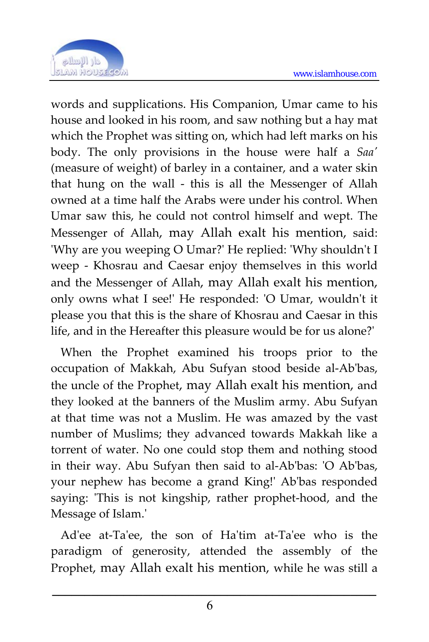

words and supplications. His Companion, Umar came to his house and looked in his room, and saw nothing but a hay mat which the Prophet was sitting on, which had left marks on his body. The only provisions in the house were half a *Saaʹ* (measure of weight) of barley in a container, and a water skin that hung on the wall - this is all the Messenger of Allah owned at a time half the Arabs were under his control. When Umar saw this, he could not control himself and wept. The Messenger of Allah, may Allah exalt his mention, said: 'Why are you weeping O Umar?' He replied: 'Why shouldn't I weep - Khosrau and Caesar enjoy themselves in this world and the Messenger of Allah, may Allah exalt his mention, only owns what I see!ʹ He responded: ʹO Umar, wouldnʹt it please you that this is the share of Khosrau and Caesar in this life, and in the Hereafter this pleasure would be for us alone?ʹ

When the Prophet examined his troops prior to the occupation of Makkah, Abu Sufyan stood beside al‐Abʹbas, the uncle of the Prophet, may Allah exalt his mention, and they looked at the banners of the Muslim army. Abu Sufyan at that time was not a Muslim. He was amazed by the vast number of Muslims; they advanced towards Makkah like a torrent of water. No one could stop them and nothing stood in their way. Abu Sufyan then said to al‐Abʹbas: ʹO Abʹbas, your nephew has become a grand King!ʹ Abʹbas responded saying: 'This is not kingship, rather prophet-hood, and the Message of Islam.'

Ad'ee at-Ta'ee, the son of Ha'tim at-Ta'ee who is the paradigm of generosity, attended the assembly of the Prophet, may Allah exalt his mention, while he was still a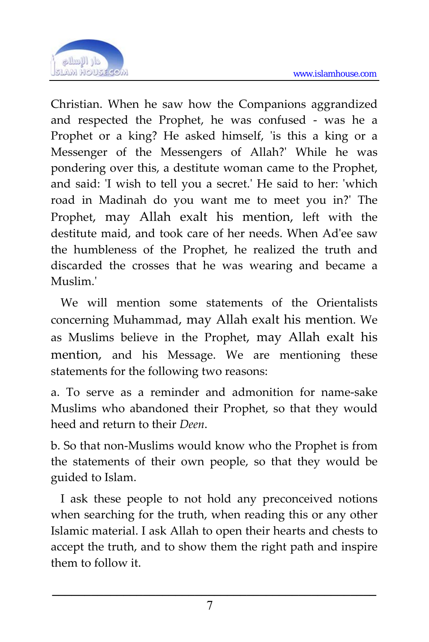

Christian. When he saw how the Companions aggrandized and respected the Prophet, he was confused - was he a Prophet or a king? He asked himself, 'is this a king or a Messenger of the Messengers of Allah?ʹ While he was pondering over this, a destitute woman came to the Prophet, and said: 'I wish to tell you a secret.' He said to her: 'which road in Madinah do you want me to meet you in?ʹ The Prophet, may Allah exalt his mention, left with the destitute maid, and took care of her needs. When Adʹee saw the humbleness of the Prophet, he realized the truth and discarded the crosses that he was wearing and became a Muslim<sup>'</sup>

We will mention some statements of the Orientalists concerning Muhammad, may Allah exalt his mention. We as Muslims believe in the Prophet, may Allah exalt his mention, and his Message. We are mentioning these statements for the following two reasons:

a. To serve as a reminder and admonition for name‐sake Muslims who abandoned their Prophet, so that they would heed and return to their *Deen*.

b. So that non‐Muslims would know who the Prophet is from the statements of their own people, so that they would be guided to Islam.

I ask these people to not hold any preconceived notions when searching for the truth, when reading this or any other Islamic material. I ask Allah to open their hearts and chests to accept the truth, and to show them the right path and inspire them to follow it.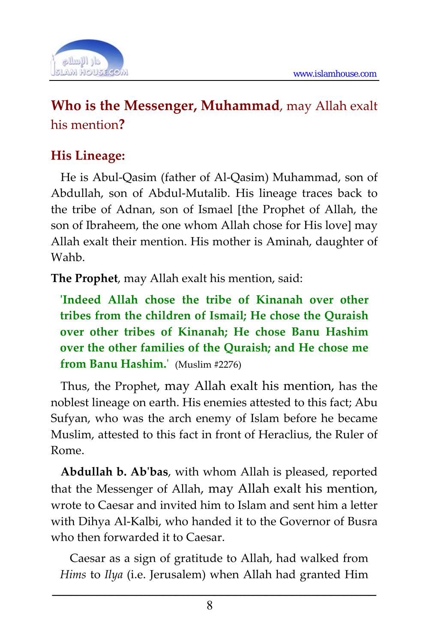

# **Who is the Messenger, Muhammad**, may Allah exalt his mention**?**

### **His Lineage:**

He is Abul‐Qasim (father of Al‐Qasim) Muhammad, son of Abdullah, son of Abdul‐Mutalib. His lineage traces back to the tribe of Adnan, son of Ismael [the Prophet of Allah, the son of Ibraheem, the one whom Allah chose for His love] may Allah exalt their mention. His mother is Aminah, daughter of Wahb.

**The Prophet**, may Allah exalt his mention, said:

**ʹIndeed Allah chose the tribe of Kinanah over other tribes from the children of Ismail; He chose the Quraish over other tribes of Kinanah; He chose Banu Hashim over the other families of the Quraish; and He chose me from Banu Hashim.**ʹ (Muslim #2276)

Thus, the Prophet, may Allah exalt his mention, has the noblest lineage on earth. His enemies attested to this fact; Abu Sufyan, who was the arch enemy of Islam before he became Muslim, attested to this fact in front of Heraclius, the Ruler of Rome.

**Abdullah b. Abʹbas**, with whom Allah is pleased, reported that the Messenger of Allah, may Allah exalt his mention, wrote to Caesar and invited him to Islam and sent him a letter with Dihya Al‐Kalbi, who handed it to the Governor of Busra who then forwarded it to Caesar.

Caesar as a sign of gratitude to Allah, had walked from *Hims* to *Ilya* (i.e. Jerusalem) when Allah had granted Him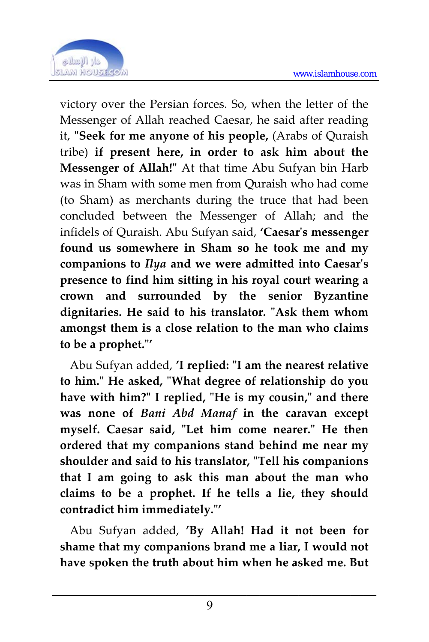

victory over the Persian forces. So, when the letter of the Messenger of Allah reached Caesar, he said after reading it, **ʺSeek for me anyone of his people,** (Arabs of Quraish tribe) **if present here, in order to ask him about the Messenger of Allah!ʺ** At that time Abu Sufyan bin Harb was in Sham with some men from Quraish who had come (to Sham) as merchants during the truce that had been concluded between the Messenger of Allah; and the infidels of Quraish. Abu Sufyan said, **'Caesarʹs messenger found us somewhere in Sham so he took me and my companions to** *Ilya* **and we were admitted into Caesarʹs presence to find him sitting in his royal court wearing a crown and surrounded by the senior Byzantine dignitaries. He said to his translator. ʺAsk them whom amongst them is a close relation to the man who claims to be a prophet.ʺ'** 

Abu Sufyan added, **'I replied: ʺI am the nearest relative to him.ʺ He asked, ʺWhat degree of relationship do you have with him?ʺ I replied, ʺHe is my cousin,ʺ and there was none of** *Bani Abd Manaf* **in the caravan except myself. Caesar said, ʺLet him come nearer.ʺ He then ordered that my companions stand behind me near my shoulder and said to his translator, ʺTell his companions that I am going to ask this man about the man who claims to be a prophet. If he tells a lie, they should contradict him immediately.ʺ'** 

Abu Sufyan added, **'By Allah! Had it not been for shame that my companions brand me a liar, I would not have spoken the truth about him when he asked me. But**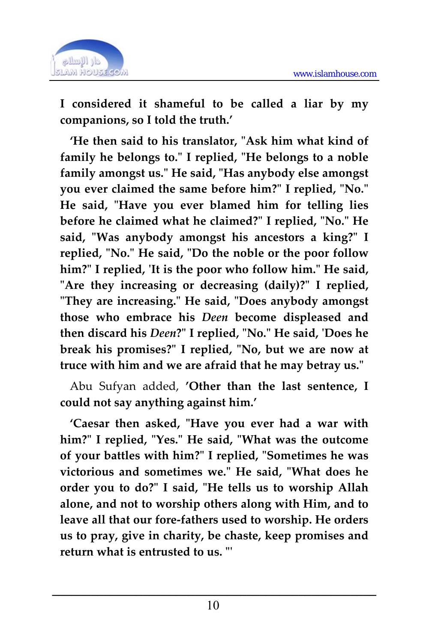

**I considered it shameful to be called a liar by my companions, so I told the truth.'** 

**'He then said to his translator, ʺAsk him what kind of family he belongs to.ʺ I replied, ʺHe belongs to a noble family amongst us.ʺ He said, ʺHas anybody else amongst you ever claimed the same before him?ʺ I replied, ʺNo.ʺ He said, ʺHave you ever blamed him for telling lies before he claimed what he claimed?ʺ I replied, ʺNo.ʺ He said, ʺWas anybody amongst his ancestors a king?ʺ I replied, ʺNo.ʺ He said, ʺDo the noble or the poor follow him?ʺ I replied, ʹIt is the poor who follow him.ʺ He said, ʺAre they increasing or decreasing (daily)?ʺ I replied, ʺThey are increasing.ʺ He said, ʺDoes anybody amongst those who embrace his** *Deen* **become displeased and then discard his** *Deen***?ʺ I replied, ʺNo.ʺ He said, ʹDoes he break his promises?ʺ I replied, ʺNo, but we are now at truce with him and we are afraid that he may betray us.ʺ** 

Abu Sufyan added, **'Other than the last sentence, I could not say anything against him.'** 

**'Caesar then asked, ʺHave you ever had a war with him?ʺ I replied, ʺYes.ʺ He said, ʺWhat was the outcome of your battles with him?ʺ I replied, ʺSometimes he was victorious and sometimes we.ʺ He said, ʺWhat does he order you to do?ʺ I said, ʺHe tells us to worship Allah alone, and not to worship others along with Him, and to leave all that our fore‐fathers used to worship. He orders us to pray, give in charity, be chaste, keep promises and return what is entrusted to us. ʺʹ**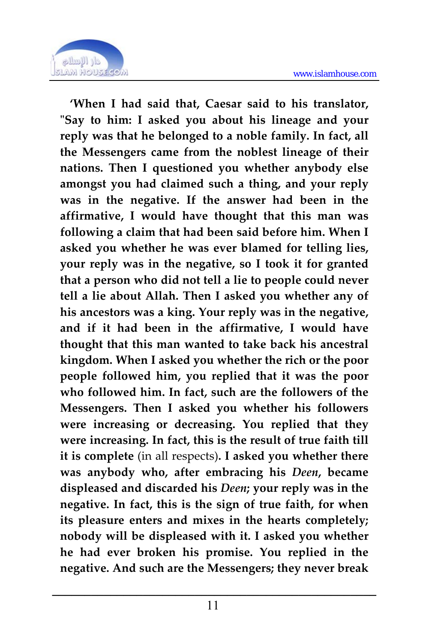

**'When I had said that, Caesar said to his translator, ʺSay to him: I asked you about his lineage and your reply was that he belonged to a noble family. In fact, all the Messengers came from the noblest lineage of their nations. Then I questioned you whether anybody else amongst you had claimed such a thing, and your reply was in the negative. If the answer had been in the affirmative, I would have thought that this man was following a claim that had been said before him. When I asked you whether he was ever blamed for telling lies, your reply was in the negative, so I took it for granted that a person who did not tell a lie to people could never tell a lie about Allah. Then I asked you whether any of his ancestors was a king. Your reply was in the negative, and if it had been in the affirmative, I would have thought that this man wanted to take back his ancestral kingdom. When I asked you whether the rich or the poor people followed him, you replied that it was the poor who followed him. In fact, such are the followers of the Messengers. Then I asked you whether his followers were increasing or decreasing. You replied that they were increasing. In fact, this is the result of true faith till it is complete** (in all respects)**. I asked you whether there was anybody who, after embracing his** *Deen***, became displeased and discarded his** *Deen***; your reply was in the negative. In fact, this is the sign of true faith, for when its pleasure enters and mixes in the hearts completely; nobody will be displeased with it. I asked you whether he had ever broken his promise. You replied in the negative. And such are the Messengers; they never break**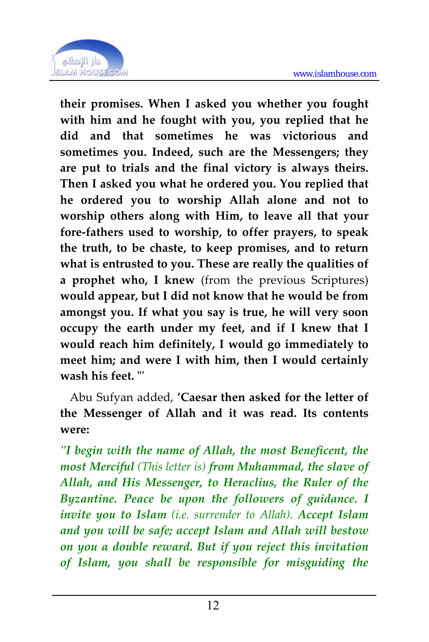

**their promises. When I asked you whether you fought with him and he fought with you, you replied that he did and that sometimes he was victorious and sometimes you. Indeed, such are the Messengers; they are put to trials and the final victory is always theirs. Then I asked you what he ordered you. You replied that he ordered you to worship Allah alone and not to worship others along with Him, to leave all that your fore‐fathers used to worship, to offer prayers, to speak the truth, to be chaste, to keep promises, and to return what is entrusted to you. These are really the qualities of a prophet who, I knew** (from the previous Scriptures) **would appear, but I did not know that he would be from amongst you. If what you say is true, he will very soon occupy the earth under my feet, and if I knew that I would reach him definitely, I would go immediately to meet him; and were I with him, then I would certainly wash his feet. ʺʹ** 

Abu Sufyan added, **'Caesar then asked for the letter of the Messenger of Allah and it was read. Its contents were:** 

*ʺI begin with the name of Allah, the most Beneficent, the most Merciful (This letter is) from Muhammad, the slave of Allah, and His Messenger, to Heraclius, the Ruler of the Byzantine. Peace be upon the followers of guidance. I invite you to Islam (i.e. surrender to Allah). Accept Islam and you will be safe; accept Islam and Allah will bestow on you a double reward. But if you reject this invitation of Islam, you shall be responsible for misguiding the*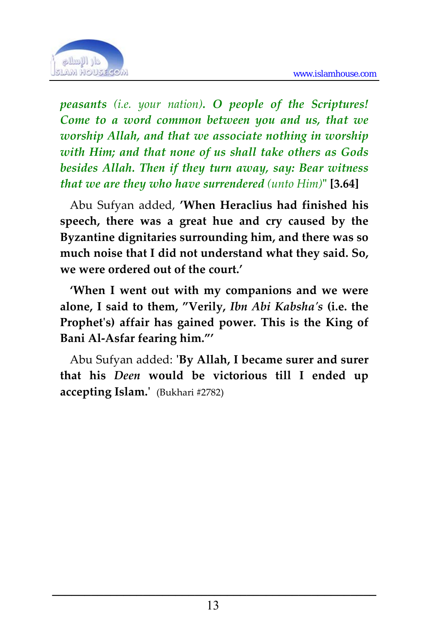

*peasants (i.e. your nation). O people of the Scriptures! Come to a word common between you and us, that we worship Allah, and that we associate nothing in worship with Him; and that none of us shall take others as Gods besides Allah. Then if they turn away, say: Bear witness that we are they who have surrendered (unto Him)***ʺ [3.64]**

Abu Sufyan added, **'When Heraclius had finished his speech, there was a great hue and cry caused by the Byzantine dignitaries surrounding him, and there was so much noise that I did not understand what they said. So, we were ordered out of the court.'** 

**'When I went out with my companions and we were alone, I said to them, "Verily,** *Ibn Abi Kabshaʹs* **(i.e. the Prophetʹs) affair has gained power. This is the King of Bani Al‐Asfar fearing him."'** 

Abu Sufyan added: **ʹBy Allah, I became surer and surer that his** *Deen* **would be victorious till I ended up accepting Islam.ʹ** (Bukhari #2782)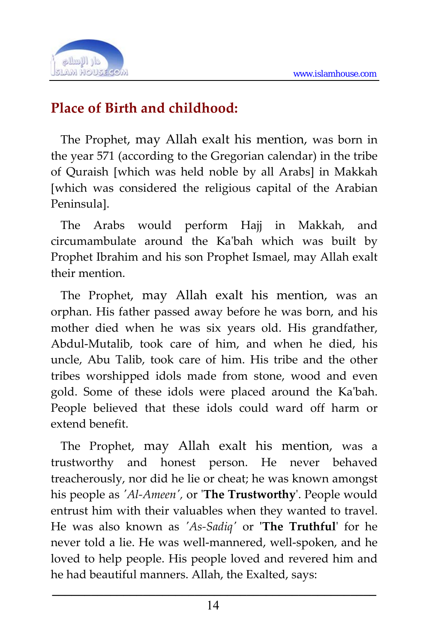

### **Place of Birth and childhood:**

The Prophet, may Allah exalt his mention, was born in the year 571 (according to the Gregorian calendar) in the tribe of Quraish [which was held noble by all Arabs] in Makkah [which was considered the religious capital of the Arabian Peninsula].

The Arabs would perform Hajj in Makkah, and circumambulate around the Kaʹbah which was built by Prophet Ibrahim and his son Prophet Ismael, may Allah exalt their mention.

The Prophet, may Allah exalt his mention, was an orphan. His father passed away before he was born, and his mother died when he was six years old. His grandfather, Abdul‐Mutalib, took care of him, and when he died, his uncle, Abu Talib, took care of him. His tribe and the other tribes worshipped idols made from stone, wood and even gold. Some of these idols were placed around the Ka'bah. People believed that these idols could ward off harm or extend benefit.

The Prophet, may Allah exalt his mention, was a trustworthy and honest person. He never behaved treacherously, nor did he lie or cheat; he was known amongst his people as *ʹAl‐Ameenʹ,* or ʹ**The Trustworthy**ʹ. People would entrust him with their valuables when they wanted to travel. He was also known as *ʹAs‐Sadiqʹ* or **ʹThe Truthful**ʹ for he never told a lie. He was well-mannered, well-spoken, and he loved to help people. His people loved and revered him and he had beautiful manners. Allah, the Exalted, says: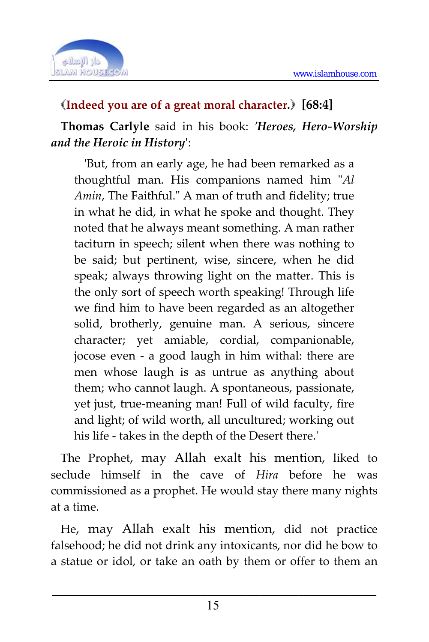

#### **Indeed you are of a great moral character. [68:4]**

**Thomas Carlyle** said in his book: *ʹHeroes, Hero‐Worship and the Heroic in History***ʹ**:

'But, from an early age, he had been remarked as a thoughtful man. His companions named him "Al *Amin*, The Faithful." A man of truth and fidelity; true in what he did, in what he spoke and thought. They noted that he always meant something. A man rather taciturn in speech; silent when there was nothing to be said; but pertinent, wise, sincere, when he did speak; always throwing light on the matter. This is the only sort of speech worth speaking! Through life we find him to have been regarded as an altogether solid, brotherly, genuine man. A serious, sincere character; yet amiable, cordial, companionable, jocose even - a good laugh in him withal: there are men whose laugh is as untrue as anything about them; who cannot laugh. A spontaneous, passionate, yet just, true‐meaning man! Full of wild faculty, fire and light; of wild worth, all uncultured; working out his life - takes in the depth of the Desert there.'

The Prophet, may Allah exalt his mention, liked to seclude himself in the cave of *Hira* before he was commissioned as a prophet. He would stay there many nights at a time.

He, may Allah exalt his mention, did not practice falsehood; he did not drink any intoxicants, nor did he bow to a statue or idol, or take an oath by them or offer to them an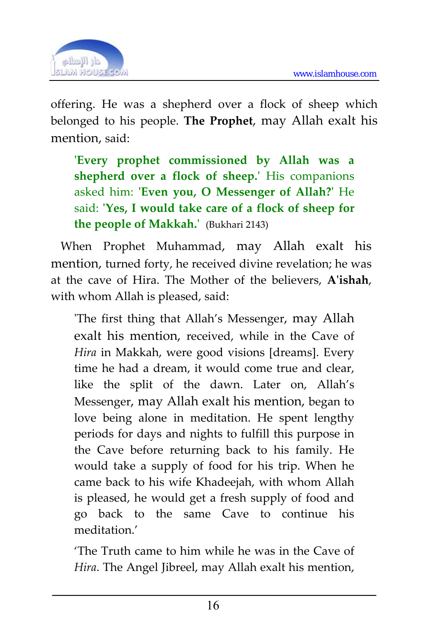

offering. He was a shepherd over a flock of sheep which belonged to his people. **The Prophet**, may Allah exalt his mention, said:

**ʹEvery prophet commissioned by Allah was a shepherd over a flock of sheep.ʹ**  His companions asked him: **ʹEven you, O Messenger of Allah?ʹ**  He said: **ʹYes, I would take care of a flock of sheep for the people of Makkah.ʹ** (Bukhari 2143)

When Prophet Muhammad, may Allah exalt his mention, turned forty, he received divine revelation; he was at the cave of Hira. The Mother of the believers, **Aʹishah**, with whom Allah is pleased, said:

ʹThe first thing that Allah's Messenger, may Allah exalt his mention, received, while in the Cave of *Hira* in Makkah, were good visions [dreams]. Every time he had a dream, it would come true and clear, like the split of the dawn. Later on, Allah's Messenger, may Allah exalt his mention, began to love being alone in meditation. He spent lengthy periods for days and nights to fulfill this purpose in the Cave before returning back to his family. He would take a supply of food for his trip. When he came back to his wife Khadeejah, with whom Allah is pleased, he would get a fresh supply of food and go back to the same Cave to continue his meditation.'

'The Truth came to him while he was in the Cave of *Hira*. The Angel Jibreel, may Allah exalt his mention,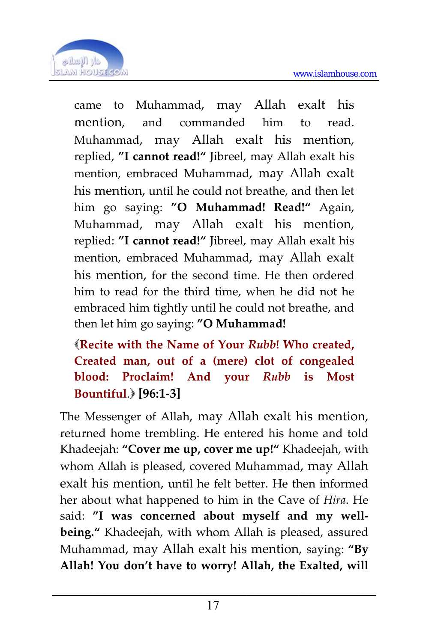

came to Muhammad, may Allah exalt his mention, and commanded him to read. Muhammad, may Allah exalt his mention, replied, **"I cannot read!"** Jibreel, may Allah exalt his mention, embraced Muhammad, may Allah exalt his mention, until he could not breathe, and then let him go saying: **"O Muhammad! Read!"** Again, Muhammad, may Allah exalt his mention, replied: **"I cannot read!"** Jibreel, may Allah exalt his mention, embraced Muhammad, may Allah exalt his mention, for the second time. He then ordered him to read for the third time, when he did not he embraced him tightly until he could not breathe, and then let him go saying: **"O Muhammad!** 

**Recite with the Name of Your** *Rubb***! Who created, Created man, out of a (mere) clot of congealed blood: Proclaim! And your** *Rubb* **is Most Bountiful**. **[96:1‐3]** 

The Messenger of Allah, may Allah exalt his mention, returned home trembling. He entered his home and told Khadeejah: **"Cover me up, cover me up!"** Khadeejah, with whom Allah is pleased, covered Muhammad, may Allah exalt his mention, until he felt better. He then informed her about what happened to him in the Cave of *Hira*. He said: **"I was concerned about myself and my well‐ being."** Khadeejah, with whom Allah is pleased, assured Muhammad, may Allah exalt his mention, saying: **"By Allah! You don't have to worry! Allah, the Exalted, will**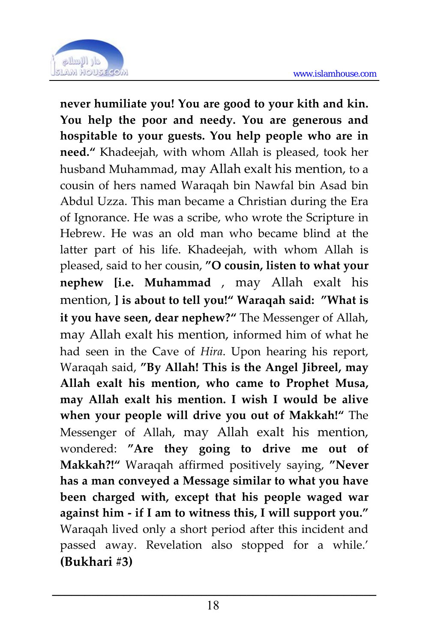

**never humiliate you! You are good to your kith and kin. You help the poor and needy. You are generous and hospitable to your guests. You help people who are in need."** Khadeejah, with whom Allah is pleased, took her husband Muhammad, may Allah exalt his mention, to a cousin of hers named Waraqah bin Nawfal bin Asad bin Abdul Uzza. This man became a Christian during the Era of Ignorance. He was a scribe, who wrote the Scripture in Hebrew. He was an old man who became blind at the latter part of his life. Khadeejah, with whom Allah is pleased, said to her cousin, **"O cousin, listen to what your nephew [i.e. Muhammad** , may Allah exalt his mention, **] is about to tell you!" Waraqah said: "What is it you have seen, dear nephew?"** The Messenger of Allah, may Allah exalt his mention, informed him of what he had seen in the Cave of *Hira*. Upon hearing his report, Waraqah said, **"By Allah! This is the Angel Jibreel, may Allah exalt his mention, who came to Prophet Musa, may Allah exalt his mention. I wish I would be alive when your people will drive you out of Makkah!"** The Messenger of Allah, may Allah exalt his mention, wondered: **"Are they going to drive me out of Makkah?!"** Waraqah affirmed positively saying, **"Never has a man conveyed a Message similar to what you have been charged with, except that his people waged war against him ‐ if I am to witness this, I will support you."** Waraqah lived only a short period after this incident and passed away. Revelation also stopped for a while.' **(Bukhari #3)**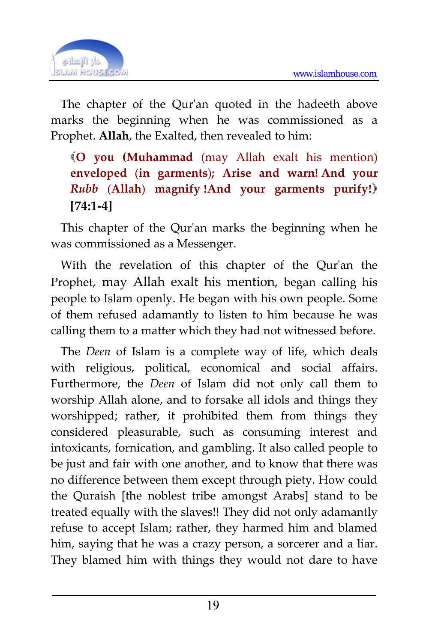

The chapter of the Qur'an quoted in the hadeeth above marks the beginning when he was commissioned as a Prophet. **Allah**, the Exalted, then revealed to him:

**O you (Muhammad** (may Allah exalt his mention) **enveloped** (**in garments**)**; Arise and warn! And your** *Rubb* (**Allah**) **magnify !And your garments purify! [74:1‐4]**

This chapter of the Qur'an marks the beginning when he was commissioned as a Messenger.

With the revelation of this chapter of the Qur'an the Prophet, may Allah exalt his mention, began calling his people to Islam openly. He began with his own people. Some of them refused adamantly to listen to him because he was calling them to a matter which they had not witnessed before.

The *Deen* of Islam is a complete way of life, which deals with religious, political, economical and social affairs. Furthermore, the *Deen* of Islam did not only call them to worship Allah alone, and to forsake all idols and things they worshipped; rather, it prohibited them from things they considered pleasurable, such as consuming interest and intoxicants, fornication, and gambling. It also called people to be just and fair with one another, and to know that there was no difference between them except through piety. How could the Quraish [the noblest tribe amongst Arabs] stand to be treated equally with the slaves!! They did not only adamantly refuse to accept Islam; rather, they harmed him and blamed him, saying that he was a crazy person, a sorcerer and a liar. They blamed him with things they would not dare to have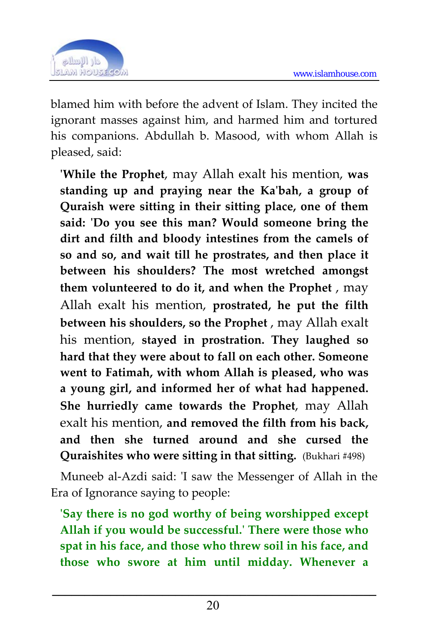

blamed him with before the advent of Islam. They incited the ignorant masses against him, and harmed him and tortured his companions. Abdullah b. Masood, with whom Allah is pleased, said:

**ʹWhile the Prophet**, may Allah exalt his mention, **was standing up and praying near the Kaʹbah, a group of Quraish were sitting in their sitting place, one of them said: ʹDo you see this man? Would someone bring the dirt and filth and bloody intestines from the camels of so and so, and wait till he prostrates, and then place it between his shoulders? The most wretched amongst them volunteered to do it, and when the Prophet** , may Allah exalt his mention, **prostrated, he put the filth between his shoulders, so the Prophet** , may Allah exalt his mention, **stayed in prostration. They laughed so hard that they were about to fall on each other. Someone went to Fatimah, with whom Allah is pleased, who was a young girl, and informed her of what had happened. She hurriedly came towards the Prophet**, may Allah exalt his mention, **and removed the filth from his back, and then she turned around and she cursed the Quraishites who were sitting in that sitting.** (Bukhari #498)

Muneeb al-Azdi said: 'I saw the Messenger of Allah in the Era of Ignorance saying to people:

**ʹSay there is no god worthy of being worshipped except Allah if you would be successful.ʹ There were those who spat in his face, and those who threw soil in his face, and those who swore at him until midday. Whenever a**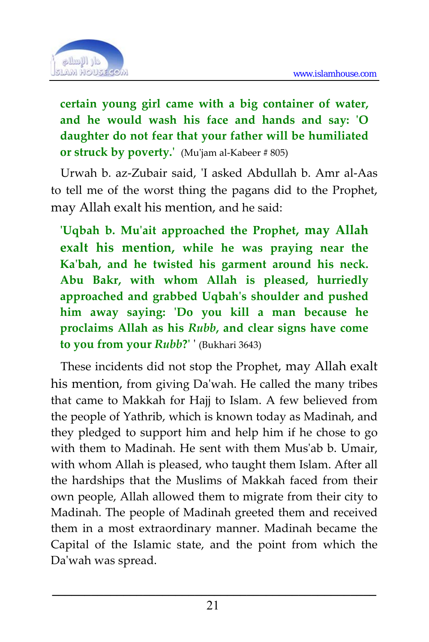

**certain young girl came with a big container of water, and he would wash his face and hands and say: ʹO daughter do not fear that your father will be humiliated or struck by poverty.ʹ** (Muʹjam al‐Kabeer # 805)

Urwah b. az‐Zubair said, ʹI asked Abdullah b. Amr al‐Aas to tell me of the worst thing the pagans did to the Prophet, may Allah exalt his mention, and he said:

**ʹUqbah b. Muʹait approached the Prophet, may Allah exalt his mention, while he was praying near the Kaʹbah, and he twisted his garment around his neck. Abu Bakr, with whom Allah is pleased, hurriedly approached and grabbed Uqbahʹs shoulder and pushed him away saying: ʹDo you kill a man because he proclaims Allah as his** *Rubb***, and clear signs have come to you from your** *Rubb***?ʹ** ʹ (Bukhari 3643)

These incidents did not stop the Prophet, may Allah exalt his mention, from giving Da'wah. He called the many tribes that came to Makkah for Hajj to Islam. A few believed from the people of Yathrib, which is known today as Madinah, and they pledged to support him and help him if he chose to go with them to Madinah. He sent with them Mus'ab b. Umair, with whom Allah is pleased, who taught them Islam. After all the hardships that the Muslims of Makkah faced from their own people, Allah allowed them to migrate from their city to Madinah. The people of Madinah greeted them and received them in a most extraordinary manner. Madinah became the Capital of the Islamic state, and the point from which the Da'wah was spread.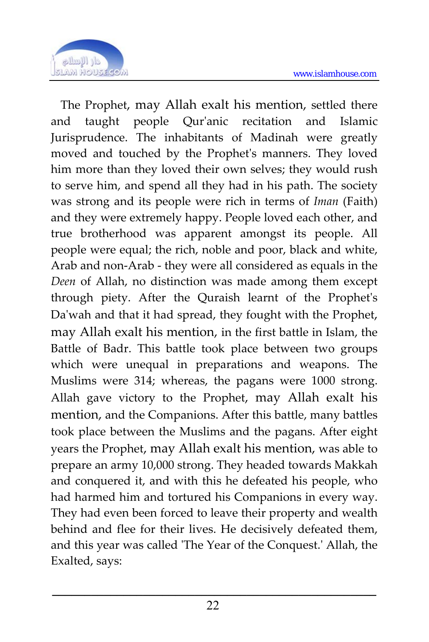

The Prophet, may Allah exalt his mention, settled there and taught people Qurʹanic recitation and Islamic Jurisprudence. The inhabitants of Madinah were greatly moved and touched by the Prophetʹs manners. They loved him more than they loved their own selves; they would rush to serve him, and spend all they had in his path. The society was strong and its people were rich in terms of *Iman* (Faith) and they were extremely happy. People loved each other, and true brotherhood was apparent amongst its people. All people were equal; the rich, noble and poor, black and white, Arab and non‐Arab ‐ they were all considered as equals in the *Deen* of Allah, no distinction was made among them except through piety. After the Quraish learnt of the Prophetʹs Da'wah and that it had spread, they fought with the Prophet, may Allah exalt his mention, in the first battle in Islam, the Battle of Badr. This battle took place between two groups which were unequal in preparations and weapons. The Muslims were 314; whereas, the pagans were 1000 strong. Allah gave victory to the Prophet, may Allah exalt his mention, and the Companions. After this battle, many battles took place between the Muslims and the pagans. After eight years the Prophet, may Allah exalt his mention, was able to prepare an army 10,000 strong. They headed towards Makkah and conquered it, and with this he defeated his people, who had harmed him and tortured his Companions in every way. They had even been forced to leave their property and wealth behind and flee for their lives. He decisively defeated them, and this year was called 'The Year of the Conquest.' Allah, the Exalted, says: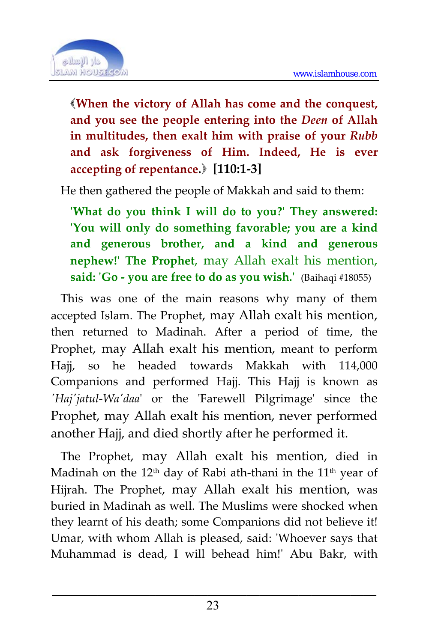

**When the victory of Allah has come and the conquest, and you see the people entering into the** *Deen* **of Allah in multitudes, then exalt him with praise of your** *Rubb* **and ask forgiveness of Him. Indeed, He is ever accepting of repentance. [110:1‐3]**

He then gathered the people of Makkah and said to them:

**ʹWhat do you think I will do to you?ʹ They answered: ʹYou will only do something favorable; you are a kind and generous brother, and a kind and generous nephew!ʹ The Prophet**, may Allah exalt his mention, **said: ʹGo ‐ you are free to do as you wish.ʹ** (Baihaqi #18055)

This was one of the main reasons why many of them accepted Islam. The Prophet, may Allah exalt his mention, then returned to Madinah. After a period of time, the Prophet, may Allah exalt his mention, meant to perform Hajj, so he headed towards Makkah with 114,000 Companions and performed Hajj. This Hajj is known as *ʹHajʹjatul‐Waʹdaa*ʹ or the ʹFarewell Pilgrimageʹ since the Prophet, may Allah exalt his mention, never performed another Hajj, and died shortly after he performed it.

The Prophet, may Allah exalt his mention, died in Madinah on the 12<sup>th</sup> day of Rabi ath-thani in the 11<sup>th</sup> year of Hijrah. The Prophet, may Allah exalt his mention, was buried in Madinah as well. The Muslims were shocked when they learnt of his death; some Companions did not believe it! Umar, with whom Allah is pleased, said: 'Whoever says that Muhammad is dead, I will behead him!ʹ Abu Bakr, with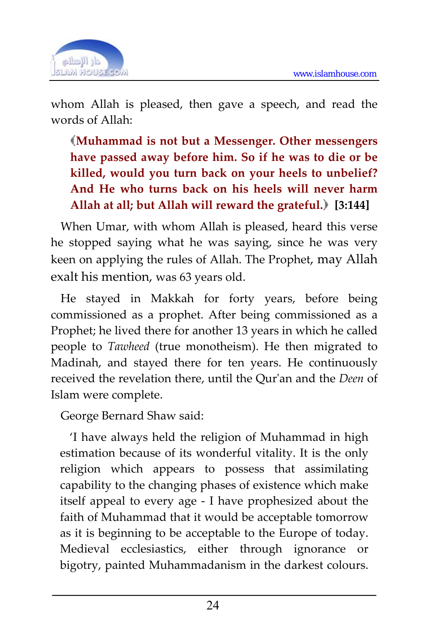

whom Allah is pleased, then gave a speech, and read the words of Allah:

**Muhammad is not but a Messenger. Other messengers have passed away before him. So if he was to die or be killed, would you turn back on your heels to unbelief? And He who turns back on his heels will never harm Allah at all; but Allah will reward the grateful. [3:144]**

When Umar, with whom Allah is pleased, heard this verse he stopped saying what he was saying, since he was very keen on applying the rules of Allah. The Prophet, may Allah exalt his mention, was 63 years old.

He stayed in Makkah for forty years, before being commissioned as a prophet. After being commissioned as a Prophet; he lived there for another 13 years in which he called people to *Tawheed* (true monotheism). He then migrated to Madinah, and stayed there for ten years. He continuously received the revelation there, until the Qurʹan and the *Deen* of Islam were complete.

George Bernard Shaw said:

'I have always held the religion of Muhammad in high estimation because of its wonderful vitality. It is the only religion which appears to possess that assimilating capability to the changing phases of existence which make itself appeal to every age ‐ I have prophesized about the faith of Muhammad that it would be acceptable tomorrow as it is beginning to be acceptable to the Europe of today. Medieval ecclesiastics, either through ignorance or bigotry, painted Muhammadanism in the darkest colours.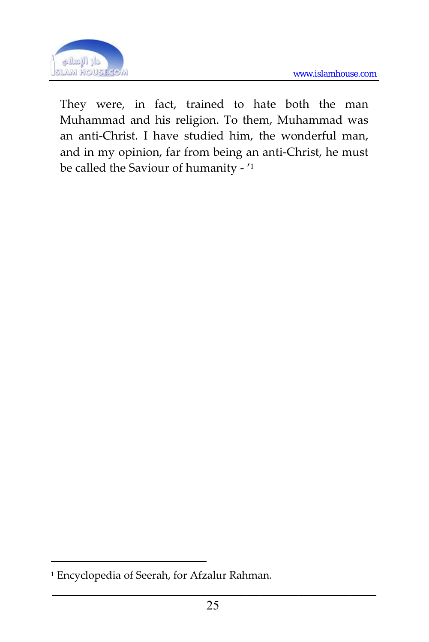



They were, in fact, trained to hate both the man Muhammad and his religion. To them, Muhammad was an anti‐Christ. I have studied him, the wonderful man, and in my opinion, far from being an anti‐Christ, he must be called the Saviour of humanity ‐ '1

 $\overline{a}$ 

<sup>&</sup>lt;sup>1</sup> Encyclopedia of Seerah, for Afzalur Rahman.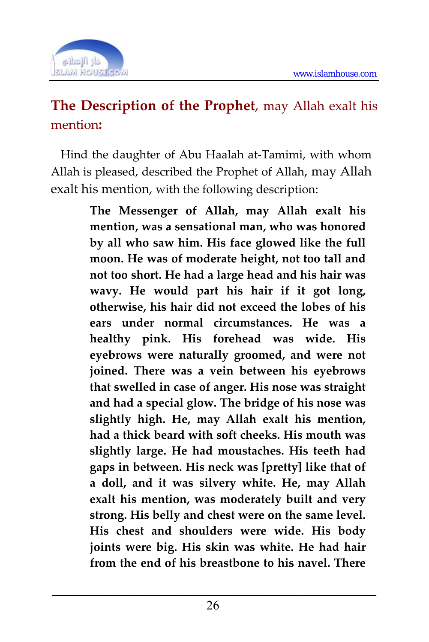

# **The Description of the Prophet**, may Allah exalt his mention**:**

Hind the daughter of Abu Haalah at‐Tamimi, with whom Allah is pleased, described the Prophet of Allah, may Allah exalt his mention, with the following description:

> **The Messenger of Allah, may Allah exalt his mention, was a sensational man, who was honored by all who saw him. His face glowed like the full moon. He was of moderate height, not too tall and not too short. He had a large head and his hair was wavy. He would part his hair if it got long, otherwise, his hair did not exceed the lobes of his ears under normal circumstances. He was a healthy pink. His forehead was wide. His eyebrows were naturally groomed, and were not joined. There was a vein between his eyebrows that swelled in case of anger. His nose was straight and had a special glow. The bridge of his nose was slightly high. He, may Allah exalt his mention, had a thick beard with soft cheeks. His mouth was slightly large. He had moustaches. His teeth had gaps in between. His neck was [pretty] like that of a doll, and it was silvery white. He, may Allah exalt his mention, was moderately built and very strong. His belly and chest were on the same level. His chest and shoulders were wide. His body joints were big. His skin was white. He had hair from the end of his breastbone to his navel. There**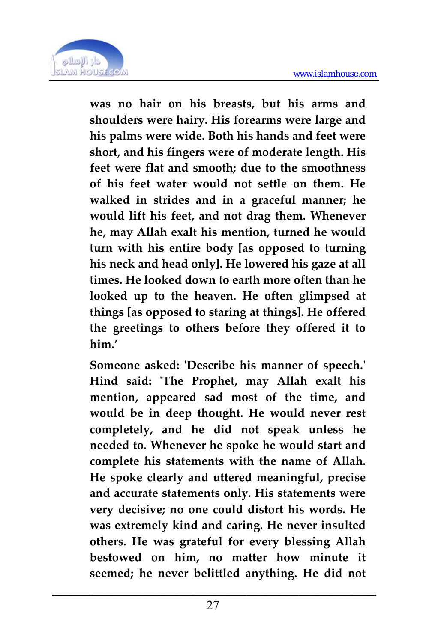

**was no hair on his breasts, but his arms and shoulders were hairy. His forearms were large and his palms were wide. Both his hands and feet were short, and his fingers were of moderate length. His feet were flat and smooth; due to the smoothness of his feet water would not settle on them. He walked in strides and in a graceful manner; he would lift his feet, and not drag them. Whenever he, may Allah exalt his mention, turned he would turn with his entire body [as opposed to turning his neck and head only]. He lowered his gaze at all times. He looked down to earth more often than he looked up to the heaven. He often glimpsed at things [as opposed to staring at things]. He offered the greetings to others before they offered it to him.'** 

**Someone asked: ʹDescribe his manner of speech.ʹ Hind said: ʹThe Prophet, may Allah exalt his mention, appeared sad most of the time, and would be in deep thought. He would never rest completely, and he did not speak unless he needed to. Whenever he spoke he would start and complete his statements with the name of Allah. He spoke clearly and uttered meaningful, precise and accurate statements only. His statements were very decisive; no one could distort his words. He was extremely kind and caring. He never insulted others. He was grateful for every blessing Allah bestowed on him, no matter how minute it seemed; he never belittled anything. He did not**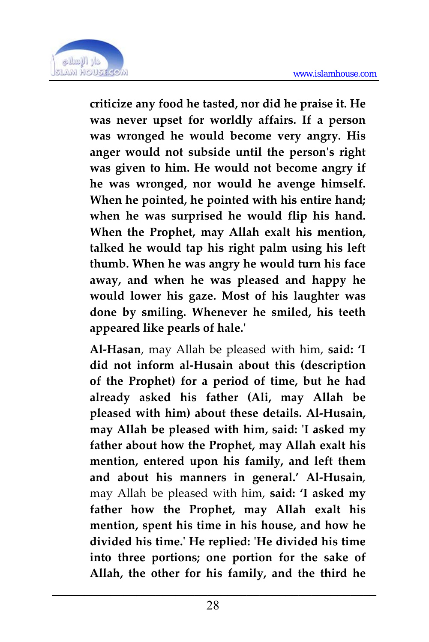

**criticize any food he tasted, nor did he praise it. He was never upset for worldly affairs. If a person was wronged he would become very angry. His anger would not subside until the personʹs right was given to him. He would not become angry if he was wronged, nor would he avenge himself. When he pointed, he pointed with his entire hand; when he was surprised he would flip his hand. When the Prophet, may Allah exalt his mention, talked he would tap his right palm using his left thumb. When he was angry he would turn his face away, and when he was pleased and happy he would lower his gaze. Most of his laughter was done by smiling. Whenever he smiled, his teeth appeared like pearls of hale.ʹ** 

**Al‐Hasan**, may Allah be pleased with him, **said: 'I did not inform al‐Husain about this (description of the Prophet) for a period of time, but he had already asked his father (Ali, may Allah be pleased with him) about these details. Al‐Husain, may Allah be pleased with him, said: ʹI asked my father about how the Prophet, may Allah exalt his mention, entered upon his family, and left them and about his manners in general.' Al‐Husain**, may Allah be pleased with him, **said: 'I asked my father how the Prophet, may Allah exalt his mention, spent his time in his house, and how he divided his time.ʹ He replied: ʹHe divided his time into three portions; one portion for the sake of Allah, the other for his family, and the third he**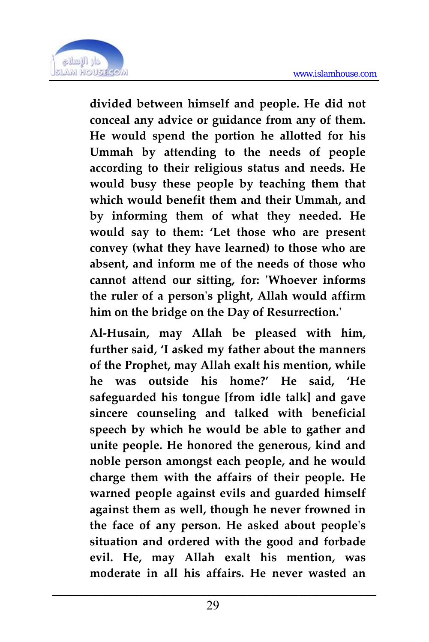

**divided between himself and people. He did not conceal any advice or guidance from any of them. He would spend the portion he allotted for his Ummah by attending to the needs of people according to their religious status and needs. He would busy these people by teaching them that which would benefit them and their Ummah, and by informing them of what they needed. He would say to them: 'Let those who are present convey (what they have learned) to those who are absent, and inform me of the needs of those who cannot attend our sitting, for: ʹWhoever informs the ruler of a personʹs plight, Allah would affirm him on the bridge on the Day of Resurrection.ʹ** 

**Al‐Husain, may Allah be pleased with him, further said, 'I asked my father about the manners of the Prophet, may Allah exalt his mention, while he was outside his home?' He said, 'He safeguarded his tongue [from idle talk] and gave sincere counseling and talked with beneficial speech by which he would be able to gather and unite people. He honored the generous, kind and noble person amongst each people, and he would charge them with the affairs of their people. He warned people against evils and guarded himself against them as well, though he never frowned in the face of any person. He asked about peopleʹs situation and ordered with the good and forbade evil. He, may Allah exalt his mention, was moderate in all his affairs. He never wasted an**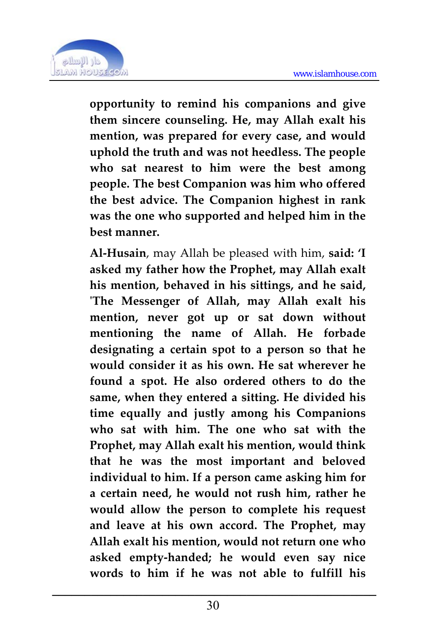

**opportunity to remind his companions and give them sincere counseling. He, may Allah exalt his mention, was prepared for every case, and would uphold the truth and was not heedless. The people who sat nearest to him were the best among people. The best Companion was him who offered the best advice. The Companion highest in rank was the one who supported and helped him in the best manner.** 

**Al‐Husain**, may Allah be pleased with him, **said: 'I asked my father how the Prophet, may Allah exalt his mention, behaved in his sittings, and he said, ʹThe Messenger of Allah, may Allah exalt his mention, never got up or sat down without mentioning the name of Allah. He forbade designating a certain spot to a person so that he would consider it as his own. He sat wherever he found a spot. He also ordered others to do the same, when they entered a sitting. He divided his time equally and justly among his Companions who sat with him. The one who sat with the Prophet, may Allah exalt his mention, would think that he was the most important and beloved individual to him. If a person came asking him for a certain need, he would not rush him, rather he would allow the person to complete his request and leave at his own accord. The Prophet, may Allah exalt his mention, would not return one who asked empty‐handed; he would even say nice words to him if he was not able to fulfill his**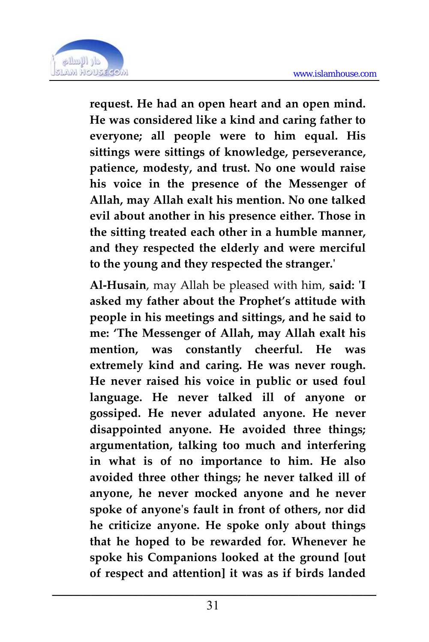

**request. He had an open heart and an open mind. He was considered like a kind and caring father to everyone; all people were to him equal. His sittings were sittings of knowledge, perseverance, patience, modesty, and trust. No one would raise his voice in the presence of the Messenger of Allah, may Allah exalt his mention. No one talked evil about another in his presence either. Those in the sitting treated each other in a humble manner, and they respected the elderly and were merciful to the young and they respected the stranger.ʹ** 

**Al‐Husain**, may Allah be pleased with him, **said: ʹI asked my father about the Prophet's attitude with people in his meetings and sittings, and he said to me: 'The Messenger of Allah, may Allah exalt his mention, was constantly cheerful. He was extremely kind and caring. He was never rough. He never raised his voice in public or used foul language. He never talked ill of anyone or gossiped. He never adulated anyone. He never disappointed anyone. He avoided three things; argumentation, talking too much and interfering in what is of no importance to him. He also avoided three other things; he never talked ill of anyone, he never mocked anyone and he never spoke of anyoneʹs fault in front of others, nor did he criticize anyone. He spoke only about things that he hoped to be rewarded for. Whenever he spoke his Companions looked at the ground [out of respect and attention] it was as if birds landed**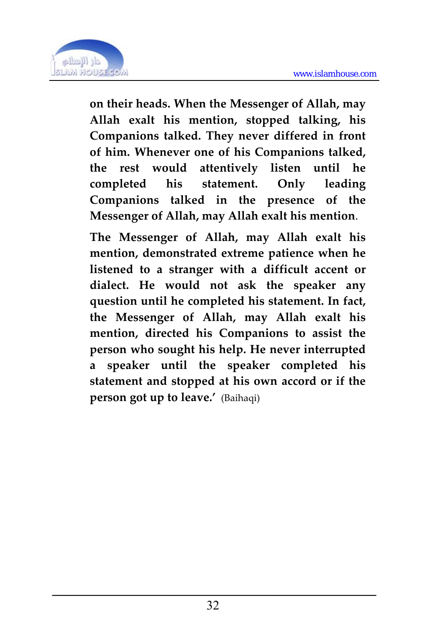

**on their heads. When the Messenger of Allah, may Allah exalt his mention, stopped talking, his Companions talked. They never differed in front of him. Whenever one of his Companions talked, the rest would attentively listen until he completed his statement. Only leading Companions talked in the presence of the Messenger of Allah, may Allah exalt his mention**.

**The Messenger of Allah, may Allah exalt his mention, demonstrated extreme patience when he listened to a stranger with a difficult accent or dialect. He would not ask the speaker any question until he completed his statement. In fact, the Messenger of Allah, may Allah exalt his mention, directed his Companions to assist the person who sought his help. He never interrupted a speaker until the speaker completed his statement and stopped at his own accord or if the person got up to leave.'** (Baihaqi)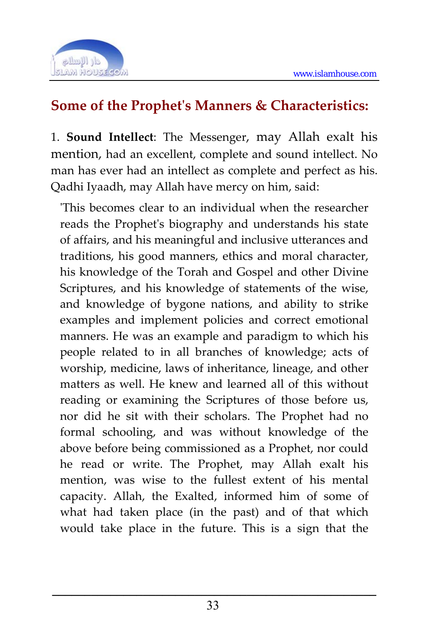

#### **Some of the Prophetʹs Manners & Characteristics:**

1. **Sound Intellect**: The Messenger, may Allah exalt his mention, had an excellent, complete and sound intellect. No man has ever had an intellect as complete and perfect as his. Qadhi Iyaadh, may Allah have mercy on him, said:

ʹThis becomes clear to an individual when the researcher reads the Prophetʹs biography and understands his state of affairs, and his meaningful and inclusive utterances and traditions, his good manners, ethics and moral character, his knowledge of the Torah and Gospel and other Divine Scriptures, and his knowledge of statements of the wise, and knowledge of bygone nations, and ability to strike examples and implement policies and correct emotional manners. He was an example and paradigm to which his people related to in all branches of knowledge; acts of worship, medicine, laws of inheritance, lineage, and other matters as well. He knew and learned all of this without reading or examining the Scriptures of those before us, nor did he sit with their scholars. The Prophet had no formal schooling, and was without knowledge of the above before being commissioned as a Prophet, nor could he read or write. The Prophet, may Allah exalt his mention, was wise to the fullest extent of his mental capacity. Allah, the Exalted, informed him of some of what had taken place (in the past) and of that which would take place in the future. This is a sign that the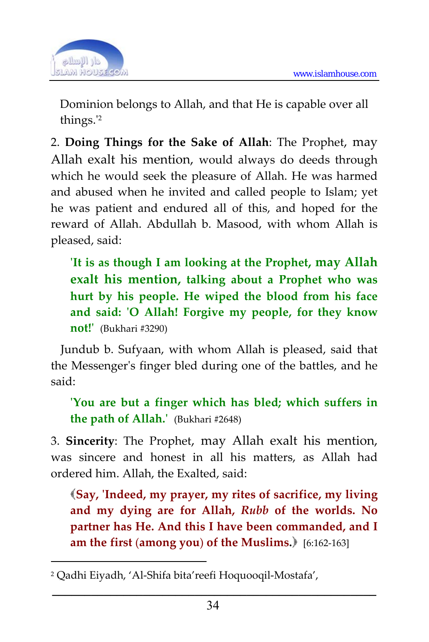

Dominion belongs to Allah, and that He is capable over all things.'<sup>2</sup>

2. **Doing Things for the Sake of Allah**: The Prophet, may Allah exalt his mention, would always do deeds through which he would seek the pleasure of Allah. He was harmed and abused when he invited and called people to Islam; yet he was patient and endured all of this, and hoped for the reward of Allah. Abdullah b. Masood, with whom Allah is pleased, said:

**ʹIt is as though I am looking at the Prophet, may Allah exalt his mention, talking about a Prophet who was hurt by his people. He wiped the blood from his face and said: ʹO Allah! Forgive my people, for they know not!ʹ** (Bukhari #3290)

Jundub b. Sufyaan, with whom Allah is pleased, said that the Messengerʹs finger bled during one of the battles, and he said:

**ʹYou are but a finger which has bled; which suffers in the path of Allah.ʹ** (Bukhari #2648)

3. **Sincerity**: The Prophet, may Allah exalt his mention, was sincere and honest in all his matters, as Allah had ordered him. Allah, the Exalted, said:

**Say, ʹIndeed, my prayer, my rites of sacrifice, my living and my dying are for Allah,** *Rubb* **of the worlds. No partner has He. And this I have been commanded, and I am the first** (**among you**) **of the Muslims.** [6:162‐163]

 $\overline{a}$ 

<sup>2</sup> Qadhi Eiyadh, 'Al‐Shifa bita'reefi Hoquooqil‐Mostafa',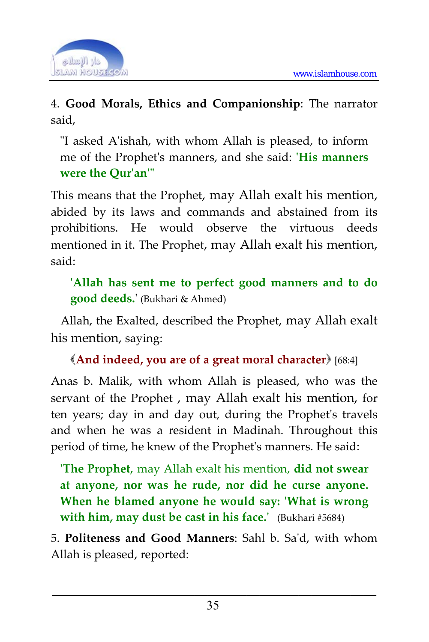

4. **Good Morals, Ethics and Companionship**: The narrator said,

ʺI asked Aʹishah, with whom Allah is pleased, to inform me of the Prophetʹs manners, and she said: **ʹHis manners were the Qurʹanʹʺ** 

This means that the Prophet, may Allah exalt his mention, abided by its laws and commands and abstained from its prohibitions. He would observe the virtuous deeds mentioned in it. The Prophet, may Allah exalt his mention, said:

**ʹAllah has sent me to perfect good manners and to do good deeds.**ʹ (Bukhari & Ahmed)

Allah, the Exalted, described the Prophet, may Allah exalt his mention, saying:

**And indeed, you are of a great moral character** [68:4]

Anas b. Malik, with whom Allah is pleased, who was the servant of the Prophet , may Allah exalt his mention, for ten years; day in and day out, during the Prophetʹs travels and when he was a resident in Madinah. Throughout this period of time, he knew of the Prophet's manners. He said:

**ʹThe Prophet**, may Allah exalt his mention, **did not swear at anyone, nor was he rude, nor did he curse anyone. When he blamed anyone he would say: ʹWhat is wrong with him, may dust be cast in his face.ʹ** (Bukhari #5684)

5. **Politeness and Good Manners**: Sahl b. Saʹd, with whom Allah is pleased, reported: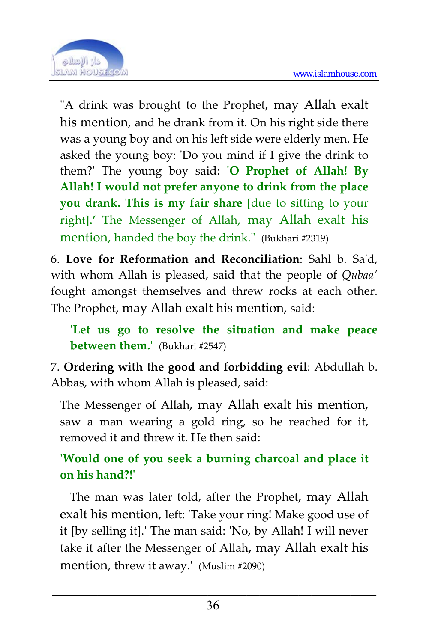

"A drink was brought to the Prophet, may Allah exalt his mention, and he drank from it. On his right side there was a young boy and on his left side were elderly men. He asked the young boy: 'Do you mind if I give the drink to them?ʹ The young boy said: **ʹO Prophet of Allah! By Allah! I would not prefer anyone to drink from the place you drank. This is my fair share** [due to sitting to your right]**.'** The Messenger of Allah, may Allah exalt his mention, handed the boy the drink." (Bukhari #2319)

6. **Love for Reformation and Reconciliation**: Sahl b. Saʹd, with whom Allah is pleased, said that the people of *Qubaaʹ* fought amongst themselves and threw rocks at each other. The Prophet, may Allah exalt his mention, said:

**ʹLet us go to resolve the situation and make peace between them.ʹ** (Bukhari #2547)

7. **Ordering with the good and forbidding evil**: Abdullah b. Abbas, with whom Allah is pleased, said:

The Messenger of Allah, may Allah exalt his mention, saw a man wearing a gold ring, so he reached for it, removed it and threw it. He then said:

**ʹWould one of you seek a burning charcoal and place it on his hand?!ʹ** 

The man was later told, after the Prophet, may Allah exalt his mention, left: 'Take your ring! Make good use of it [by selling it].ʹ The man said: ʹNo, by Allah! I will never take it after the Messenger of Allah, may Allah exalt his mention, threw it away.' (Muslim #2090)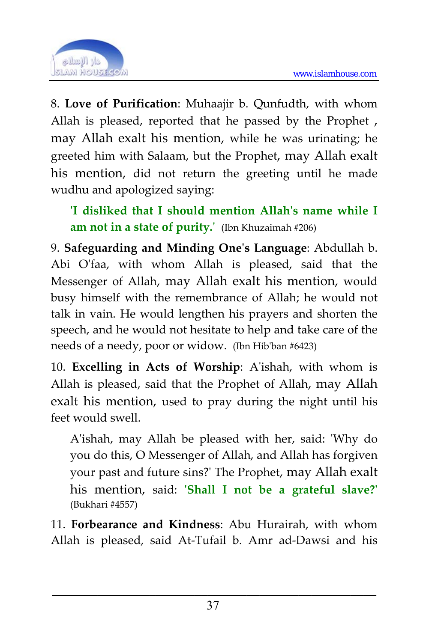

8. **Love of Purification**: Muhaajir b. Qunfudth, with whom Allah is pleased, reported that he passed by the Prophet , may Allah exalt his mention, while he was urinating; he greeted him with Salaam, but the Prophet, may Allah exalt his mention, did not return the greeting until he made wudhu and apologized saying:

**ʹI disliked that I should mention Allahʹs name while I am not in a state of purity.ʹ** (Ibn Khuzaimah #206)

9. **Safeguarding and Minding Oneʹs Language**: Abdullah b. Abi O'faa, with whom Allah is pleased, said that the Messenger of Allah, may Allah exalt his mention, would busy himself with the remembrance of Allah; he would not talk in vain. He would lengthen his prayers and shorten the speech, and he would not hesitate to help and take care of the needs of a needy, poor or widow. (Ibn Hibʹban #6423)

10. **Excelling in Acts of Worship**: Aʹishah, with whom is Allah is pleased, said that the Prophet of Allah, may Allah exalt his mention, used to pray during the night until his feet would swell.

A'ishah, may Allah be pleased with her, said: 'Why do you do this, O Messenger of Allah, and Allah has forgiven your past and future sins?ʹ The Prophet, may Allah exalt his mention, said: **ʹShall I not be a grateful slave?ʹ** (Bukhari #4557)

11. **Forbearance and Kindness**: Abu Hurairah, with whom Allah is pleased, said At‐Tufail b. Amr ad‐Dawsi and his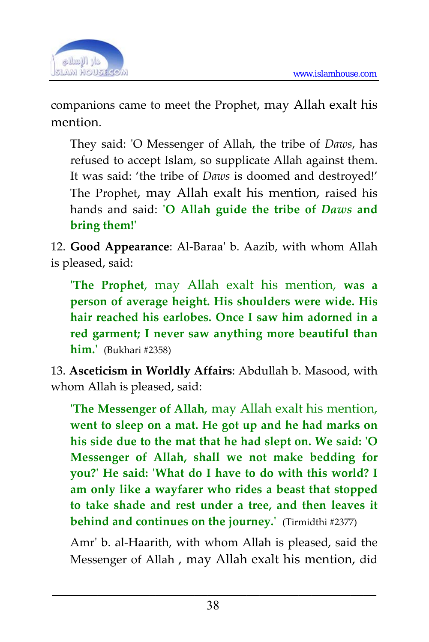

companions came to meet the Prophet, may Allah exalt his mention.

They said: ʹO Messenger of Allah, the tribe of *Daws*, has refused to accept Islam, so supplicate Allah against them. It was said: 'the tribe of *Daws* is doomed and destroyed!' The Prophet, may Allah exalt his mention, raised his hands and said: **ʹO Allah guide the tribe of** *Daws* **and bring them!ʹ** 

12. **Good Appearance**: Al‐Baraaʹ b. Aazib, with whom Allah is pleased, said:

**ʹThe Prophet**, may Allah exalt his mention, **was a person of average height. His shoulders were wide. His hair reached his earlobes. Once I saw him adorned in a red garment; I never saw anything more beautiful than him.ʹ** (Bukhari #2358)

13. **Asceticism in Worldly Affairs**: Abdullah b. Masood, with whom Allah is pleased, said:

**ʹThe Messenger of Allah**, may Allah exalt his mention, **went to sleep on a mat. He got up and he had marks on his side due to the mat that he had slept on. We said: ʹO Messenger of Allah, shall we not make bedding for you?ʹ He said: ʹWhat do I have to do with this world? I am only like a wayfarer who rides a beast that stopped to take shade and rest under a tree, and then leaves it behind and continues on the journey.ʹ** (Tirmidthi #2377)

Amr' b. al-Haarith, with whom Allah is pleased, said the Messenger of Allah , may Allah exalt his mention, did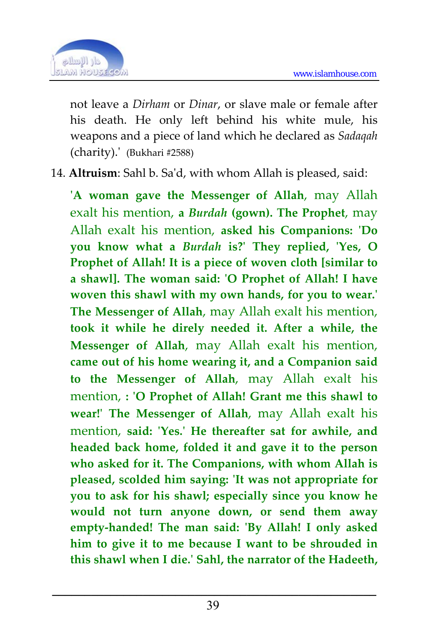

not leave a *Dirham* or *Dinar*, or slave male or female after his death. He only left behind his white mule, his weapons and a piece of land which he declared as *Sadaqah* (charity).ʹ (Bukhari #2588)

#### 14. **Altruism**: Sahl b. Saʹd, with whom Allah is pleased, said:

**ʹA woman gave the Messenger of Allah**, may Allah exalt his mention, **a** *Burdah* **(gown). The Prophet**, may Allah exalt his mention, **asked his Companions: ʹDo you know what a** *Burdah* **is?ʹ They replied, ʹYes, O Prophet of Allah! It is a piece of woven cloth [similar to a shawl]. The woman said: ʹO Prophet of Allah! I have woven this shawl with my own hands, for you to wear.ʹ The Messenger of Allah**, may Allah exalt his mention, **took it while he direly needed it. After a while, the Messenger of Allah**, may Allah exalt his mention, **came out of his home wearing it, and a Companion said to the Messenger of Allah**, may Allah exalt his mention, **: ʹO Prophet of Allah! Grant me this shawl to wear!ʹ The Messenger of Allah**, may Allah exalt his mention, **said: ʹYes.ʹ He thereafter sat for awhile, and headed back home, folded it and gave it to the person who asked for it. The Companions, with whom Allah is pleased, scolded him saying: ʹIt was not appropriate for you to ask for his shawl; especially since you know he would not turn anyone down, or send them away empty‐handed! The man said: ʹBy Allah! I only asked him to give it to me because I want to be shrouded in this shawl when I die.ʹ Sahl, the narrator of the Hadeeth,**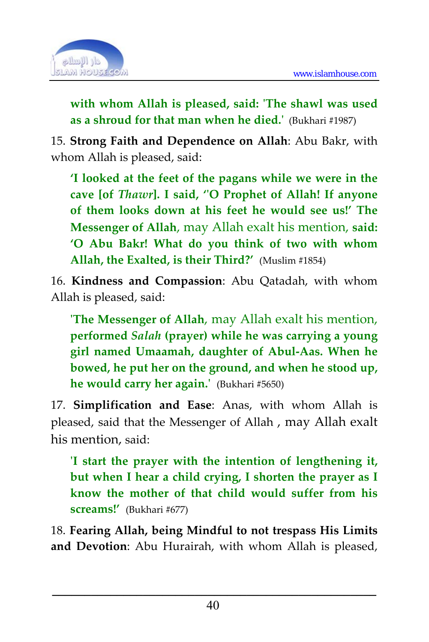

**with whom Allah is pleased, said: ʹThe shawl was used as a shroud for that man when he died.ʹ** (Bukhari #1987)

15. **Strong Faith and Dependence on Allah**: Abu Bakr, with whom Allah is pleased, said:

**'I looked at the feet of the pagans while we were in the cave [of** *Thawr***]. I said, 'ʹO Prophet of Allah! If anyone of them looks down at his feet he would see us!' The Messenger of Allah**, may Allah exalt his mention, **said: 'O Abu Bakr! What do you think of two with whom Allah, the Exalted, is their Third?'** (Muslim #1854)

16. **Kindness and Compassion**: Abu Qatadah, with whom Allah is pleased, said:

**ʹThe Messenger of Allah**, may Allah exalt his mention, **performed** *Salah* **(prayer) while he was carrying a young girl named Umaamah, daughter of Abul‐Aas. When he bowed, he put her on the ground, and when he stood up, he would carry her again.ʹ**  (Bukhari #5650)

17. **Simplification and Ease**: Anas, with whom Allah is pleased, said that the Messenger of Allah, may Allah exalt his mention, said:

**ʹI start the prayer with the intention of lengthening it, but when I hear a child crying, I shorten the prayer as I know the mother of that child would suffer from his screams!'** (Bukhari #677)

18. **Fearing Allah, being Mindful to not trespass His Limits and Devotion**: Abu Hurairah, with whom Allah is pleased,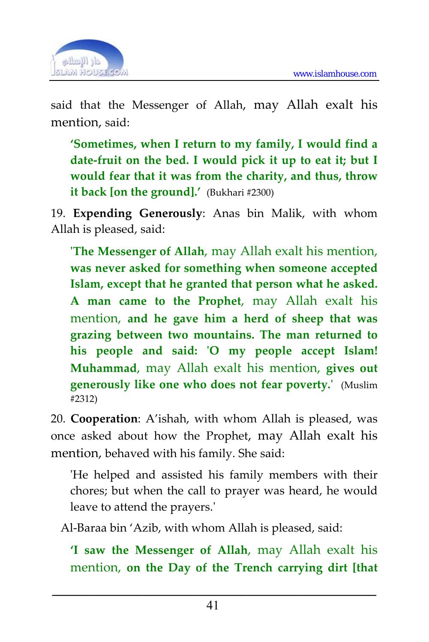

said that the Messenger of Allah, may Allah exalt his mention, said:

**'Sometimes, when I return to my family, I would find a date‐fruit on the bed. I would pick it up to eat it; but I would fear that it was from the charity, and thus, throw it back [on the ground].'** (Bukhari #2300)

19. **Expending Generously**: Anas bin Malik, with whom Allah is pleased, said:

**ʹThe Messenger of Allah**, may Allah exalt his mention, **was never asked for something when someone accepted Islam, except that he granted that person what he asked. A man came to the Prophet**, may Allah exalt his mention, **and he gave him a herd of sheep that was grazing between two mountains. The man returned to his people and said: ʹO my people accept Islam! Muhammad**, may Allah exalt his mention, **gives out generously like one who does not fear poverty.ʹ** (Muslim #2312)

20. **Cooperation**: A'ishah, with whom Allah is pleased, was once asked about how the Prophet, may Allah exalt his mention, behaved with his family. She said:

'He helped and assisted his family members with their chores; but when the call to prayer was heard, he would leave to attend the prayers.'

Al‐Baraa bin 'Azib, with whom Allah is pleased, said:

**'I saw the Messenger of Allah**, may Allah exalt his mention, **on the Day of the Trench carrying dirt [that**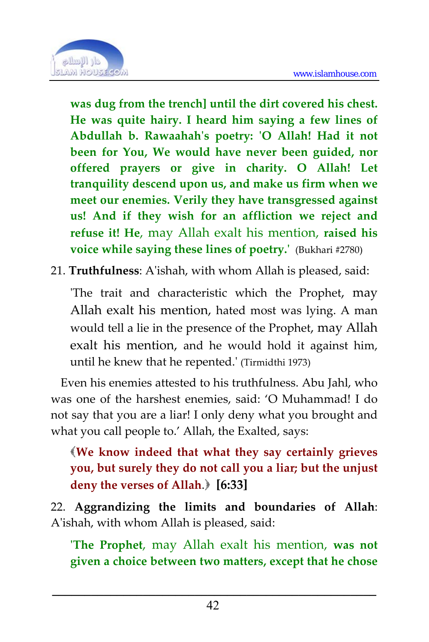

**was dug from the trench] until the dirt covered his chest. He was quite hairy. I heard him saying a few lines of Abdullah b. Rawaahahʹs poetry: ʹO Allah! Had it not been for You, We would have never been guided, nor offered prayers or give in charity. O Allah! Let tranquility descend upon us, and make us firm when we meet our enemies. Verily they have transgressed against us! And if they wish for an affliction we reject and refuse it! He**, may Allah exalt his mention, **raised his voice while saying these lines of poetry.ʹ** (Bukhari #2780)

21. **Truthfulness**: Aʹishah, with whom Allah is pleased, said:

The trait and characteristic which the Prophet, may Allah exalt his mention, hated most was lying. A man would tell a lie in the presence of the Prophet, may Allah exalt his mention, and he would hold it against him, until he knew that he repented.ʹ (Tirmidthi 1973)

Even his enemies attested to his truthfulness. Abu Jahl, who was one of the harshest enemies, said: 'O Muhammad! I do not say that you are a liar! I only deny what you brought and what you call people to.' Allah, the Exalted, says:

**We know indeed that what they say certainly grieves you, but surely they do not call you a liar; but the unjust deny the verses of Allah**. **[6:33]**

22. **Aggrandizing the limits and boundaries of Allah**: A'ishah, with whom Allah is pleased, said:

**ʹThe Prophet**, may Allah exalt his mention, **was not given a choice between two matters, except that he chose**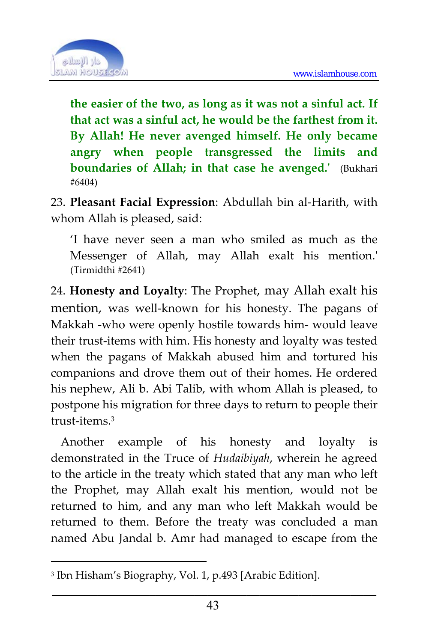

**the easier of the two, as long as it was not a sinful act. If that act was a sinful act, he would be the farthest from it. By Allah! He never avenged himself. He only became angry when people transgressed the limits and boundaries of Allah; in that case he avenged.ʹ**  (Bukhari #6404)

23. **Pleasant Facial Expression**: [A](#page-42-0)bdullah bin al‐Harith, with whom Allah is pleased, said:

'I have never seen a man who smiled as much as the Messenger of Allah, may Allah exalt his mention.' (Tirmidthi #2641)

24. **Honesty and Loyalty**: The Prophet, may Allah exalt his mention, was well-known for his honesty. The pagans of Makkah ‐who were openly hostile towards him‐ would leave their trust‐items with him. His honesty and loyalty was tested when the pagans of Makkah abused him and tortured his companions and drove them out of their homes. He ordered his nephew, Ali b. Abi Talib, with whom Allah is pleased, to postpone his migration for three days to return to people their trust‐items.3

Another example of his honesty and loyalty is demonstrated in the Truce of *Hudaibiyah*, wherein he agreed to the article in the treaty which stated that any man who left the Prophet, may Allah exalt his mention, would not be returned to him, and any man who left Makkah would be returned to them. Before the treaty was concluded a man named Abu Jandal b. Amr had managed to escape from the

 $\overline{a}$ 

<span id="page-42-0"></span><sup>3</sup> Ibn Hisham's Biography, Vol. 1, p.493 [Arabic Edition].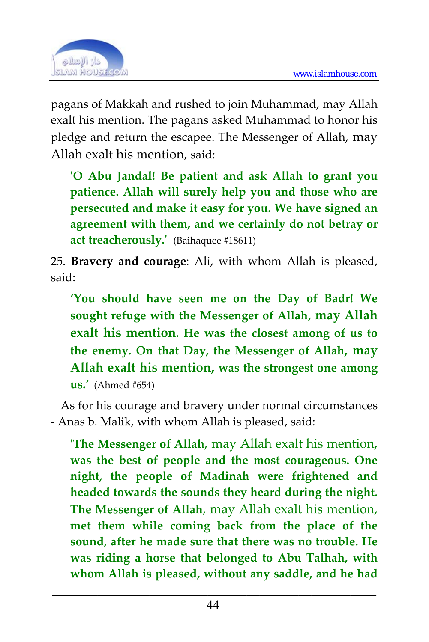

pagans of Makkah and rushed to join Muhammad, may Allah exalt his mention. The pagans asked Muhammad to honor his pledge and return the escapee. The Messenger of Allah, may Allah exalt his mention, said:

**ʹO Abu Jandal! Be patient and ask Allah to grant you patience. Allah will surely help you and those who are persecuted and make it easy for you. We have signed an agreement with them, and we certainly do not betray or act treacherously.ʹ** (Baihaquee #18611)

25. **Bravery and courage**: Ali, with whom Allah is pleased, said:

**'You should have seen me on the Day of Badr! We sought refuge with the Messenger of Allah, may Allah exalt his mention. He was the closest among of us to the enemy. On that Day, the Messenger of Allah, may Allah exalt his mention, was the strongest one among us.'** (Ahmed #654)

As for his courage and bravery under normal circumstances ‐ Anas b. Malik, with whom Allah is pleased, said:

**ʹThe Messenger of Allah**, may Allah exalt his mention, **was the best of people and the most courageous. One night, the people of Madinah were frightened and headed towards the sounds they heard during the night. The Messenger of Allah**, may Allah exalt his mention, **met them while coming back from the place of the sound, after he made sure that there was no trouble. He was riding a horse that belonged to Abu Talhah, with whom Allah is pleased, without any saddle, and he had**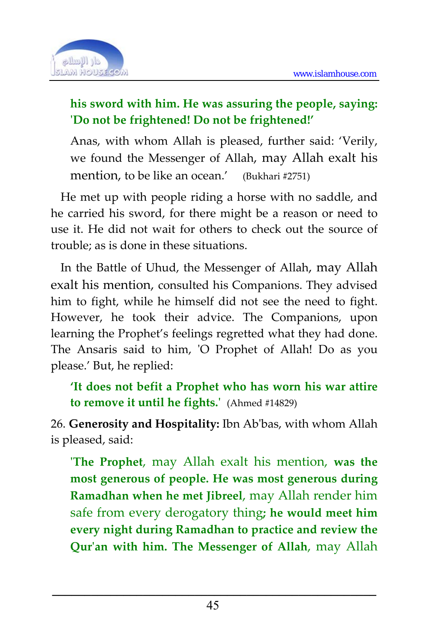

### **his sword with him. He was assuring the people, saying: ʹDo not be frightened! Do not be frightened!'**

Anas, with whom Allah is pleased, further said: 'Verily, we found the Messenger of Allah, may Allah exalt his mention, to be like an ocean.' (Bukhari #2751)

He met up with people riding a horse with no saddle, and he carried his sword, for there might be a reason or need to use it. He did not wait for others to check out the source of trouble; as is done in these situations.

In the Battle of Uhud, the Messenger of Allah, may Allah exalt his mention, consulted his Companions. They advised him to fight, while he himself did not see the need to fight. However, he took their advice. The Companions, upon learning the Prophet's feelings regretted what they had done. The Ansaris said to him, 'O Prophet of Allah! Do as you please.' But, he replied:

**'It does not befit a Prophet who has worn his war attire to remove it until he fights.ʹ** (Ahmed #14829)

26. **Generosity and Hospitality:** Ibn Abʹbas, with whom Allah is pleased, said:

**ʹThe Prophet**, may Allah exalt his mention, **was the most generous of people. He was most generous during Ramadhan when he met Jibreel**, may Allah render him safe from every derogatory thing**; he would meet him every night during Ramadhan to practice and review the Qurʹan with him. The Messenger of Allah**, may Allah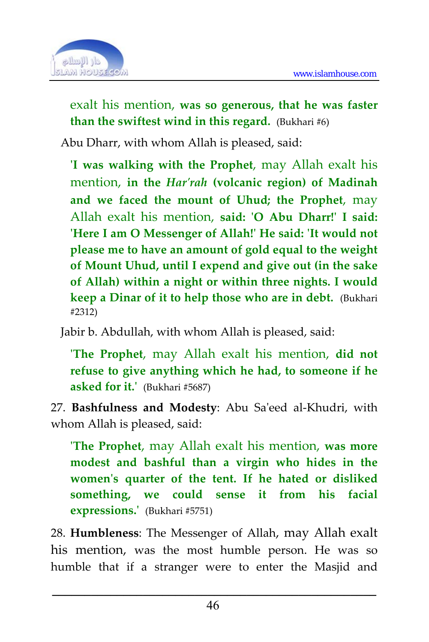

exalt his mention, **was so generous, that he was faster than the swiftest wind in this regard.** (Bukhari #6)

Abu Dharr, with whom Allah is pleased, said:

**ʹI was walking with the Prophet**, may Allah exalt his mention, **in the** *Harʹrah* **(volcanic region) of Madinah and we faced the mount of Uhud; the Prophet**, may Allah exalt his mention, **said: ʹO Abu Dharr!ʹ I said: ʹHere I am O Messenger of Allah!ʹ He said: ʹIt would not please me to have an amount of gold equal to the weight of Mount Uhud, until I expend and give out (in the sake of Allah) within a night or within three nights. I would keep a Dinar of it to help those who are in debt.** (Bukhari #2312)

Jabir b. Abdullah, with whom Allah is pleased, said:

**ʹThe Prophet**, may Allah exalt his mention, **did not refuse to give anything which he had, to someone if he asked for it.ʹ** (Bukhari #5687)

27. **Bashfulness and Modesty**: Abu Saʹeed al‐Khudri, with whom Allah is pleased, said:

**ʹThe Prophet**, may Allah exalt his mention, **was more modest and bashful than a virgin who hides in the womenʹs quarter of the tent. If he hated or disliked something, we could sense it from his facial expressions.ʹ**  (Bukhari #5751)

28. **Humbleness**: The Messenger of Allah, may Allah exalt his mention, was the most humble person. He was so humble that if a stranger were to enter the Masjid and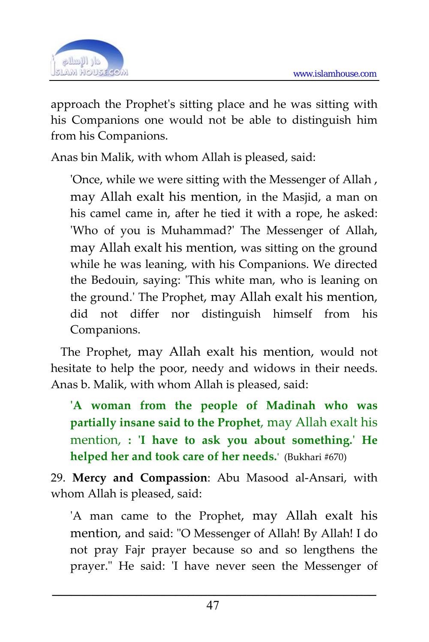

approach the Prophetʹs sitting place and he was sitting with his Companions one would not be able to distinguish him from his Companions.

Anas bin Malik, with whom Allah is pleased, said:

ʹOnce, while we were sitting with the Messenger of Allah , may Allah exalt his mention, in the Masjid, a man on his camel came in, after he tied it with a rope, he asked: 'Who of you is Muhammad?' The Messenger of Allah, may Allah exalt his mention, was sitting on the ground while he was leaning, with his Companions. We directed the Bedouin, saying: 'This white man, who is leaning on the ground.' The Prophet, may Allah exalt his mention, did not differ nor distinguish himself from his Companions.

The Prophet, may Allah exalt his mention, would not hesitate to help the poor, needy and widows in their needs. Anas b. Malik, with whom Allah is pleased, said:

**ʹA woman from the people of Madinah who was partially insane said to the Prophet**, may Allah exalt his mention, **: ʹI have to ask you about something.ʹ He helped her and took care of her needs.ʹ** (Bukhari #670)

29. **Mercy and Compassion**: Abu Masood al‐Ansari, with whom Allah is pleased, said:

ʹA man came to the Prophet, may Allah exalt his mention, and said: "O Messenger of Allah! By Allah! I do not pray Fajr prayer because so and so lengthens the prayer." He said: 'I have never seen the Messenger of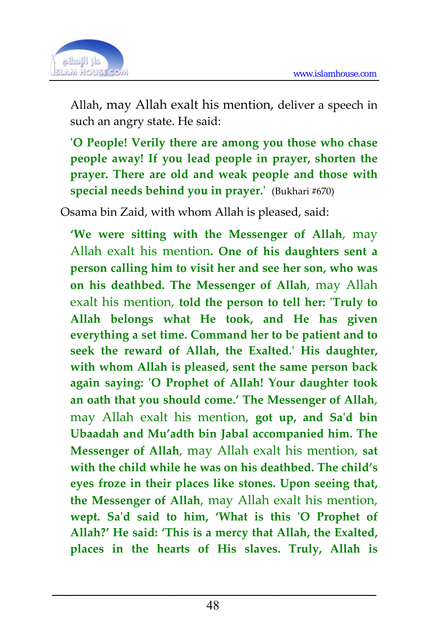

Allah, may Allah exalt his mention, deliver a speech in such an angry state. He said:

**ʹO People! Verily there are among you those who chase people away! If you lead people in prayer, shorten the prayer. There are old and weak people and those with special needs behind you in prayer.ʹ** (Bukhari #670)

Osama bin Zaid, with whom Allah is pleased, said:

**'We were sitting with the Messenger of Allah**, may Allah exalt his mention**. One of his daughters sent a person calling him to visit her and see her son, who was on his deathbed. The Messenger of Allah**, may Allah exalt his mention, **told the person to tell her: ʹTruly to Allah belongs what He took, and He has given everything a set time. Command her to be patient and to seek the reward of Allah, the Exalted.ʹ His daughter, with whom Allah is pleased, sent the same person back again saying: ʹO Prophet of Allah! Your daughter took an oath that you should come.' The Messenger of Allah**, may Allah exalt his mention, **got up, and Saʹd bin Ubaadah and Mu'adth bin Jabal accompanied him. The Messenger of Allah**, may Allah exalt his mention, **sat with the child while he was on his deathbed. The child's eyes froze in their places like stones. Upon seeing that, the Messenger of Allah**, may Allah exalt his mention, **wept. Saʹd said to him, 'What is this ʹO Prophet of Allah?' He said: 'This is a mercy that Allah, the Exalted, places in the hearts of His slaves. Truly, Allah is**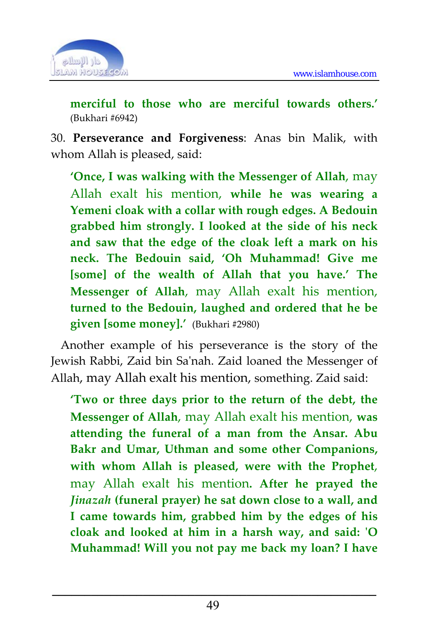

**merciful to those who are merciful towards others.'** (Bukhari #6942)

30. **Perseverance and Forgiveness**: Anas bin Malik, with whom Allah is pleased, said:

**'Once, I was walking with the Messenger of Allah**, may Allah exalt his mention, **while he was wearing a Yemeni cloak with a collar with rough edges. A Bedouin grabbed him strongly. I looked at the side of his neck and saw that the edge of the cloak left a mark on his neck. The Bedouin said, 'Oh Muhammad! Give me [some] of the wealth of Allah that you have.' The Messenger of Allah**, may Allah exalt his mention, **turned to the Bedouin, laughed and ordered that he be given [some money].'** (Bukhari #2980)

Another example of his perseverance is the story of the Jewish Rabbi, Zaid bin Sa'nah. Zaid loaned the Messenger of Allah, may Allah exalt his mention, something. Zaid said:

**'Two or three days prior to the return of the debt, the Messenger of Allah**, may Allah exalt his mention, **was attending the funeral of a man from the Ansar. Abu Bakr and Umar, Uthman and some other Companions, with whom Allah is pleased, were with the Prophet**, may Allah exalt his mention**. After he prayed the** *Jinazah* **(funeral prayer) he sat down close to a wall, and I came towards him, grabbed him by the edges of his cloak and looked at him in a harsh way, and said: ʹO Muhammad! Will you not pay me back my loan? I have**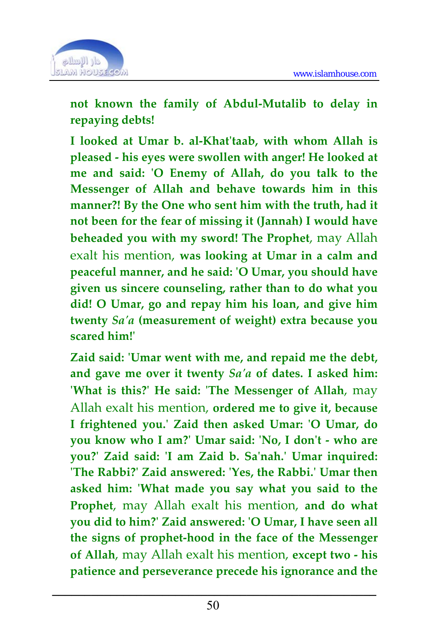

**not known the family of Abdul‐Mutalib to delay in repaying debts!**

**I looked at Umar b. al‐Khatʹtaab, with whom Allah is pleased ‐ his eyes were swollen with anger! He looked at me and said: ʹO Enemy of Allah, do you talk to the Messenger of Allah and behave towards him in this manner?! By the One who sent him with the truth, had it not been for the fear of missing it (Jannah) I would have beheaded you with my sword! The Prophet**, may Allah exalt his mention, **was looking at Umar in a calm and peaceful manner, and he said: ʹO Umar, you should have given us sincere counseling, rather than to do what you did! O Umar, go and repay him his loan, and give him twenty** *Saʹa* **(measurement of weight) extra because you scared him!ʹ** 

**Zaid said: ʹUmar went with me, and repaid me the debt, and gave me over it twenty** *Saʹa* **of dates. I asked him: ʹWhat is this?ʹ He said: ʹThe Messenger of Allah**, may Allah exalt his mention, **ordered me to give it, because I frightened you.ʹ Zaid then asked Umar: ʹO Umar, do you know who I am?ʹ Umar said: ʹNo, I donʹt ‐ who are you?ʹ Zaid said: ʹI am Zaid b. Saʹnah.ʹ Umar inquired: ʹThe Rabbi?ʹ Zaid answered: ʹYes, the Rabbi.ʹ Umar then asked him: ʹWhat made you say what you said to the Prophet**, may Allah exalt his mention, **and do what you did to him?ʹ Zaid answered: ʹO Umar, I have seen all the signs of prophet‐hood in the face of the Messenger of Allah**, may Allah exalt his mention, **except two ‐ his patience and perseverance precede his ignorance and the**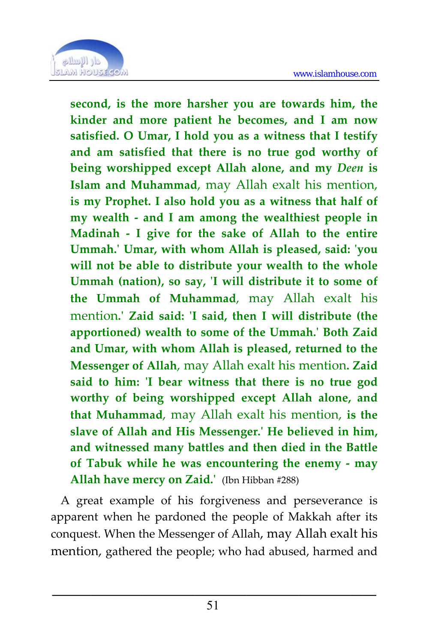

**second, is the more harsher you are towards him, the kinder and more patient he becomes, and I am now satisfied. O Umar, I hold you as a witness that I testify and am satisfied that there is no true god worthy of being worshipped except Allah alone, and my** *Deen* **is Islam and Muhammad**, may Allah exalt his mention, **is my Prophet. I also hold you as a witness that half of my wealth ‐ and I am among the wealthiest people in Madinah ‐ I give for the sake of Allah to the entire Ummah.ʹ Umar, with whom Allah is pleased, said: ʹyou will not be able to distribute your wealth to the whole Ummah (nation), so say, ʹI will distribute it to some of the Ummah of Muhammad**, may Allah exalt his mention**.ʹ Zaid said: ʹI said, then I will distribute (the apportioned) wealth to some of the Ummah.ʹ Both Zaid and Umar, with whom Allah is pleased, returned to the Messenger of Allah**, may Allah exalt his mention**. Zaid said to him: ʹI bear witness that there is no true god worthy of being worshipped except Allah alone, and that Muhammad**, may Allah exalt his mention, **is the slave of Allah and His Messenger.ʹ He believed in him, and witnessed many battles and then died in the Battle of Tabuk while he was encountering the enemy ‐ may Allah have mercy on Zaid.ʹ** (Ibn Hibban #288)

A great example of his forgiveness and perseverance is apparent when he pardoned the people of Makkah after its conquest. When the Messenger of Allah, may Allah exalt his mention, gathered the people; who had abused, harmed and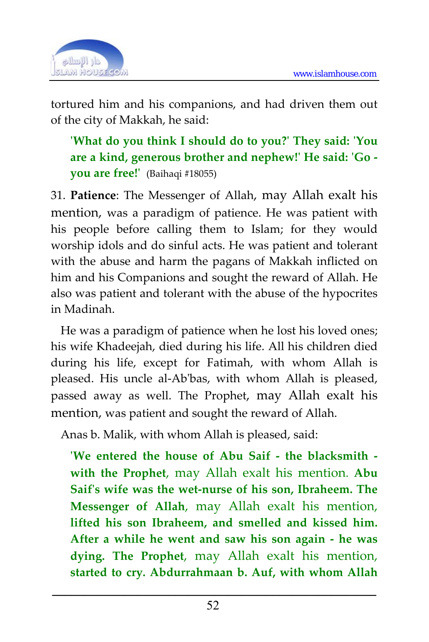

tortured him and his companions, and had driven them out of the city of Makkah, he said:

**ʹWhat do you think I should do to you?ʹ They said: ʹYou are a kind, generous brother and nephew!ʹ He said: ʹGo ‐ you are free!ʹ** (Baihaqi #18055)

31. **Patience**: The Messenger of Allah, may Allah exalt his mention, was a paradigm of patience. He was patient with his people before calling them to Islam; for they would worship idols and do sinful acts. He was patient and tolerant with the abuse and harm the pagans of Makkah inflicted on him and his Companions and sought the reward of Allah. He also was patient and tolerant with the abuse of the hypocrites in Madinah.

He was a paradigm of patience when he lost his loved ones; his wife Khadeejah, died during his life. All his children died during his life, except for Fatimah, with whom Allah is pleased. His uncle al‐Abʹbas, with whom Allah is pleased, passed away as well. The Prophet, may Allah exalt his mention, was patient and sought the reward of Allah.

Anas b. Malik, with whom Allah is pleased, said:

**ʹWe entered the house of Abu Saif ‐ the blacksmith ‐ with the Prophet**, may Allah exalt his mention. **Abu Saifʹs wife was the wet‐nurse of his son, Ibraheem. The Messenger of Allah**, may Allah exalt his mention, **lifted his son Ibraheem, and smelled and kissed him. After a while he went and saw his son again ‐ he was dying. The Prophet**, may Allah exalt his mention, **started to cry. Abdurrahmaan b. Auf, with whom Allah**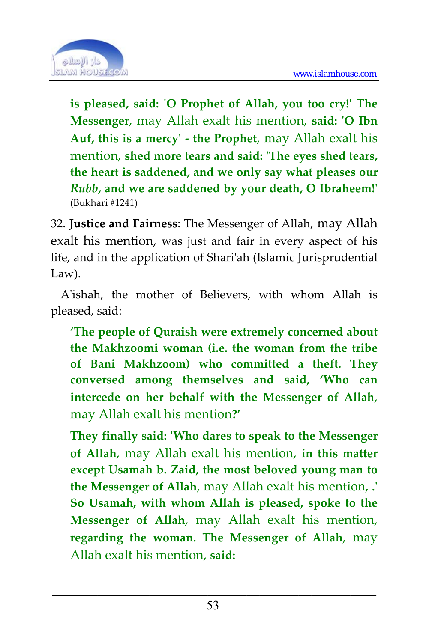

**is pleased, said: ʹO Prophet of Allah, you too cry!ʹ The Messenger**, may Allah exalt his mention, **said: ʹO Ibn Auf, this is a mercyʹ ‐ the Prophet**, may Allah exalt his mention, **shed more tears and said: ʹThe eyes shed tears, the heart is saddened, and we only say what pleases our** *Rubb***, and we are saddened by your death, O Ibraheem!ʹ**  (Bukhari #1241)

32. **Justice and Fairness**: The Messenger of Allah, may Allah exalt his mention, was just and fair in every aspect of his life, and in the application of Shariʹah (Islamic Jurisprudential Law).

A'ishah, the mother of Believers, with whom Allah is pleased, said:

**'The people of Quraish were extremely concerned about the Makhzoomi woman (i.e. the woman from the tribe of Bani Makhzoom) who committed a theft. They conversed among themselves and said, 'Who can intercede on her behalf with the Messenger of Allah**, may Allah exalt his mention**?'** 

**They finally said: ʹWho dares to speak to the Messenger of Allah**, may Allah exalt his mention, **in this matter except Usamah b. Zaid, the most beloved young man to the Messenger of Allah**, may Allah exalt his mention, **.ʹ So Usamah, with whom Allah is pleased, spoke to the Messenger of Allah**, may Allah exalt his mention, **regarding the woman. The Messenger of Allah**, may Allah exalt his mention, **said:**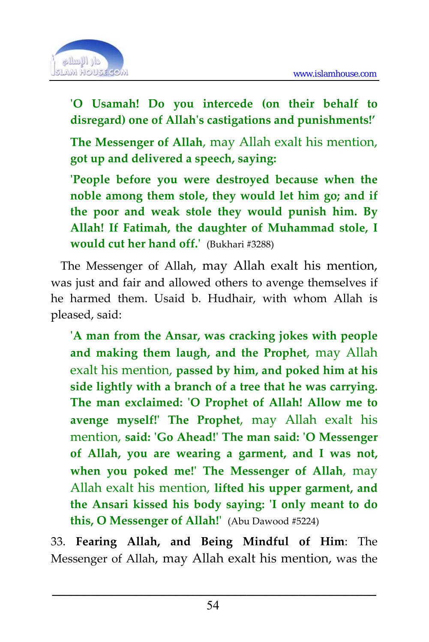

**ʹO Usamah! Do you intercede (on their behalf to disregard) one of Allahʹs castigations and punishments!'** 

**The Messenger of Allah**, may Allah exalt his mention, **got up and delivered a speech, saying:** 

**ʹPeople before you were destroyed because when the noble among them stole, they would let him go; and if the poor and weak stole they would punish him. By Allah! If Fatimah, the daughter of Muhammad stole, I would cut her hand off.ʹ** (Bukhari #3288)

The Messenger of Allah, may Allah exalt his mention, was just and fair and allowed others to avenge themselves if he harmed them. Usaid b. Hudhair, with whom Allah is pleased, said:

**ʹA man from the Ansar, was cracking jokes with people and making them laugh, and the Prophet**, may Allah exalt his mention, **passed by him, and poked him at his side lightly with a branch of a tree that he was carrying. The man exclaimed: ʹO Prophet of Allah! Allow me to avenge myself!ʹ The Prophet**, may Allah exalt his mention, **said: ʹGo Ahead!ʹ The man said: ʹO Messenger of Allah, you are wearing a garment, and I was not, when you poked me!ʹ The Messenger of Allah**, may Allah exalt his mention, **lifted his upper garment, and the Ansari kissed his body saying: ʹI only meant to do this, O Messenger of Allah!ʹ** (Abu Dawood #5224)

33. **Fearing Allah, and Being Mindful of Him**: The Messenger of Allah, may Allah exalt his mention, was the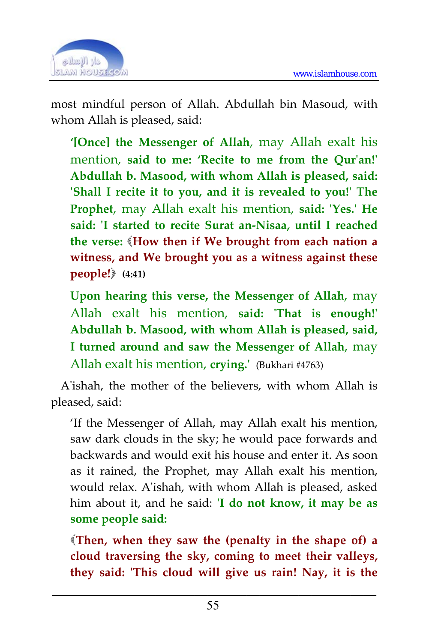

most mindful person of Allah. Abdullah bin Masoud, with whom Allah is pleased, said:

**'[Once] the Messenger of Allah**, may Allah exalt his mention, **said to me: 'Recite to me from the Qurʹan!ʹ Abdullah b. Masood, with whom Allah is pleased, said: ʹShall I recite it to you, and it is revealed to you!ʹ The Prophet**, may Allah exalt his mention, **said: ʹYes.ʹ He said: ʹI started to recite Surat an‐Nisaa, until I reached the verse: How then if We brought from each nation a witness, and We brought you as a witness against these people! (4:41)**

**Upon hearing this verse, the Messenger of Allah**, may Allah exalt his mention, said: 'That is enough!' **Abdullah b. Masood, with whom Allah is pleased, said, I turned around and saw the Messenger of Allah**, may Allah exalt his mention, **crying.ʹ** (Bukhari #4763)

A'ishah, the mother of the believers, with whom Allah is pleased, said:

'If the Messenger of Allah, may Allah exalt his mention, saw dark clouds in the sky; he would pace forwards and backwards and would exit his house and enter it. As soon as it rained, the Prophet, may Allah exalt his mention, would relax. Aʹishah, with whom Allah is pleased, asked him about it, and he said: **ʹI do not know, it may be as some people said:** 

**Then, when they saw the (penalty in the shape of) a cloud traversing the sky, coming to meet their valleys, they said: ʹThis cloud will give us rain! Nay, it is the**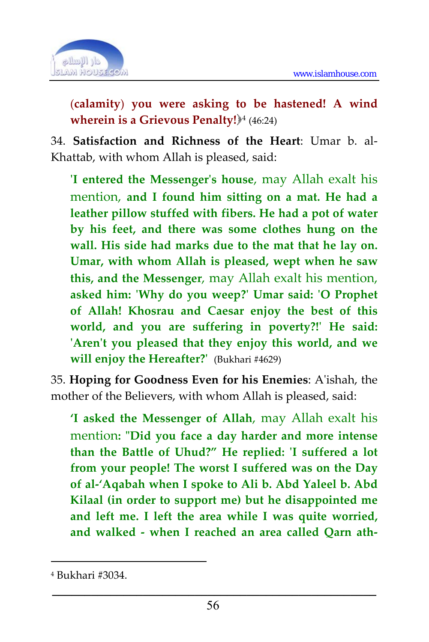

(**calamity**) **you were asking to be hastened! A wind wherein is a Grievous Penalty!**<sup>4</sup> (46:24)

34. **Satisfaction and Richness of the Heart**: Umar b. al‐ Khattab, with whom Allah is pleased, said:

**ʹI entered the Messengerʹs house**, may Allah exalt his mention, **and I found him sitting on a mat. He had a leather pillow stuffed with fibers. He had a pot of water by his feet, and there was some clothes hung on the wall. His side had marks due to the mat that he lay on. Umar, with whom Allah is pleased, wept when he saw this, and the Messenger**, may Allah exalt his mention, **asked him: ʹWhy do you weep?ʹ Umar said: ʹO Prophet of Allah! Khosrau and Caesar enjoy the best of this world, and you are suffering in poverty?!ʹ He said: ʹArenʹt you pleased that they enjoy this world, and we will enjoy the Hereafter?ʹ** (Bukhari #4629)

35. **Hoping for Goodness Even for his Enemies**: Aʹishah, the mother of the Believers, with whom Allah is pleased, said:

**'I asked the Messenger of Allah**, may Allah exalt his mention**: ʺDid you face a day harder and more intense than the Battle of Uhud?" He replied: ʹI suffered a lot from your people! The worst I suffered was on the Day of al‐'Aqabah when I spoke to Ali b. Abd Yaleel b. Abd Kilaal (in order to support me) but he disappointed me and left me. I left the area while I was quite worried, and walked ‐ when I reached an area called Qarn ath‐**

 $\overline{a}$ 

<sup>4</sup> Bukhari #3034.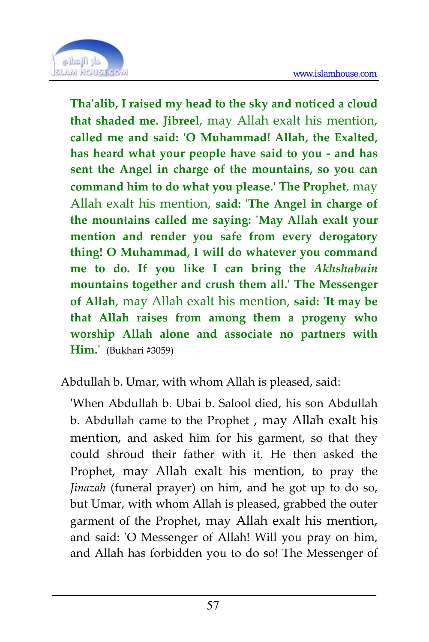

**Thaʹalib, I raised my head to the sky and noticed a cloud that shaded me. Jibreel**, may Allah exalt his mention, **called me and said: ʹO Muhammad! Allah, the Exalted, has heard what your people have said to you ‐ and has sent the Angel in charge of the mountains, so you can command him to do what you please.ʹ The Prophet**, may Allah exalt his mention, **said: ʹThe Angel in charge of the mountains called me saying: ʹMay Allah exalt your mention and render you safe from every derogatory thing! O Muhammad, I will do whatever you command me to do. If you like I can bring the** *Akhshabain* **mountains together and crush them all.ʹ The Messenger of Allah**, may Allah exalt his mention, **said: ʹIt may be that Allah raises from among them a progeny who worship Allah alone and associate no partners with Him.ʹ** (Bukhari #3059)

Abdullah b. Umar, with whom Allah is pleased, said:

ʹWhen Abdullah b. Ubai b. Salool died, his son Abdullah b. Abdullah came to the Prophet , may Allah exalt his mention, and asked him for his garment, so that they could shroud their father with it. He then asked the Prophet, may Allah exalt his mention, to pray the *Jinazah* (funeral prayer) on him, and he got up to do so, but Umar, with whom Allah is pleased, grabbed the outer garment of the Prophet, may Allah exalt his mention, and said: 'O Messenger of Allah! Will you pray on him, and Allah has forbidden you to do so! The Messenger of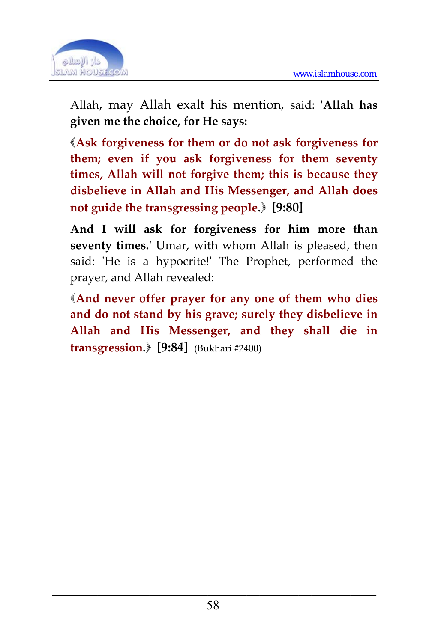

Allah, may Allah exalt his mention, said: **ʹAllah has given me the choice, for He says:** 

**Ask forgiveness for them or do not ask forgiveness for them; even if you ask forgiveness for them seventy times, Allah will not forgive them; this is because they disbelieve in Allah and His Messenger, and Allah does not guide the transgressing people. [9:80]**

**And I will ask for forgiveness for him more than seventy times.ʹ** Umar, with whom Allah is pleased, then said: 'He is a hypocrite!' The Prophet, performed the prayer, and Allah revealed:

**And never offer prayer for any one of them who dies and do not stand by his grave; surely they disbelieve in Allah and His Messenger, and they shall die in transgression. [9:84]** (Bukhari #2400)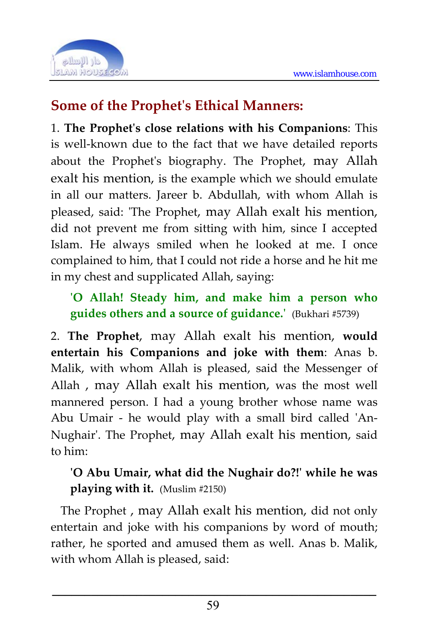

### **Some of the Prophetʹs Ethical Manners:**

1. **The Prophetʹs close relations with his Companions**: This is well-known due to the fact that we have detailed reports about the Prophet's biography. The Prophet, may Allah exalt his mention, is the example which we should emulate in all our matters. Jareer b. Abdullah, with whom Allah is pleased, said: 'The Prophet, may Allah exalt his mention, did not prevent me from sitting with him, since I accepted Islam. He always smiled when he looked at me. I once complained to him, that I could not ride a horse and he hit me in my chest and supplicated Allah, saying:

**ʹO Allah! Steady him, and make him a person who guides others and a source of guidance.ʹ** (Bukhari #5739)

2. **The Prophet**, may Allah exalt his mention, **would entertain his Companions and joke with them**: Anas b. Malik, with whom Allah is pleased, said the Messenger of Allah , may Allah exalt his mention, was the most well mannered person. I had a young brother whose name was Abu Umair - he would play with a small bird called 'An-Nughair'. The Prophet, may Allah exalt his mention, said to him:

### **ʹO Abu Umair, what did the Nughair do?!ʹ while he was playing with it.** (Muslim #2150)

The Prophet , may Allah exalt his mention, did not only entertain and joke with his companions by word of mouth; rather, he sported and amused them as well. Anas b. Malik, with whom Allah is pleased, said: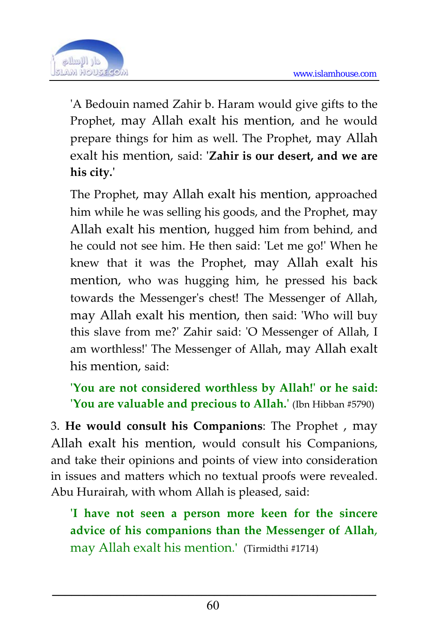

ʹA Bedouin named Zahir b. Haram would give gifts to the Prophet, may Allah exalt his mention, and he would prepare things for him as well. The Prophet, may Allah exalt his mention, said: **ʹZahir is our desert, and we are his city.ʹ** 

The Prophet, may Allah exalt his mention, approached him while he was selling his goods, and the Prophet, may Allah exalt his mention, hugged him from behind, and he could not see him. He then said: 'Let me go!' When he knew that it was the Prophet, may Allah exalt his mention, who was hugging him, he pressed his back towards the Messengerʹs chest! The Messenger of Allah, may Allah exalt his mention, then said: 'Who will buy this slave from me?' Zahir said: 'O Messenger of Allah, I am worthless!ʹ The Messenger of Allah, may Allah exalt his mention, said:

**ʹYou are not considered worthless by Allah!ʹ or he said: ʹYou are valuable and precious to Allah.ʹ** (Ibn Hibban #5790)

3. **He would consult his Companions**: The Prophet , may Allah exalt his mention, would consult his Companions, and take their opinions and points of view into consideration in issues and matters which no textual proofs were revealed. Abu Hurairah, with whom Allah is pleased, said:

**ʹI have not seen a person more keen for the sincere advice of his companions than the Messenger of Allah**, may Allah exalt his mention.**ʹ** (Tirmidthi #1714)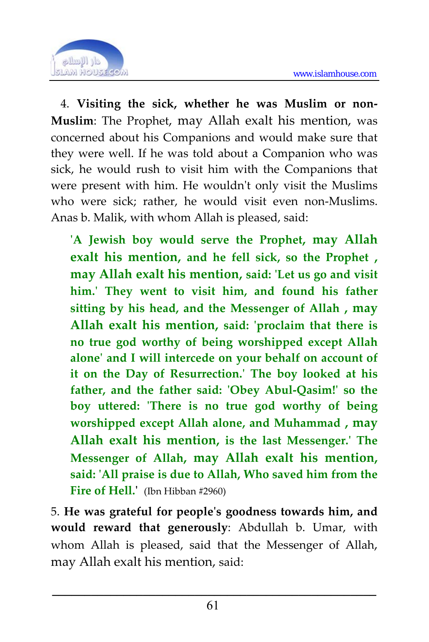

4. **Visiting the sick, whether he was Muslim or non‐ Muslim**: The Prophet, may Allah exalt his mention, was concerned about his Companions and would make sure that they were well. If he was told about a Companion who was sick, he would rush to visit him with the Companions that were present with him. He wouldn't only visit the Muslims who were sick; rather, he would visit even non-Muslims. Anas b. Malik, with whom Allah is pleased, said:

**ʹA Jewish boy would serve the Prophet, may Allah exalt his mention, and he fell sick, so the Prophet , may Allah exalt his mention, said: ʹLet us go and visit him.ʹ They went to visit him, and found his father sitting by his head, and the Messenger of Allah , may Allah exalt his mention, said: ʹproclaim that there is no true god worthy of being worshipped except Allah aloneʹ and I will intercede on your behalf on account of it on the Day of Resurrection.ʹ The boy looked at his father, and the father said: ʹObey Abul‐Qasim!ʹ so the boy uttered: ʹThere is no true god worthy of being worshipped except Allah alone, and Muhammad , may Allah exalt his mention, is the last Messenger.ʹ The Messenger of Allah, may Allah exalt his mention, said: ʹAll praise is due to Allah, Who saved him from the Fire of Hell.ʹ** (Ibn Hibban #2960)

5. **He was grateful for peopleʹs goodness towards him, and would reward that generously**: Abdullah b. Umar, with whom Allah is pleased, said that the Messenger of Allah, may Allah exalt his mention, said: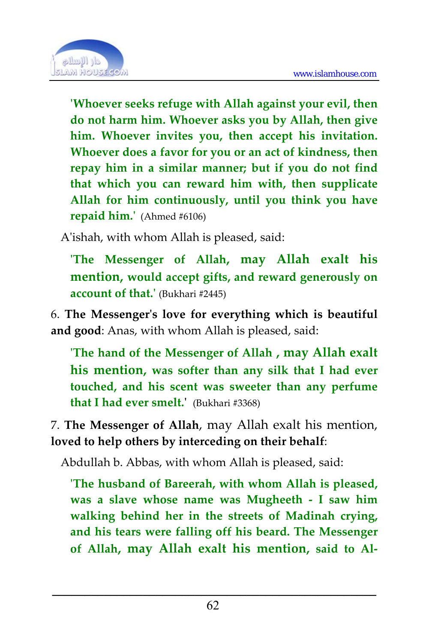

**ʹWhoever seeks refuge with Allah against your evil, then do not harm him. Whoever asks you by Allah, then give him. Whoever invites you, then accept his invitation. Whoever does a favor for you or an act of kindness, then repay him in a similar manner; but if you do not find that which you can reward him with, then supplicate Allah for him continuously, until you think you have repaid him.ʹ** (Ahmed #6106)

A'ishah, with whom Allah is pleased, said:

**ʹThe Messenger of Allah, may Allah exalt his mention, would accept gifts, and reward generously on account of that.ʹ** (Bukhari #2445)

6. **The Messengerʹs love for everything which is beautiful and good**: Anas, with whom Allah is pleased, said:

**ʹThe hand of the Messenger of Allah , may Allah exalt his mention, was softer than any silk that I had ever touched, and his scent was sweeter than any perfume that I had ever smelt.ʹ** (Bukhari #3368)

7. **The Messenger of Allah**, may Allah exalt his mention, **loved to help others by interceding on their behalf**:

Abdullah b. Abbas, with whom Allah is pleased, said:

**ʹThe husband of Bareerah, with whom Allah is pleased, was a slave whose name was Mugheeth ‐ I saw him walking behind her in the streets of Madinah crying, and his tears were falling off his beard. The Messenger of Allah, may Allah exalt his mention, said to Al‐**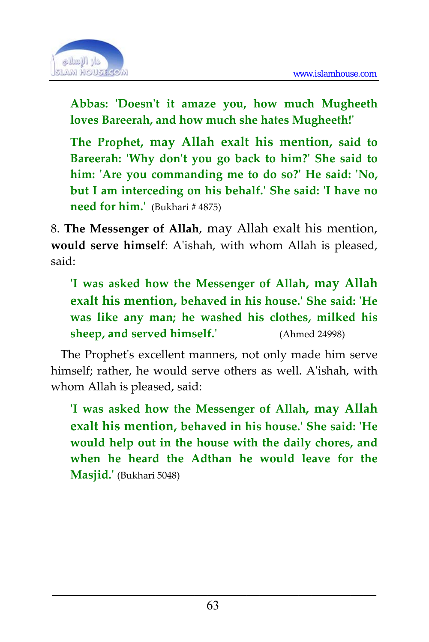

**Abbas: ʹDoesnʹt it amaze you, how much Mugheeth loves Bareerah, and how much she hates Mugheeth!ʹ** 

**The Prophet, may Allah exalt his mention, said to Bareerah: ʹWhy donʹt you go back to him?ʹ She said to him: ʹAre you commanding me to do so?ʹ He said: ʹNo, but I am interceding on his behalf.ʹ She said: ʹI have no need for him.ʹ** (Bukhari # 4875)

8. **The Messenger of Allah**, may Allah exalt his mention, **would serve himself**: Aʹishah, with whom Allah is pleased, said:

**ʹI was asked how the Messenger of Allah, may Allah exalt his mention, behaved in his house.ʹ She said: ʹHe was like any man; he washed his clothes, milked his sheep, and served himself.**<br>(Ahmed 24998)

The Prophet's excellent manners, not only made him serve himself; rather, he would serve others as well. A'ishah, with whom Allah is pleased, said:

**ʹI was asked how the Messenger of Allah, may Allah exalt his mention, behaved in his house.ʹ She said: ʹHe would help out in the house with the daily chores, and when he heard the Adthan he would leave for the Masjid.ʹ** (Bukhari 5048)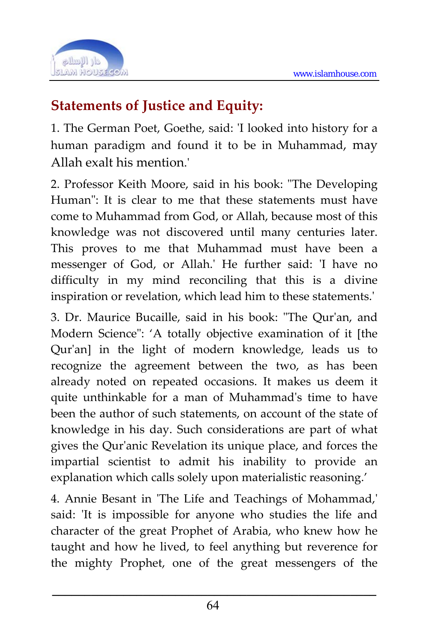

## **Statements of Justice and Equity:**

1. The German Poet, Goethe, said: 'I looked into history for a human paradigm and found it to be in Muhammad, may Allah exalt his mention.ʹ

2. Professor Keith Moore, said in his book: "The Developing Human": It is clear to me that these statements must have come to Muhammad from God, or Allah, because most of this knowledge was not discovered until many centuries later. This proves to me that Muhammad must have been a messenger of God, or Allah.' He further said: 'I have no difficulty in my mind reconciling that this is a divine inspiration or revelation, which lead him to these statements.ʹ

3. Dr. Maurice Bucaille, said in his book: "The Our'an, and Modern Science": 'A totally objective examination of it [the Qur'an] in the light of modern knowledge, leads us to recognize the agreement between the two, as has been already noted on repeated occasions. It makes us deem it quite unthinkable for a man of Muhammad's time to have been the author of such statements, on account of the state of knowledge in his day. Such considerations are part of what gives the Qurʹanic Revelation its unique place, and forces the impartial scientist to admit his inability to provide an explanation which calls solely upon materialistic reasoning.'

4. Annie Besant in 'The Life and Teachings of Mohammad,' said: 'It is impossible for anyone who studies the life and character of the great Prophet of Arabia, who knew how he taught and how he lived, to feel anything but reverence for the mighty Prophet, one of the great messengers of the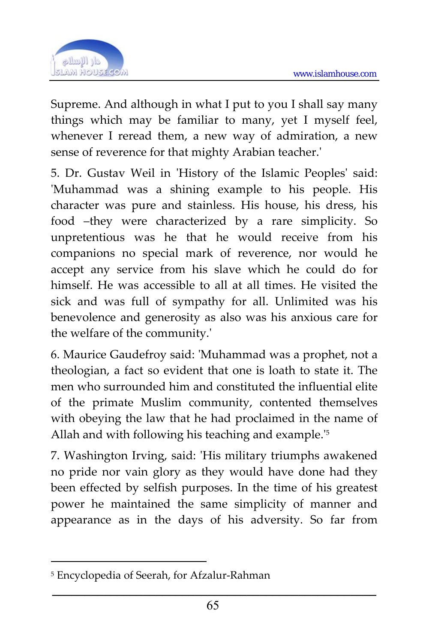

Supreme. And although in what I put to you I shall say many things which may be familiar to many, yet I myself feel, whenever I reread them, a new way of admiration, a new sense of reverence for that mighty Arabian teacher.'

5. Dr. Gustav Weil in 'History of the Islamic Peoples' said: 'Muhammad was a shining example to his people. His character was pure and stainless. His house, his dress, his food –they were characterized by a rare simplicity. So unpretentious was he that he would receive from his companions no special mark of reverence, nor would he accept any service from his slave which he could do for himself. He was accessible to all at all times. He visited the sick and was full of sympathy for all. Unlimited was his benevolence and generosity as also was his anxious care for the welfare of the community.'

6. Maurice Gaudefroy said: ʹMuhammad was a prophet, not a theologian, a fact so evident that one is loath to state it. The men who surrounded him and constituted the influential elite of the primate Muslim community, contented themselves with obeying the law that he had proclaimed in the name of Allah and with following his teaching and example.ʹ 5

7. Washington Irving, said: 'His military triumphs awakened no pride nor vain glory as they would have done had they been effected by selfish purposes. In the time of his greatest power he maintained the same simplicity of manner and appearance as in the days of his adversity. So far from

 $\overline{a}$ 

<sup>5</sup> Encyclopedia of Seerah, for Afzalur‐Rahman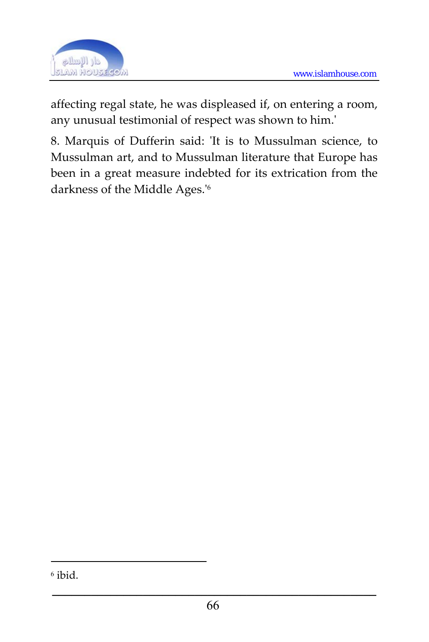

affecting regal state, he was displeased if, on entering a room, any unusual testimonial of respect was shown to him.ʹ

8. Marquis of Dufferin said: 'It is to Mussulman science, to Mussulman art, and to Mussulman literature that Europe has been in a great measure indebted for its extrication from the darkness of the Middle Ages.ʹ 6

 $\overline{a}$ 

<sup>6</sup> ibid.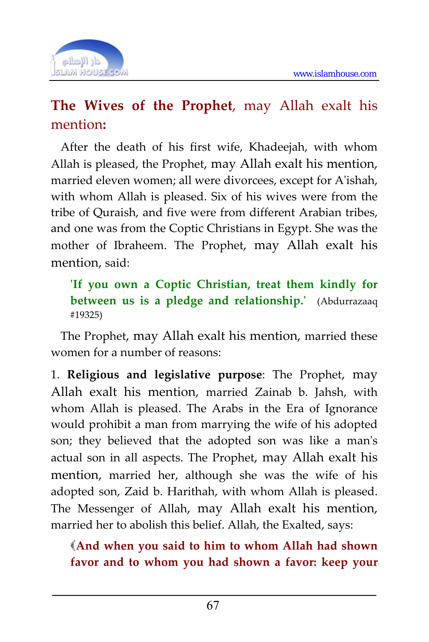

## **The Wives of the Prophet**, may Allah exalt his mention**:**

After the death of his first wife, Khadeejah, with whom Allah is pleased, the Prophet, may Allah exalt his mention, married eleven women; all were divorcees, except for A'ishah, with whom Allah is pleased. Six of his wives were from the tribe of Quraish, and five were from different Arabian tribes, and one was from the Coptic Christians in Egypt. She was the mother of Ibraheem. The Prophet, may Allah exalt his mention, said:

**ʹIf you own a Coptic Christian, treat them kindly for between us is a pledge and relationship.ʹ** (Abdurrazaaq #19325)

The Prophet, may Allah exalt his mention, married these women for a number of reasons:

1. **Religious and legislative purpose**: The Prophet, may Allah exalt his mention, married Zainab b. Jahsh, with whom Allah is pleased. The Arabs in the Era of Ignorance would prohibit a man from marrying the wife of his adopted son; they believed that the adopted son was like a man's actual son in all aspects. The Prophet, may Allah exalt his mention, married her, although she was the wife of his adopted son, Zaid b. Harithah, with whom Allah is pleased. The Messenger of Allah, may Allah exalt his mention, married her to abolish this belief. Allah, the Exalted, says:

**And when you said to him to whom Allah had shown favor and to whom you had shown a favor: keep your**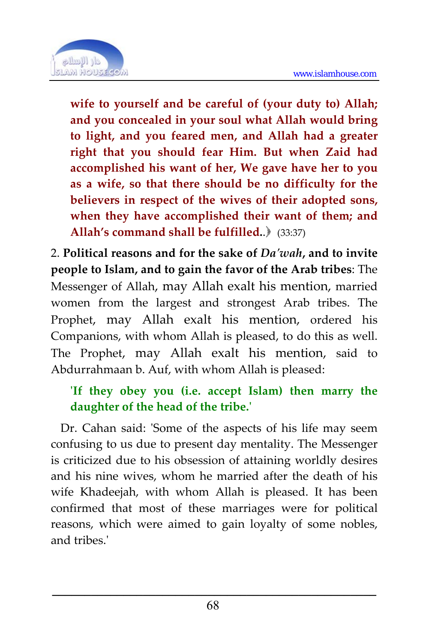

**wife to yourself and be careful of (your duty to) Allah; and you concealed in your soul what Allah would bring to light, and you feared men, and Allah had a greater right that you should fear Him. But when Zaid had accomplished his want of her, We gave have her to you as a wife, so that there should be no difficulty for the believers in respect of the wives of their adopted sons, when they have accomplished their want of them; and Allah's command shall be fulfilled.**. (33:37)

2. **Political reasons and for the sake of** *Daʹwah***, and to invite people to Islam, and to gain the favor of the Arab tribes**: The Messenger of Allah, may Allah exalt his mention, married women from the largest and strongest Arab tribes. The Prophet, may Allah exalt his mention, ordered his Companions, with whom Allah is pleased, to do this as well. The Prophet, may Allah exalt his mention, said to Abdurrahmaan b. Auf, with whom Allah is pleased:

**ʹIf they obey you (i.e. accept Islam) then marry the daughter of the head of the tribe.ʹ** 

Dr. Cahan said: 'Some of the aspects of his life may seem confusing to us due to present day mentality. The Messenger is criticized due to his obsession of attaining worldly desires and his nine wives, whom he married after the death of his wife Khadeejah, with whom Allah is pleased. It has been confirmed that most of these marriages were for political reasons, which were aimed to gain loyalty of some nobles, and tribes.ʹ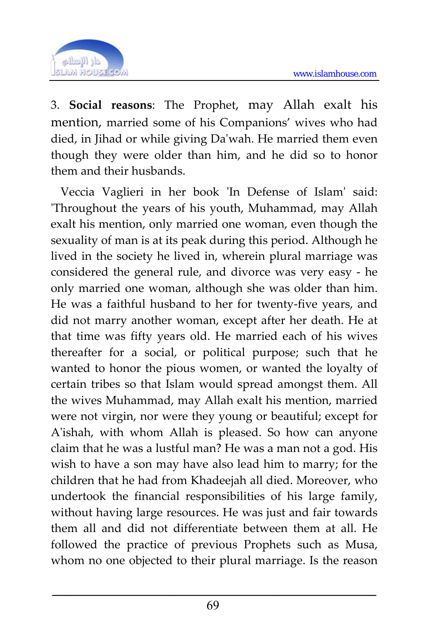

3. **Social reasons**: The Prophet, may Allah exalt his mention, married some of his Companions' wives who had died, in Jihad or while giving Daʹwah. He married them even though they were older than him, and he did so to honor them and their husbands.

Veccia Vaglieri in her book 'In Defense of Islam' said: ʹThroughout the years of his youth, Muhammad, may Allah exalt his mention, only married one woman, even though the sexuality of man is at its peak during this period. Although he lived in the society he lived in, wherein plural marriage was considered the general rule, and divorce was very easy ‐ he only married one woman, although she was older than him. He was a faithful husband to her for twenty‐five years, and did not marry another woman, except after her death. He at that time was fifty years old. He married each of his wives thereafter for a social, or political purpose; such that he wanted to honor the pious women, or wanted the loyalty of certain tribes so that Islam would spread amongst them. All the wives Muhammad, may Allah exalt his mention, married were not virgin, nor were they young or beautiful; except for A'ishah, with whom Allah is pleased. So how can anyone claim that he was a lustful man? He was a man not a god. His wish to have a son may have also lead him to marry; for the children that he had from Khadeejah all died. Moreover, who undertook the financial responsibilities of his large family, without having large resources. He was just and fair towards them all and did not differentiate between them at all. He followed the practice of previous Prophets such as Musa, whom no one objected to their plural marriage. Is the reason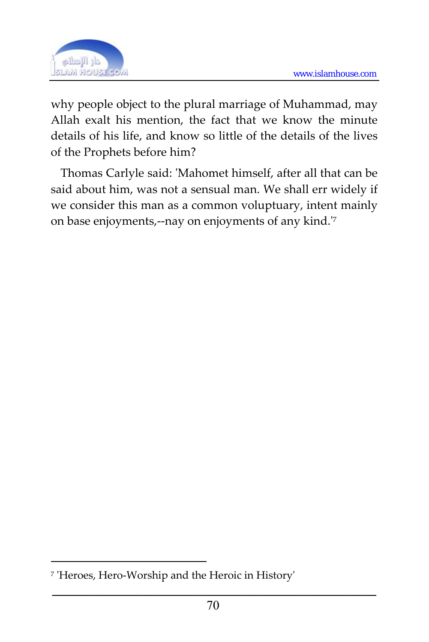

why people object to the plural marriage of Muhammad, may Allah exalt his mention, the fact that we know the minute details of his life, and know so little of the details of the lives of the Prophets before him?

Thomas Carlyle said: 'Mahomet himself, after all that can be said about him, was not a sensual man. We shall err widely if we consider this man as a common voluptuary, intent mainly on base enjoyments,‐‐nay on enjoyments of any kind.ʹ 7

 $\overline{a}$ 

<sup>&</sup>lt;sup>7</sup> 'Heroes, Hero-Worship and the Heroic in History'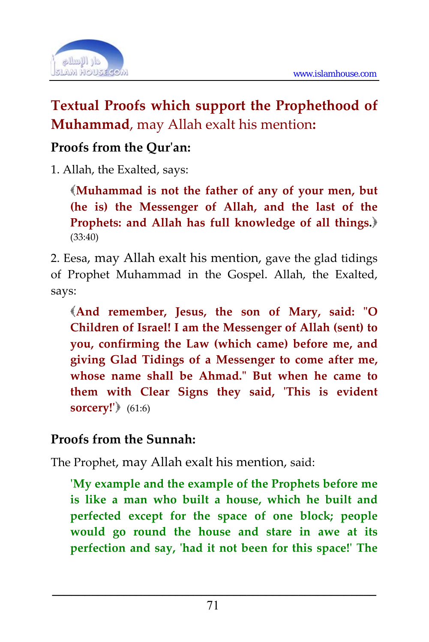

# **Textual Proofs which support the Prophethood of Muhammad**, may Allah exalt his mention**:**

### **Proofs from the Qurʹan:**

1. Allah, the Exalted, says:

**Muhammad is not the father of any of your men, but (he is) the Messenger of Allah, and the last of the Prophets: and Allah has full knowledge of all things.** (33:40)

2. Eesa, may Allah exalt his mention, gave the glad tidings of Prophet Muhammad in the Gospel. Allah, the Exalted, says:

**And remember, Jesus, the son of Mary, said: ʺO Children of Israel! I am the Messenger of Allah (sent) to you, confirming the Law (which came) before me, and giving Glad Tidings of a Messenger to come after me, whose name shall be Ahmad.ʺ But when he came to them with Clear Signs they said, ʹThis is evident sorcery!ʹ** (61:6)

### **Proofs from the Sunnah:**

The Prophet, may Allah exalt his mention, said:

**ʹMy example and the example of the Prophets before me is like a man who built a house, which he built and perfected except for the space of one block; people would go round the house and stare in awe at its perfection and say, ʹhad it not been for this space!ʹ The**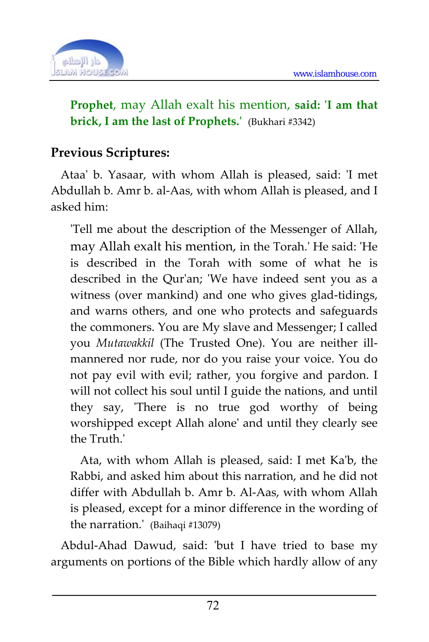

**Prophet**, may Allah exalt his mention, **said: ʹI am that brick, I am the last of Prophets.ʹ** (Bukhari #3342)

### **Previous Scriptures:**

Ataa' b. Yasaar, with whom Allah is pleased, said: 'I met Abdullah b. Amr b. al‐Aas, with whom Allah is pleased, and I asked him:

ʹTell me about the description of the Messenger of Allah, may Allah exalt his mention, in the Torah.ʹ He said: ʹHe is described in the Torah with some of what he is described in the Qur'an; 'We have indeed sent you as a witness (over mankind) and one who gives glad-tidings, and warns others, and one who protects and safeguards the commoners. You are My slave and Messenger; I called you *Mutawakkil* (The Trusted One). You are neither ill‐ mannered nor rude, nor do you raise your voice. You do not pay evil with evil; rather, you forgive and pardon. I will not collect his soul until I guide the nations, and until they say, 'There is no true god worthy of being worshipped except Allah aloneʹ and until they clearly see the Truth.ʹ

Ata, with whom Allah is pleased, said: I met Kaʹb, the Rabbi, and asked him about this narration, and he did not differ with Abdullah b. Amr b. Al‐Aas, with whom Allah is pleased, except for a minor difference in the wording of the narration.ʹ (Baihaqi #13079)

Abdul-Ahad Dawud, said: 'but I have tried to base my arguments on portions of the Bible which hardly allow of any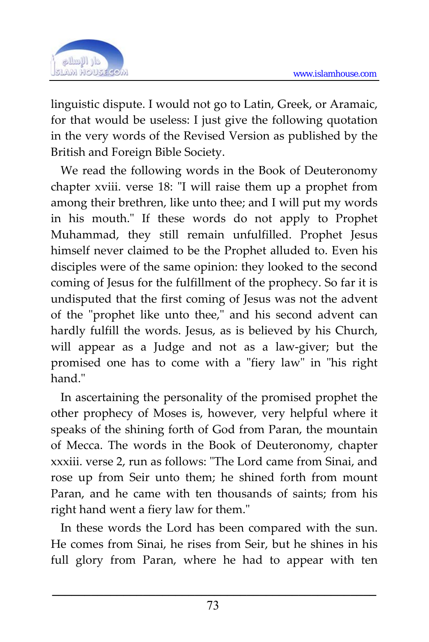

linguistic dispute. I would not go to Latin, Greek, or Aramaic, for that would be useless: I just give the following quotation in the very words of the Revised Version as published by the British and Foreign Bible Society.

We read the following words in the Book of Deuteronomy chapter xviii. verse 18: "I will raise them up a prophet from among their brethren, like unto thee; and I will put my words in his mouth." If these words do not apply to Prophet Muhammad, they still remain unfulfilled. Prophet Jesus himself never claimed to be the Prophet alluded to. Even his disciples were of the same opinion: they looked to the second coming of Jesus for the fulfillment of the prophecy. So far it is undisputed that the first coming of Jesus was not the advent of the "prophet like unto thee," and his second advent can hardly fulfill the words. Jesus, as is believed by his Church, will appear as a Judge and not as a law‐giver; but the promised one has to come with a "fiery law" in "his right hand."

In ascertaining the personality of the promised prophet the other prophecy of Moses is, however, very helpful where it speaks of the shining forth of God from Paran, the mountain of Mecca. The words in the Book of Deuteronomy, chapter xxxiii. verse 2, run as follows: "The Lord came from Sinai, and rose up from Seir unto them; he shined forth from mount Paran, and he came with ten thousands of saints; from his right hand went a fiery law for them."

In these words the Lord has been compared with the sun. He comes from Sinai, he rises from Seir, but he shines in his full glory from Paran, where he had to appear with ten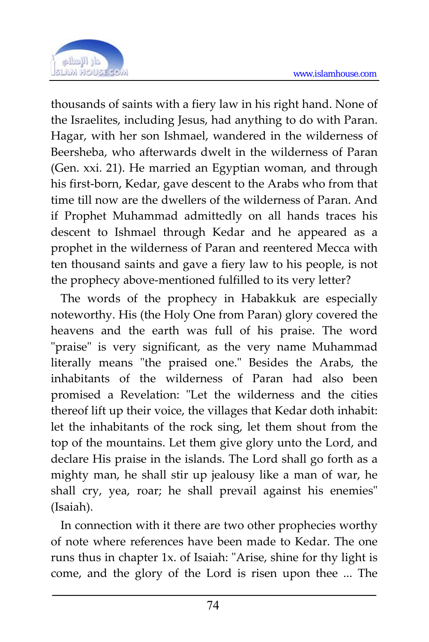

thousands of saints with a fiery law in his right hand. None of the Israelites, including Jesus, had anything to do with Paran. Hagar, with her son Ishmael, wandered in the wilderness of Beersheba, who afterwards dwelt in the wilderness of Paran (Gen. xxi. 21). He married an Egyptian woman, and through his first-born, Kedar, gave descent to the Arabs who from that time till now are the dwellers of the wilderness of Paran. And if Prophet Muhammad admittedly on all hands traces his descent to Ishmael through Kedar and he appeared as a prophet in the wilderness of Paran and reentered Mecca with ten thousand saints and gave a fiery law to his people, is not the prophecy above‐mentioned fulfilled to its very letter?

The words of the prophecy in Habakkuk are especially noteworthy. His (the Holy One from Paran) glory covered the heavens and the earth was full of his praise. The word "praise" is very significant, as the very name Muhammad literally means "the praised one." Besides the Arabs, the inhabitants of the wilderness of Paran had also been promised a Revelation: "Let the wilderness and the cities thereof lift up their voice, the villages that Kedar doth inhabit: let the inhabitants of the rock sing, let them shout from the top of the mountains. Let them give glory unto the Lord, and declare His praise in the islands. The Lord shall go forth as a mighty man, he shall stir up jealousy like a man of war, he shall cry, yea, roar; he shall prevail against his enemies" (Isaiah).

In connection with it there are two other prophecies worthy of note where references have been made to Kedar. The one runs thus in chapter 1x. of Isaiah: "Arise, shine for thy light is come, and the glory of the Lord is risen upon thee ... The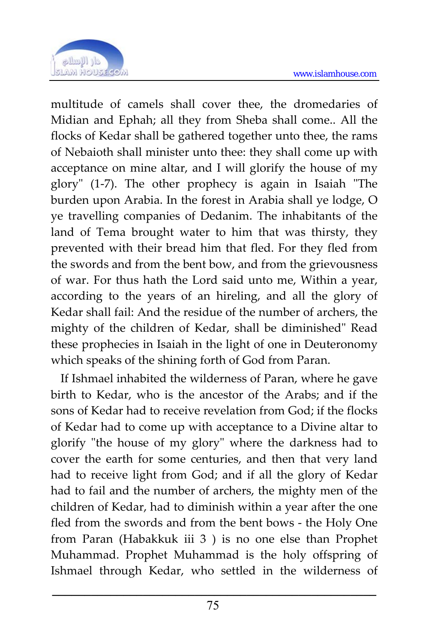

multitude of camels shall cover thee, the dromedaries of Midian and Ephah; all they from Sheba shall come.. All the flocks of Kedar shall be gathered together unto thee, the rams of Nebaioth shall minister unto thee: they shall come up with acceptance on mine altar, and I will glorify the house of my glory" (1-7). The other prophecy is again in Isaiah "The burden upon Arabia. In the forest in Arabia shall ye lodge, O ye travelling companies of Dedanim. The inhabitants of the land of Tema brought water to him that was thirsty, they prevented with their bread him that fled. For they fled from the swords and from the bent bow, and from the grievousness of war. For thus hath the Lord said unto me, Within a year, according to the years of an hireling, and all the glory of Kedar shall fail: And the residue of the number of archers, the mighty of the children of Kedar, shall be diminished" Read these prophecies in Isaiah in the light of one in Deuteronomy which speaks of the shining forth of God from Paran.

If Ishmael inhabited the wilderness of Paran, where he gave birth to Kedar, who is the ancestor of the Arabs; and if the sons of Kedar had to receive revelation from God; if the flocks of Kedar had to come up with acceptance to a Divine altar to glorify "the house of my glory" where the darkness had to cover the earth for some centuries, and then that very land had to receive light from God; and if all the glory of Kedar had to fail and the number of archers, the mighty men of the children of Kedar, had to diminish within a year after the one fled from the swords and from the bent bows ‐ the Holy One from Paran (Habakkuk iii 3 ) is no one else than Prophet Muhammad. Prophet Muhammad is the holy offspring of Ishmael through Kedar, who settled in the wilderness of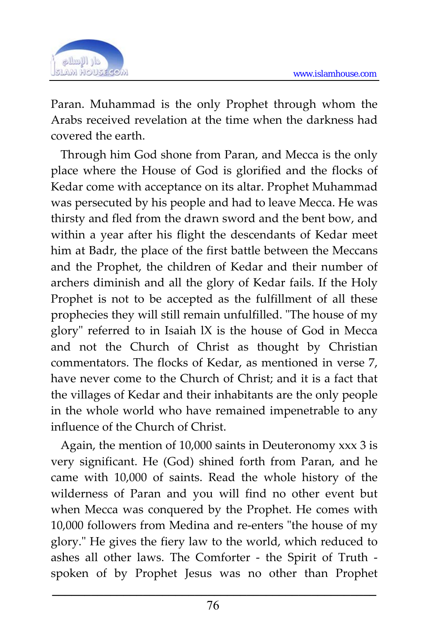

Paran. Muhammad is the only Prophet through whom the Arabs received revelation at the time when the darkness had covered the earth.

Through him God shone from Paran, and Mecca is the only place where the House of God is glorified and the flocks of Kedar come with acceptance on its altar. Prophet Muhammad was persecuted by his people and had to leave Mecca. He was thirsty and fled from the drawn sword and the bent bow, and within a year after his flight the descendants of Kedar meet him at Badr, the place of the first battle between the Meccans and the Prophet, the children of Kedar and their number of archers diminish and all the glory of Kedar fails. If the Holy Prophet is not to be accepted as the fulfillment of all these prophecies they will still remain unfulfilled. "The house of my glory" referred to in Isaiah IX is the house of God in Mecca and not the Church of Christ as thought by Christian commentators. The flocks of Kedar, as mentioned in verse 7, have never come to the Church of Christ; and it is a fact that the villages of Kedar and their inhabitants are the only people in the whole world who have remained impenetrable to any influence of the Church of Christ.

Again, the mention of 10,000 saints in Deuteronomy xxx 3 is very significant. He (God) shined forth from Paran, and he came with 10,000 of saints. Read the whole history of the wilderness of Paran and you will find no other event but when Mecca was conquered by the Prophet. He comes with 10,000 followers from Medina and re-enters "the house of my glory.ʺ He gives the fiery law to the world, which reduced to ashes all other laws. The Comforter - the Spirit of Truth spoken of by Prophet Jesus was no other than Prophet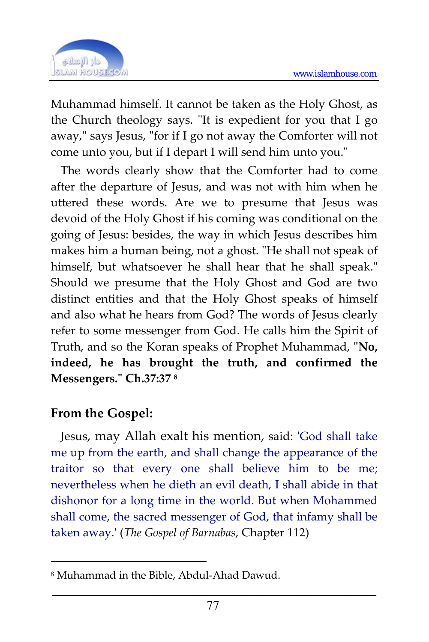

Muhammad himself. It cannot be taken as the Holy Ghost, as the Church theology says. "It is expedient for you that  $I$  go away," says Jesus, "for if I go not away the Comforter will not come unto you, but if I depart I will send him unto you."

The words clearly show that the Comfort[er](#page-76-0) had to come after the departure of Jesus, and was not with him when he uttered these words. Are we to presume that Jesus was devoid of the Holy Ghost if his coming was conditional on the going of Jesus: besides, the way in which Jesus describes him makes him a human being, not a ghost. "He shall not speak of himself, but whatsoever he shall hear that he shall speak." Should we presume that the Holy Ghost and God are two distinct entities and that the Holy Ghost speaks of himself and also what he hears from God? The words of Jesus clearly refer to some messenger from God. He calls him the Spirit of Truth, and so the Koran speaks of Prophet Muhammad, **ʺNo, indeed, he has brought the truth, and confirmed the Messengers.ʺ Ch.37:37 <sup>8</sup>**

### **From the Gospel:**

 $\overline{a}$ 

Jesus, may Allah exalt his mention, said: 'God shall take me up from the earth, and shall change the appearance of the traitor so that every one shall believe him to be me; nevertheless when he dieth an evil death, I shall abide in that dishonor for a long time in the world. But when Mohammed shall come, the sacred messenger of God, that infamy shall be taken away.ʹ (*The Gospel of Barnabas*, Chapter 112)

<span id="page-76-0"></span><sup>8</sup> Muhammad in the Bible, Abdul‐Ahad Dawud.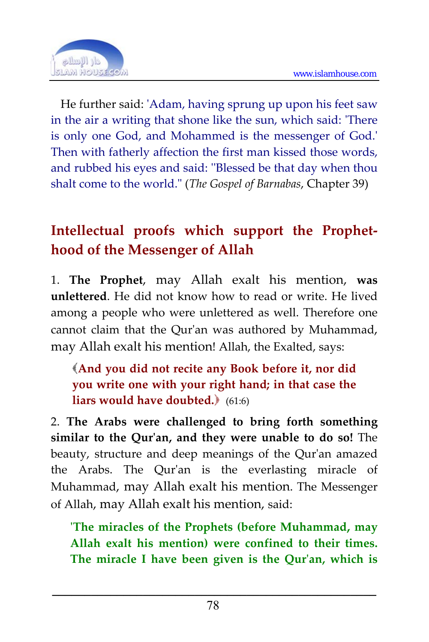

He further said: 'Adam, having sprung up upon his feet saw in the air a writing that shone like the sun, which said: 'There is only one God, and Mohammed is the messenger of God.ʹ Then with fatherly affection the first man kissed those words, and rubbed his eyes and said: "Blessed be that day when thou shalt come to the world.ʺ (*The Gospel of Barnabas*, Chapter 39)

# **Intellectual proofs which support the Prophet‐ hood of the Messenger of Allah**

1. **The Prophet**, may Allah exalt his mention, **was unlettered**. He did not know how to read or write. He lived among a people who were unlettered as well. Therefore one cannot claim that the Qur'an was authored by Muhammad, may Allah exalt his mention! Allah, the Exalted, says:

#### **And you did not recite any Book before it, nor did you write one with your right hand; in that case the liars would have doubted.** (61:6)

2. **The Arabs were challenged to bring forth something similar to the Qurʹan, and they were unable to do so!** The beauty, structure and deep meanings of the Qur'an amazed the Arabs. The Qurʹan is the everlasting miracle of Muhammad, may Allah exalt his mention. The Messenger of Allah, may Allah exalt his mention, said:

**ʹThe miracles of the Prophets (before Muhammad, may Allah exalt his mention) were confined to their times. The miracle I have been given is the Qurʹan, which is**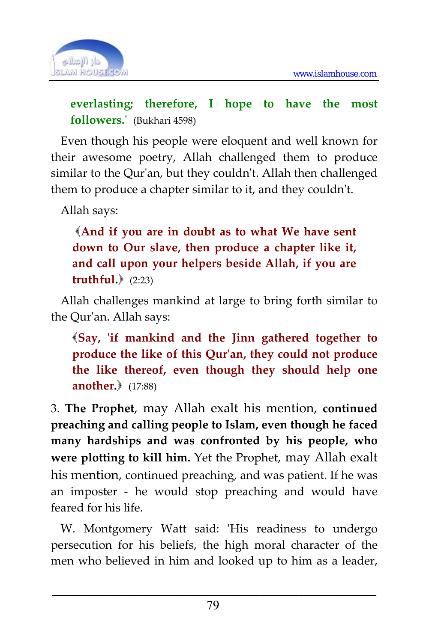

**everlasting; therefore, I hope to have the most followers.ʹ** (Bukhari 4598)

Even though his people were eloquent and well known for their awesome poetry, Allah challenged them to produce similar to the Our'an, but they couldn't. Allah then challenged them to produce a chapter similar to it, and they couldn't.

Allah says:

**And if you are in doubt as to what We have sent down to Our slave, then produce a chapter like it, and call upon your helpers beside Allah, if you are truthful.** (2:23)

Allah challenges mankind at large to bring forth similar to the Qur'an. Allah says:

**Say, ʹif mankind and the Jinn gathered together to produce the like of this Qurʹan, they could not produce the like thereof, even though they should help one another.** (17:88)

3. **The Prophet**, may Allah exalt his mention, **continued preaching and calling people to Islam, even though he faced many hardships and was confronted by his people, who were plotting to kill him.** Yet the Prophet, may Allah exalt his mention, continued preaching, and was patient. If he was an imposter - he would stop preaching and would have feared for his life.

W. Montgomery Watt said: 'His readiness to undergo persecution for his beliefs, the high moral character of the men who believed in him and looked up to him as a leader,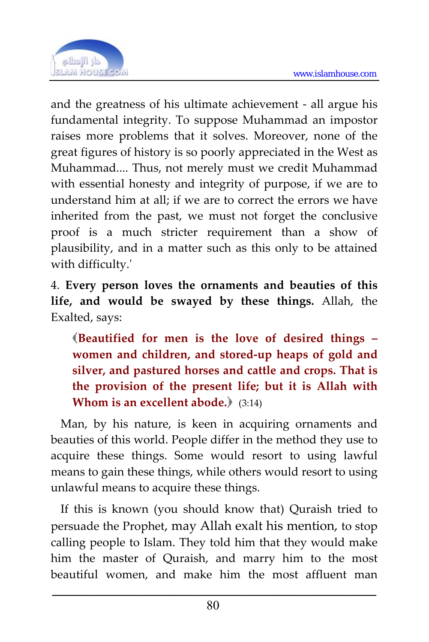

and the greatness of his ultimate achievement ‐ all argue his fundamental integrity. To suppose Muhammad an impostor raises more problems that it solves. Moreover, none of the great figures of history is so poorly appreciated in the West as Muhammad.... Thus, not merely must we credit Muhammad with essential honesty and integrity of purpose, if we are to understand him at all; if we are to correct the errors we have inherited from the past, we must not forget the conclusive proof is a much stricter requirement than a show of plausibility, and in a matter such as this only to be attained with difficulty.'

4. **Every person loves the ornaments and beauties of this life, and would be swayed by these things.** Allah, the Exalted, says:

**Beautified for men is the love of desired things – women and children, and stored‐up heaps of gold and silver, and pastured horses and cattle and crops. That is the provision of the present life; but it is Allah with Whom is an excellent abode.** (3:14)

Man, by his nature, is keen in acquiring ornaments and beauties of this world. People differ in the method they use to acquire these things. Some would resort to using lawful means to gain these things, while others would resort to using unlawful means to acquire these things.

If this is known (you should know that) Quraish tried to persuade the Prophet, may Allah exalt his mention, to stop calling people to Islam. They told him that they would make him the master of Quraish, and marry him to the most beautiful women, and make him the most affluent man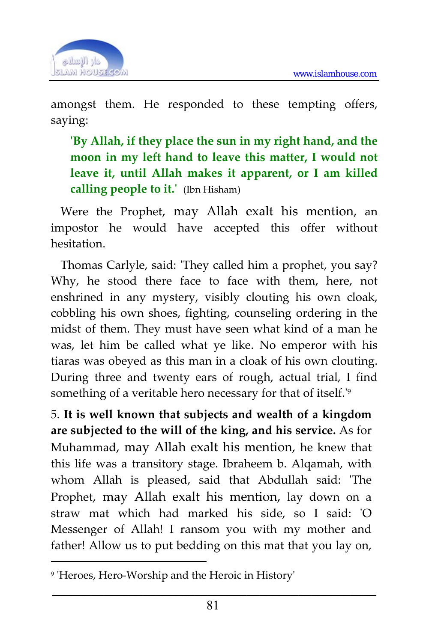

amongst them. He responded to these tempting offers, saying:

**ʹBy Allah, if they place the sun in my right hand, and the moon in my left hand to leave this matter, I would not leave it, until Allah makes it apparent, or I am killed calling people to it.ʹ** (Ibn Hisham)

Were the Prophet, may Allah exalt his mention, an impostor he would have accepted this offer without hesitation.

Thomas Carlyle, said: 'They called him a prophet, you say? Why, he stood there face to face with them, here, not enshrined in any mystery, visibly clouting his own cloak, cobbling his own shoes, fighting, counseling ordering in the midst of them. They must have seen what kind of a man he was, let him be called what ye like. No emperor with his tiaras was obeyed as this man in a cloak of his own clouting. During three and twenty ears of rough, actual trial, I find something of a veritable hero necessary for that of itself.'<sup>9</sup>

5. **It is well known that subjects and wealth of a kingdom are subjected to the will of the king, and his service.** As for Muhammad, may Allah exalt his mention, he knew that this life was a transitory stage. Ibraheem b. Alqamah, with whom Allah is pleased, said that Abdullah said: 'The Prophet, may Allah exalt his mention, lay down on a straw mat which had marked his side, so I said: ʹO Messenger of Allah! I ransom you with my mother and father! Allow us to put bedding on this mat that you lay on,

<sup>&</sup>lt;sup>9</sup> 'Heroes, Hero-Worship and the Heroic in History'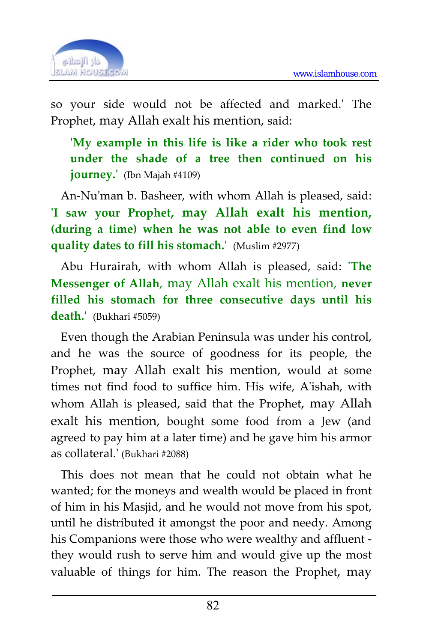

so your side would not be affected and marked.ʹ The Prophet, may Allah exalt his mention, said:

**ʹMy example in this life is like a rider who took rest under the shade of a tree then continued on his journey.ʹ** (Ibn Majah #4109)

An-Nu'man b. Basheer, with whom Allah is pleased, said: **ʹI saw your Prophet, may Allah exalt his mention, (during a time) when he was not able to even find low quality dates to fill his stomach.ʹ**  (Muslim #2977)

Abu Hurairah, with whom Allah is pleased, said: **ʹThe Messenger of Allah**, may Allah exalt his mention, **never filled his stomach for three consecutive days until his death.ʹ** (Bukhari #5059)

Even though the Arabian Peninsula was under his control, and he was the source of goodness for its people, the Prophet, may Allah exalt his mention, would at some times not find food to suffice him. His wife, A'ishah, with whom Allah is pleased, said that the Prophet, may Allah exalt his mention, bought some food from a Jew (and agreed to pay him at a later time) and he gave him his armor as collateral.ʹ (Bukhari #2088)

This does not mean that he could not obtain what he wanted; for the moneys and wealth would be placed in front of him in his Masjid, and he would not move from his spot, until he distributed it amongst the poor and needy. Among his Companions were those who were wealthy and affluent ‐ they would rush to serve him and would give up the most valuable of things for him. The reason the Prophet, may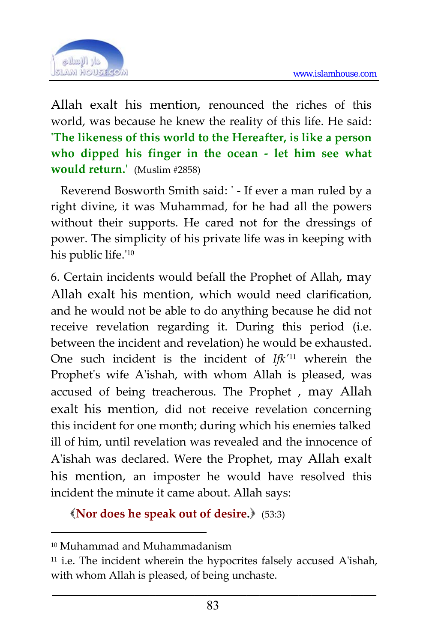

Allah exalt his mention, renounced the riches of this world, was because he knew the reality of this life. He said: **ʹThe likeness of this world to the Hereafter, is like a person who dipped his finger in the ocean ‐ let him see what would return.ʹ** (Muslim #2858)

Reverend Bosworth Smith said: ʹ ‐ If ever a man ruled by a right divine, it was Muhammad, for he had all the powers without their supports. He cared not for the dressings of power. The simplicity of his private life was in keeping with his public life.'<sup>10</sup>

6. Certain incidents would befall the Prophet of Allah, may Allah exalt his mention, which would need clarification, and he would not be able to do anything because he did not receive revelation regarding it. During this period (i.e. between the incident and revelation) he would be exhausted. One such incident is the incident of *Ifkʹ*<sup>11</sup> wherein the Prophet's wife A'ishah, with whom Allah is pleased, was accused of being treacherous. The Prophet , may Allah exalt his mention, did not receive revelation concerning this incident for one month; during which his enemies talked ill of him, until revelation was revealed and the innocence of A'ishah was declared. Were the Prophet, may Allah exalt his mention, an imposter he would have resolved this incident the minute it came about. Allah says:

**Nor does he speak out of desire.** (53:3)

<sup>10</sup> Muhammad and Muhammadanism

 $11$  i.e. The incident wherein the hypocrites falsely accused A'ishah, with whom Allah is pleased, of being unchaste.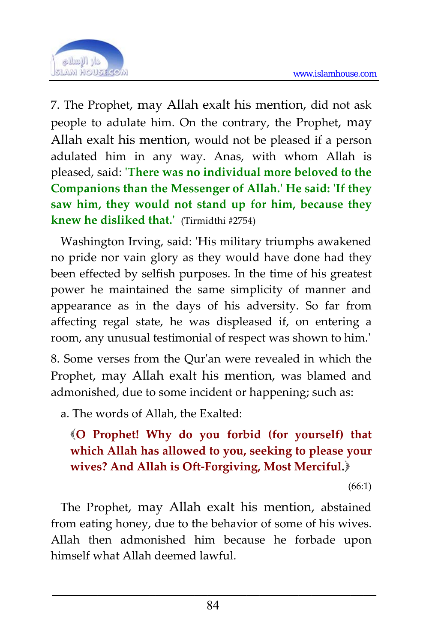

7. The Prophet, may Allah exalt his mention, did not ask people to adulate him. On the contrary, the Prophet, may Allah exalt his mention, would not be pleased if a person adulated him in any way. Anas, with whom Allah is pleased, said: **ʹThere was no individual more beloved to the Companions than the Messenger of Allah.ʹ He said: ʹIf they saw him, they would not stand up for him, because they knew he disliked that.ʹ** (Tirmidthi #2754)

Washington Irving, said: 'His military triumphs awakened no pride nor vain glory as they would have done had they been effected by selfish purposes. In the time of his greatest power he maintained the same simplicity of manner and appearance as in the days of his adversity. So far from affecting regal state, he was displeased if, on entering a room, any unusual testimonial of respect was shown to him.ʹ

8. Some verses from the Qurʹan were revealed in which the Prophet, may Allah exalt his mention, was blamed and admonished, due to some incident or happening; such as:

a. The words of Allah, the Exalted:

**O Prophet! Why do you forbid (for yourself) that which Allah has allowed to you, seeking to please your wives? And Allah is Oft‐Forgiving, Most Merciful.**

(66:1)

The Prophet, may Allah exalt his mention, abstained from eating honey, due to the behavior of some of his wives. Allah then admonished him because he forbade upon himself what Allah deemed lawful.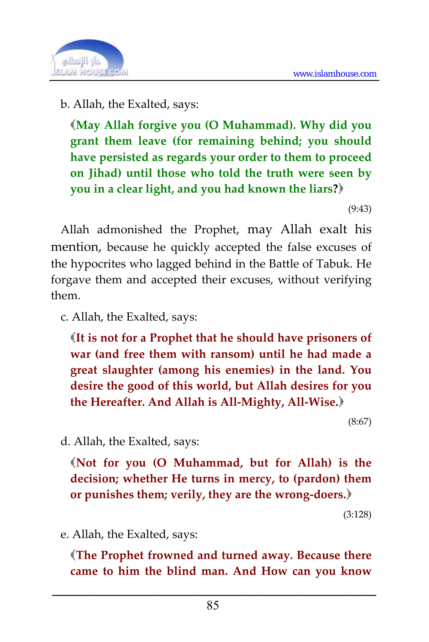

b. Allah, the Exalted, says:

**May Allah forgive you (O Muhammad). Why did you grant them leave (for remaining behind; you should have persisted as regards your order to them to proceed on Jihad) until those who told the truth were seen by you in a clear light, and you had known the liars?**

(9:43)

Allah admonished the Prophet, may Allah exalt his mention, because he quickly accepted the false excuses of the hypocrites who lagged behind in the Battle of Tabuk. He forgave them and accepted their excuses, without verifying them.

c. Allah, the Exalted, says:

**It is not for a Prophet that he should have prisoners of war (and free them with ransom) until he had made a great slaughter (among his enemies) in the land. You desire the good of this world, but Allah desires for you the Hereafter. And Allah is All‐Mighty, All‐Wise.** 

(8:67)

d. Allah, the Exalted, says:

**Not for you (O Muhammad, but for Allah) is the decision; whether He turns in mercy, to (pardon) them or punishes them; verily, they are the wrong‐doers.** 

(3:128)

e. Allah, the Exalted, says:

**The Prophet frowned and turned away. Because there came to him the blind man. And How can you know**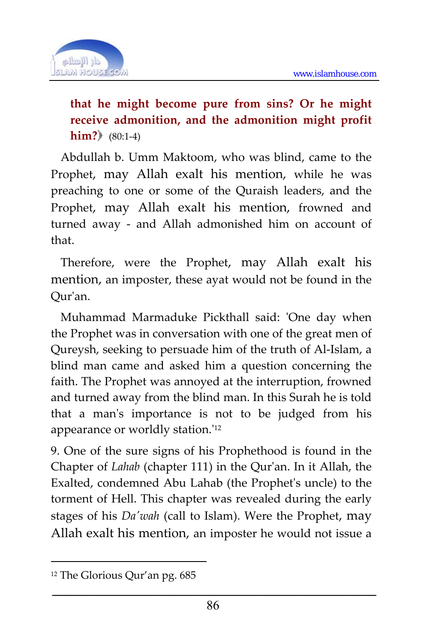

**that he might become pure from sins? Or he might receive admonition, and the admonition might profit**  $\text{him?}$  (80:1-4)

Abdullah b. Umm Maktoom, who was blind, came to the Prophet, may Allah exalt his mention, while he was preaching to one or some of the Quraish leaders, and the Prophet, may Allah exalt his mention, frowned and turned away - and Allah admonished him on ac[cou](#page-85-0)nt of that.

Therefore, were the Prophet, may Allah exalt his mention, an imposter, these ayat would not be found in the Qurʹan.

Muhammad Marmaduke Pickthall said: 'One day when the Prophet was in conversation with one of the great men of Qureysh, seeking to persuade him of the truth of Al‐Islam, a blind man came and asked him a question concerning the faith. The Prophet was annoyed at the interruption, frowned and turned away from the blind man. In this Surah he is told that a manʹs importance is not to be judged from his appearance or worldly station.'<sup>12</sup>

9. One of the sure signs of his Prophethood is found in the Chapter of *Lahab* (chapter 111) in the Qurʹan. In it Allah, the Exalted, condemned Abu Lahab (the Prophet's uncle) to the torment of Hell. This chapter was revealed during the early stages of his *Daʹwah* (call to Islam). Were the Prophet, may Allah exalt his mention, an imposter he would not issue a

<span id="page-85-0"></span><sup>12</sup> The Glorious Qur'an pg. 685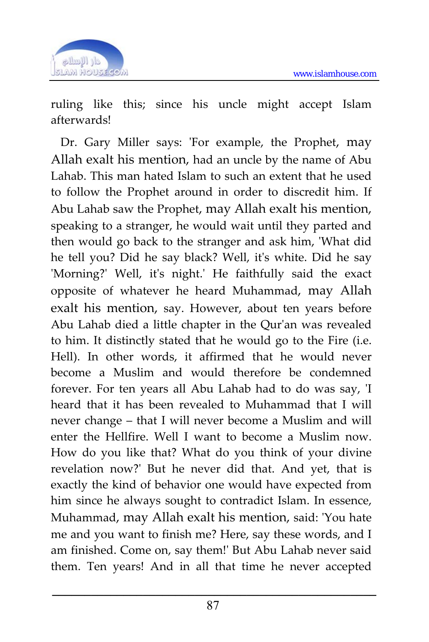

ruling like this; since his uncle might accept Islam afterwards!

Dr. Gary Miller says: 'For example, the Prophet, may Allah exalt his mention, had an uncle by the name of Abu Lahab. This man hated Islam to such an extent that he used to follow the Prophet around in order to discredit him. If Abu Lahab saw the Prophet, may Allah exalt his mention, speaking to a stranger, he would wait until they parted and then would go back to the stranger and ask him, ʹWhat did he tell you? Did he say black? Well, itʹs white. Did he say 'Morning?' Well, it's night.' He faithfully said the exact opposite of whatever he heard Muhammad, may Allah exalt his mention, say. However, about ten years before Abu Lahab died a little chapter in the Qur'an was revealed to him. It distinctly stated that he would go to the Fire (i.e. Hell). In other words, it affirmed that he would never become a Muslim and would therefore be condemned forever. For ten years all Abu Lahab had to do was say, 'I heard that it has been revealed to Muhammad that I will never change – that I will never become a Muslim and will enter the Hellfire. Well I want to become a Muslim now. How do you like that? What do you think of your divine revelation now?ʹ But he never did that. And yet, that is exactly the kind of behavior one would have expected from him since he always sought to contradict Islam. In essence, Muhammad, may Allah exalt his mention, said: 'You hate me and you want to finish me? Here, say these words, and I am finished. Come on, say them!ʹ But Abu Lahab never said them. Ten years! And in all that time he never accepted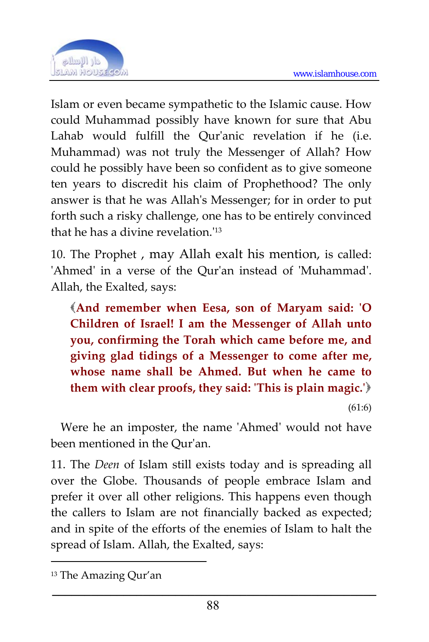

Islam or even became sympathetic to the Islamic cause. How could Muhammad possibly have known for sure that Abu Lahab would fulfill the Qur'anic revelation if he (i.e. Muhammad) was not truly the Messenger of Allah? How could he possibly have been so confident as to give someone ten years to discredit his claim of Prophethood? The only answer is that he was Allahʹs Messenger; for in order to put forth such a risky challenge, one has to be entirely convinced that he has a divine revelation.'<sup>13</sup>

10. The Prophet , may Allah exalt his mention, is called: 'Ahmed' in a verse of the Qur'an instead of 'Muhammad'. Allah, the Exalted, says:

**And remember when Eesa, son of Maryam said: ʹO Children of Israel! I am the Messenger of Allah unto you, confirming the Torah which came before me, and giving glad tidings of a Messenger to come after me, whose name shall be Ahmed. But when he came to them with clear proofs, they said: ʹThis is plain magic.ʹ** (61:6)

Were he an imposter, the name 'Ahmed' would not have been mentioned in the Qurʹan.

11. The *Deen* of Islam still exists today and is spreading all over the Globe. Thousands of people embrace Islam and prefer it over all other religions. This happens even though the callers to Islam are not financially backed as expected; and in spite of the efforts of the enemies of Islam to halt the spread of Islam. Allah, the Exalted, says:

<sup>13</sup> The Amazing Qur'an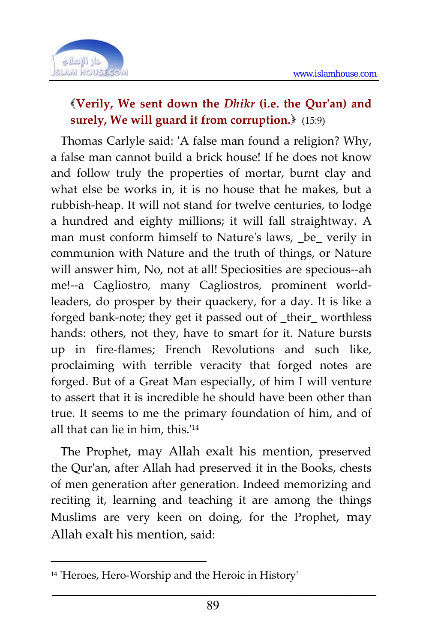

#### **Verily, We sent down the** *Dhikr* **(i.e. the Qurʹan) and surely, We will guard it from corruption.** (15:9)

Thomas Carlyle said: 'A false man found a religion? Why, a false man cannot build a brick house! If he does not know and follow truly the properties of mortar, burnt clay and what else be works in, it is no house that he makes, but a rubbish‐heap. It will not stand for twelve centuries, to lodge a hundred and eighty millions; it will fall str[aig](#page-88-0)htway. A man must conform himself to Nature's laws, be verily in communion with Nature and the truth of things, or Nature will answer him, No, not at all! Speciosities are specious--ah me!--a Cagliostro, many Cagliostros, prominent worldleaders, do prosper by their quackery, for a day. It is like a forged bank-note; they get it passed out of their worthless hands: others, not they, have to smart for it. Nature bursts up in fire‐flames; French Revolutions and such like, proclaiming with terrible veracity that forged notes are forged. But of a Great Man especially, of him I will venture to assert that it is incredible he should have been other than true. It seems to me the primary foundation of him, and of all that can lie in him, this.'<sup>14</sup>

The Prophet, may Allah exalt his mention, preserved the Qur'an, after Allah had preserved it in the Books, chests of men generation after generation. Indeed memorizing and reciting it, learning and teaching it are among the things Muslims are very keen on doing, for the Prophet, may Allah exalt his mention, said:

<span id="page-88-0"></span><sup>&</sup>lt;sup>14</sup> 'Heroes, Hero-Worship and the Heroic in History'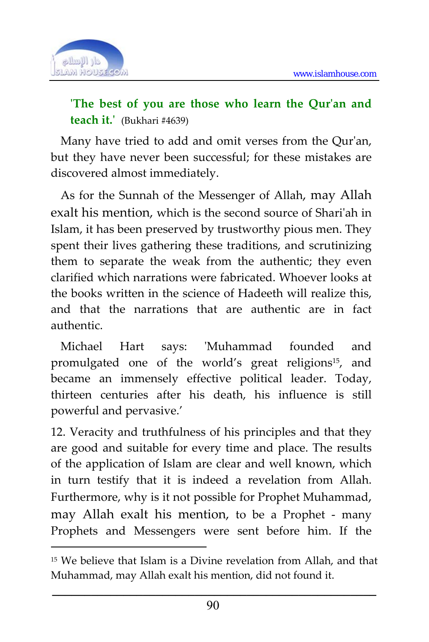

 $\overline{a}$ 

### **ʹThe best of you are those who learn the Qurʹan and teach it.ʹ** (Bukhari #4639)

Many have tried to add and omit verses from the Qur'an, but they have never been successful; for these mistakes are discovered almost immediately.

As for the Sunnah of the Messenger of Allah, may Allah exalt his mention, which is the second source of Shariʹah in Islam, it has been preserved by trustworthy pious men. They spent their lives gathering these traditions, and scrutinizing them to separate the weak from the authentic; they even clarified which narrations were fabricated. Whoever looks at the books written in the science of Hadeeth will realize this, and that the narrations that are authentic are in fact authentic.

Michael Hart says: 'Muhammad founded and promulgated one of the world's great religions<sup>15</sup>, and became an immensely effective political leader. Today, thirteen centuries after his death, his influence is still powerful and pervasive.'

12. Veracity and truthfulness of his principles and that they are good and suitable for every time and place. The results of the application of Islam are clear and well known, which in turn testify that it is indeed a revelation from Allah. Furthermore, why is it not possible for Prophet Muhammad, may Allah exalt his mention, to be a Prophet - many Prophets and Messengers were sent before him. If the

<sup>15</sup> We believe that Islam is a Divine revelation from Allah, and that Muhammad, may Allah exalt his mention, did not found it.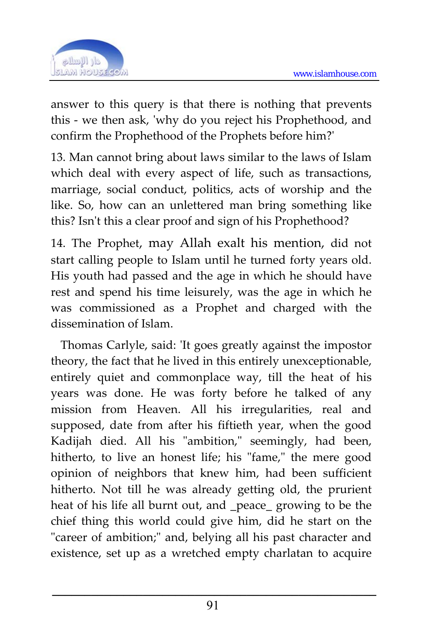

answer to this query is that there is nothing that prevents this - we then ask, 'why do you reject his Prophethood, and confirm the Prophethood of the Prophets before him?ʹ

13. Man cannot bring about laws similar to the laws of Islam which deal with every aspect of life, such as transactions, marriage, social conduct, politics, acts of worship and the like. So, how can an unlettered man bring something like this? Isn't this a clear proof and sign of his Prophethood?

14. The Prophet, may Allah exalt his mention, did not start calling people to Islam until he turned forty years old. His youth had passed and the age in which he should have rest and spend his time leisurely, was the age in which he was commissioned as a Prophet and charged with the dissemination of Islam.

Thomas Carlyle, said: 'It goes greatly against the impostor theory, the fact that he lived in this entirely unexceptionable, entirely quiet and commonplace way, till the heat of his years was done. He was forty before he talked of any mission from Heaven. All his irregularities, real and supposed, date from after his fiftieth year, when the good Kadijah died. All his "ambition," seemingly, had been, hitherto, to live an honest life; his "fame," the mere good opinion of neighbors that knew him, had been sufficient hitherto. Not till he was already getting old, the prurient heat of his life all burnt out, and \_peace\_ growing to be the chief thing this world could give him, did he start on the "career of ambition;" and, belying all his past character and existence, set up as a wretched empty charlatan to acquire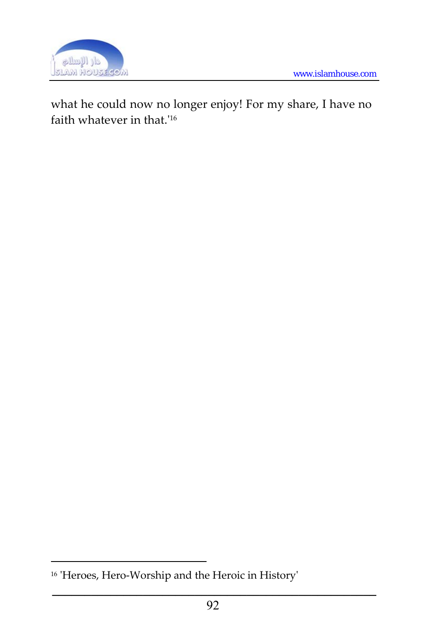

what he could now no longer enjoy! For my share, I have no faith whatever in that.' $^{\rm 16}$ 

<sup>&</sup>lt;sup>16</sup> 'Heroes, Hero-Worship and the Heroic in History'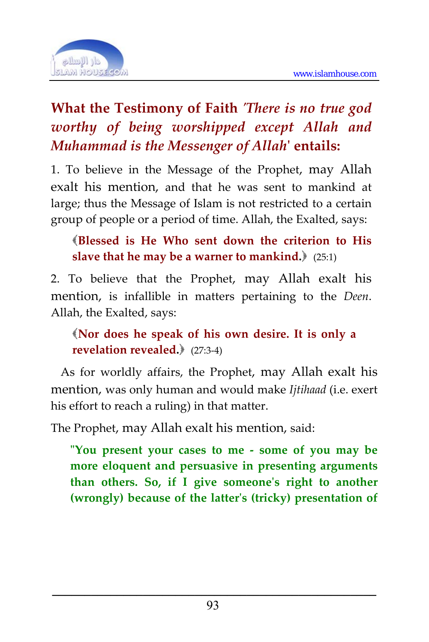

# **What the Testimony of Faith** *ʹThere is no true god worthy of being worshipped except Allah and Muhammad is the Messenger of Allah***ʹ entails:**

1. To believe in the Message of the Prophet, may Allah exalt his mention, and that he was sent to mankind at large; thus the Message of Islam is not restricted to a certain group of people or a period of time. Allah, the Exalted, says:

**Blessed is He Who sent down the criterion to His slave that he may be a warner to mankind.** (25:1)

2. To believe that the Prophet, may Allah exalt his mention, is infallible in matters pertaining to the *Deen*. Allah, the Exalted, says:

**Nor does he speak of his own desire. It is only a revelation revealed.** (27:3‐4)

As for worldly affairs, the Prophet, may Allah exalt his mention, was only human and would make *Ijtihaad* (i.e. exert his effort to reach a ruling) in that matter.

The Prophet, may Allah exalt his mention, said:

**ʺYou present your cases to me ‐ some of you may be more eloquent and persuasive in presenting arguments than others. So, if I give someoneʹs right to another (wrongly) because of the latterʹs (tricky) presentation of**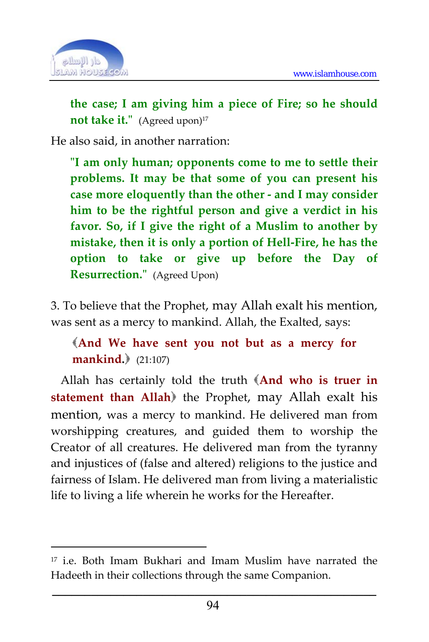

 $\overline{a}$ 

**the case; I am giving him a piece of Fire; so he should not take it.**<sup>*''*</sup> (Agreed upon)<sup>17</sup>

He also said, in another narration:

**ʺI am only human; opponents come to me to settle their problems. It may be that some of you can present his case more eloquently than the other ‐ and I may consider him to be the rightful person and give a verdict in his favor. So, if I give the right of a Muslim to another by mistake, then it is only a portion of Hell‐Fire, he has the option to take or give up before the Day of Resurrection.**<sup>*''*</sup> (Agreed Upon)

3. To believe that the Prophet, may Allah exalt his mention, was sent as a mercy to mankind. Allah, the Exalted, says:

**And We have sent you not but as a mercy for mankind.** (21:107)

Allah has certainly told the truth **And who is truer in statement than Allah**) the Prophet, may Allah exalt his mention, was a mercy to mankind. He delivered man from worshipping creatures, and guided them to worship the Creator of all creatures. He delivered man from the tyranny and injustices of (false and altered) religions to the justice and fairness of Islam. He delivered man from living a materialistic life to living a life wherein he works for the Hereafter.

<sup>17</sup> i.e. Both Imam Bukhari and Imam Muslim have narrated the Hadeeth in their collections through the same Companion.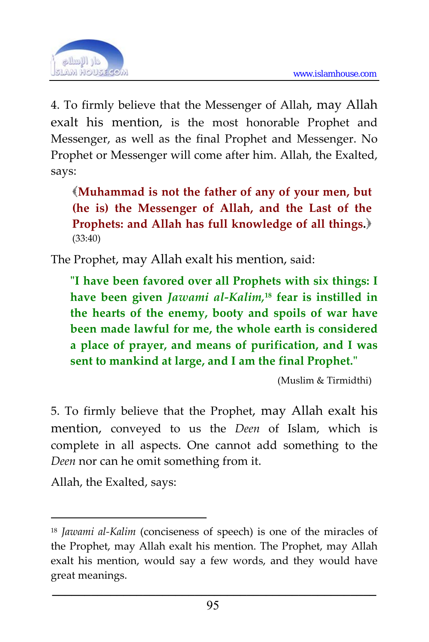

4. To firmly believe that the Messenger of Allah, may Allah exalt his mention, is the most honorable Prophet and Messenger, as well as the final Prophet and Messenger. No Prophet or Messenger will come after him. Allah, the Exalted, says:

**Muhammad is not the father of any of your men, but (he is) the Messenger of Allah, and the Last of the Prophets: and Allah has full knowledge of all things.** (33:40)

The Prophet, may Allah exalt his mention, said:

**ʺI have been favored over all Prophets with six things: I have been given** *Jawami al‐Kalim,***<sup>18</sup> fear is instilled in the hearts of the enemy, booty and spoils of war have been made lawful for me, the whole earth is considered a place of prayer, and means of purification, and I was sent to mankind at large, and I am the final Prophet.ʺ**

(Muslim & Tirmidthi)

5. To firmly believe that the Prophet, may Allah exalt his mention, conveyed to us the *Deen* of Islam, which is complete in all aspects. One cannot add something to the *Deen* nor can he omit something from it.

Allah, the Exalted, says:

<sup>18</sup> *Jawami al‐Kalim* (conciseness of speech) is one of the miracles of the Prophet, may Allah exalt his mention. The Prophet, may Allah exalt his mention, would say a few words, and they would have great meanings.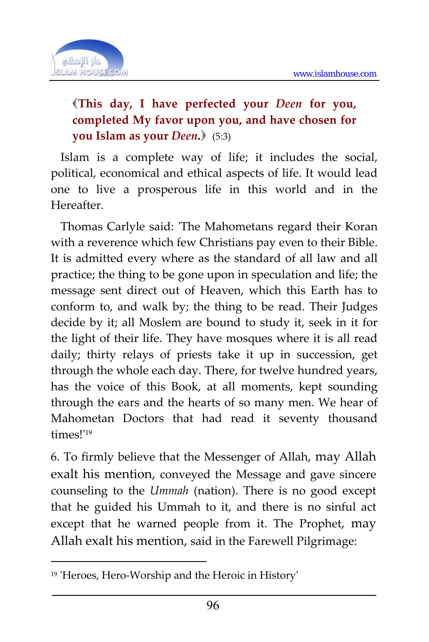

## **This day, I have perfected your** *Deen* **for you, completed My favor upon you, and have chosen for you Islam as your** *Deen***.** (5:3)

Islam is a complete way of life; it includes the social, political, economical and ethical aspects of life. It would lead one to live a prosperous life in this world and in the Hereafter.

Thomas Carlyle said: 'The [M](#page-95-0)ahometans regard their Koran with a reverence which few Christians pay even to their Bible. It is admitted every where as the standard of all law and all practice; the thing to be gone upon in speculation and life; the message sent direct out of Heaven, which this Earth has to conform to, and walk by; the thing to be read. Their Judges decide by it; all Moslem are bound to study it, seek in it for the light of their life. They have mosques where it is all read daily; thirty relays of priests take it up in succession, get through the whole each day. There, for twelve hundred years, has the voice of this Book, at all moments, kept sounding through the ears and the hearts of so many men. We hear of Mahometan Doctors that had read it seventy thousand times!ʹ <sup>19</sup>

6. To firmly believe that the Messenger of Allah, may Allah exalt his mention, conveyed the Message and gave sincere counseling to the *Ummah* (nation). There is no good except that he guided his Ummah to it, and there is no sinful act except that he warned people from it. The Prophet, may Allah exalt his mention, said in the Farewell Pilgrimage:

<span id="page-95-0"></span><sup>&</sup>lt;sup>19</sup> 'Heroes, Hero-Worship and the Heroic in History'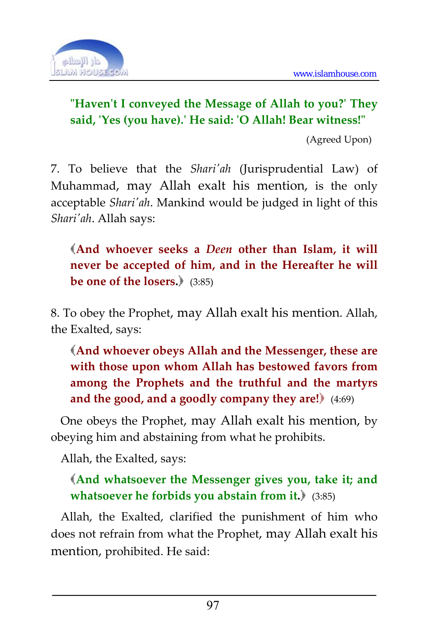

## **ʺHavenʹt I conveyed the Message of Allah to you?ʹ They said, ʹYes (you have).ʹ He said: ʹO Allah! Bear witness!ʺ**

(Agreed Upon)

7. To believe that the *Shariʹah* (Jurisprudential Law) of Muhammad, may Allah exalt his mention, is the only acceptable *Shariʹah*. Mankind would be judged in light of this *Shariʹah*. Allah says:

**And whoever seeks a** *Deen* **other than Islam, it will never be accepted of him, and in the Hereafter he will be one of the losers.** (3:85)

8. To obey the Prophet, may Allah exalt his mention. Allah, the Exalted, says:

**And whoever obeys Allah and the Messenger, these are with those upon whom Allah has bestowed favors from among the Prophets and the truthful and the martyrs and the good, and a goodly company they are!** (4:69)

One obeys the Prophet, may Allah exalt his mention, by obeying him and abstaining from what he prohibits.

Allah, the Exalted, says:

ِ**And whatsoever the Messenger gives you, take it; and whatsoever he forbids you abstain from it.** (3:85)

Allah, the Exalted, clarified the punishment of him who does not refrain from what the Prophet, may Allah exalt his mention, prohibited. He said: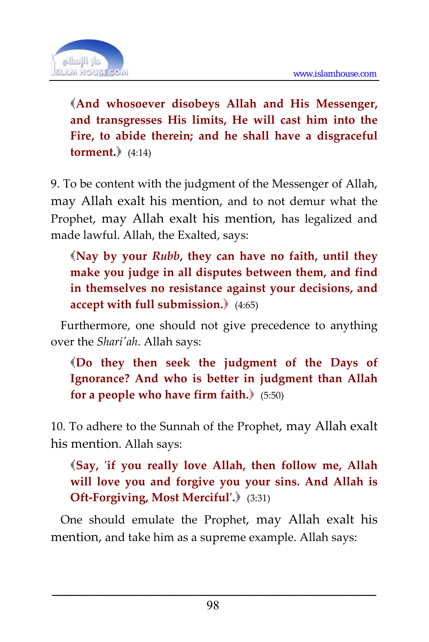

**And whosoever disobeys Allah and His Messenger, and transgresses His limits, He will cast him into the Fire, to abide therein; and he shall have a disgraceful torment.** (4:14)

9. To be content with the judgment of the Messenger of Allah, may Allah exalt his mention, and to not demur what the Prophet, may Allah exalt his mention, has legalized and made lawful. Allah, the Exalted, says:

**Nay by your** *Rubb***, they can have no faith, until they make you judge in all disputes between them, and find in themselves no resistance against your decisions, and accept with full submission.** (4:65)

Furthermore, one should not give precedence to anything over the *Shariʹah*. Allah says:

**Do they then seek the judgment of the Days of Ignorance? And who is better in judgment than Allah for a people who have firm faith.** (5:50)

10. To adhere to the Sunnah of the Prophet, may Allah exalt his mention. Allah says:

**Say, ʹif you really love Allah, then follow me, Allah will love you and forgive you your sins. And Allah is Oft‐Forgiving, Most Mercifulʹ.** (3:31)

One should emulate the Prophet, may Allah exalt his mention, and take him as a supreme example. Allah says: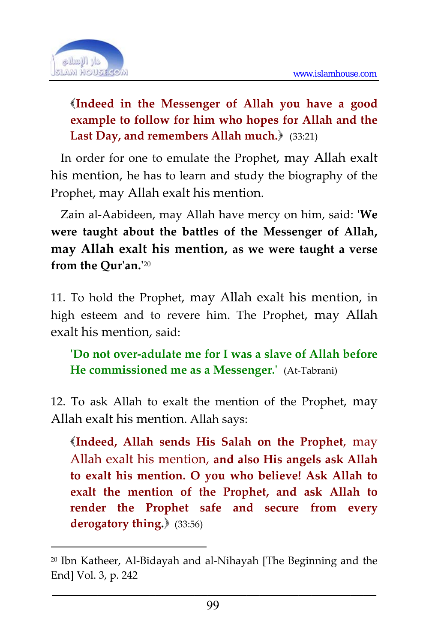

 $\overline{a}$ 

**Indeed in the Messenger of Allah you have a good example to follow for him who hopes for Allah and the Last Day, and remembers Allah much.** (33:21)

In order for one to emulate the Prophet, may Allah exalt his mention, he has to learn and study the biography of the Prophet, may Allah exalt his mention.

Zain al‐Aabideen, may Allah have mercy on him, said: **ʹWe were taught about the battles of the Messenger of Allah, may Allah exalt his mention, as we were taught a verse from the Qurʹan.ʹ** <sup>20</sup>

11. To hold the Prophet, may Allah exalt his mention, in high esteem and to revere him. The Prophet, may Allah exalt his mention, said:

**ʹDo not over‐adulate me for I was a slave of Allah before He commissioned me as a Messenger.ʹ** (At‐Tabrani)

12. To ask Allah to exalt the mention of the Prophet, may Allah exalt his mention. Allah says:

**Indeed, Allah sends His Salah on the Prophet**, may Allah exalt his mention, **and also His angels ask Allah to exalt his mention. O you who believe! Ask Allah to exalt the mention of the Prophet, and ask Allah to render the Prophet safe and secure from every derogatory thing.** (33:56)

<sup>20</sup> Ibn Katheer, Al‐Bidayah and al‐Nihayah [The Beginning and the End] Vol. 3, p. 242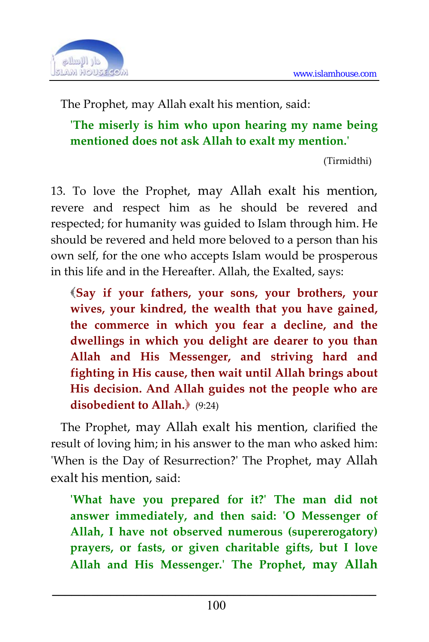

The Prophet, may Allah exalt his mention, said:

#### **ʹThe miserly is him who upon hearing my name being mentioned does not ask Allah to exalt my mention.ʹ**

(Tirmidthi)

13. To love the Prophet, may Allah exalt his mention, revere and respect him as he should be revered and respected; for humanity was guided to Islam through him. He should be revered and held more beloved to a person than his own self, for the one who accepts Islam would be prosperous in this life and in the Hereafter. Allah, the Exalted, says:

**Say if your fathers, your sons, your brothers, your wives, your kindred, the wealth that you have gained, the commerce in which you fear a decline, and the dwellings in which you delight are dearer to you than Allah and His Messenger, and striving hard and fighting in His cause, then wait until Allah brings about His decision. And Allah guides not the people who are disobedient to Allah.** (9:24)

The Prophet, may Allah exalt his mention, clarified the result of loving him; in his answer to the man who asked him: ʹWhen is the Day of Resurrection?ʹ The Prophet, may Allah exalt his mention, said:

**ʹWhat have you prepared for it?ʹ The man did not answer immediately, and then said: ʹO Messenger of Allah, I have not observed numerous (supererogatory) prayers, or fasts, or given charitable gifts, but I love Allah and His Messenger.ʹ The Prophet, may Allah**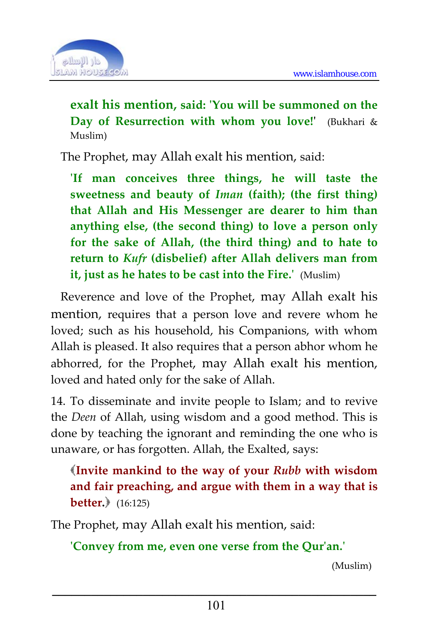

**exalt his mention, said: ʹYou will be summoned on the Day of Resurrection with whom you love!ʹ** (Bukhari & Muslim)

The Prophet, may Allah exalt his mention, said:

**ʹIf man conceives three things, he will taste the sweetness and beauty of** *Iman* **(faith); (the first thing) that Allah and His Messenger are dearer to him than anything else, (the second thing) to love a person only for the sake of Allah, (the third thing) and to hate to return to** *Kufr* **(disbelief) after Allah delivers man from it, just as he hates to be cast into the Fire.ʹ** (Muslim)

Reverence and love of the Prophet, may Allah exalt his mention, requires that a person love and revere whom he loved; such as his household, his Companions, with whom Allah is pleased. It also requires that a person abhor whom he abhorred, for the Prophet, may Allah exalt his mention, loved and hated only for the sake of Allah.

14. To disseminate and invite people to Islam; and to revive the *Deen* of Allah, using wisdom and a good method. This is done by teaching the ignorant and reminding the one who is unaware, or has forgotten. Allah, the Exalted, says:

**Invite mankind to the way of your** *Rubb* **with wisdom and fair preaching, and argue with them in a way that is better.** (16:125)

The Prophet, may Allah exalt his mention, said:

**ʹConvey from me, even one verse from the Qurʹan.ʹ**

(Muslim)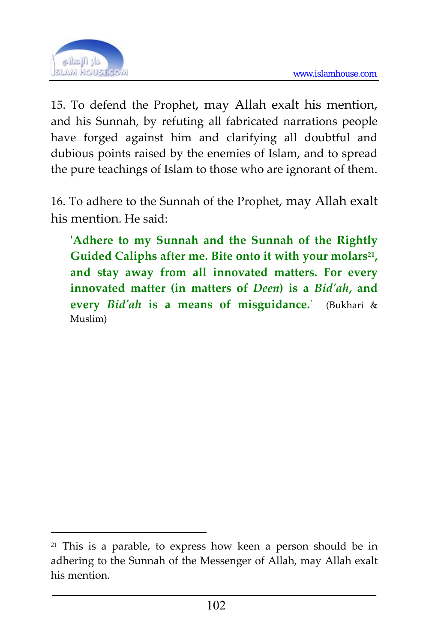

 $\overline{a}$ 

15. To defend the Prophet, may Allah exalt his mention, and his Sunnah, by refuting all fabricated narrations people have forged against him and clarifying all doubtful and dubious points raised by the enemies of Islam, and to spread the pure teachings of Islam to those who are ignorant of them.

16. To adhere to the Sunnah of the Prophet, may Allah exalt his mention. He said:

**ʹAdhere to my Sunnah and the Sunnah of the Rightly Guided Caliphs after me. Bite onto it with your molars21, and stay away from all innovated matters. For every innovated matter (in matters of** *Deen***) is a** *Bidʹah***, and every** *Bidʹah* **is a means of misguidance.**ʹ (Bukhari & Muslim)

 $21$  This is a parable, to express how keen a person should be in adhering to the Sunnah of the Messenger of Allah, may Allah exalt his mention.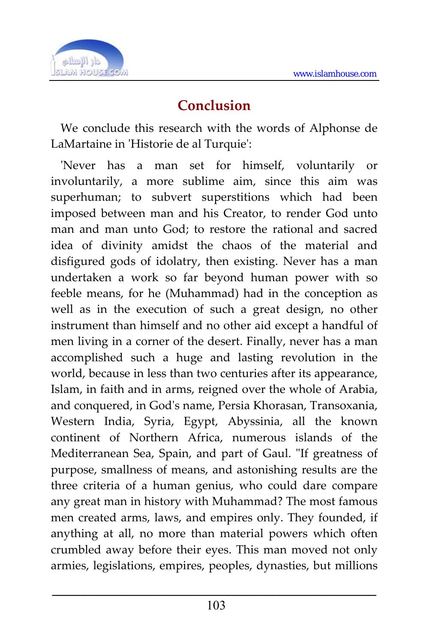

# **Conclusion**

We conclude this research with the words of Alphonse de LaMartaine in 'Historie de al Turquie':

ʹNever has a man set for himself, voluntarily or involuntarily, a more sublime aim, since this aim was superhuman; to subvert superstitions which had been imposed between man and his Creator, to render God unto man and man unto God; to restore the rational and sacred idea of divinity amidst the chaos of the material and disfigured gods of idolatry, then existing. Never has a man undertaken a work so far beyond human power with so feeble means, for he (Muhammad) had in the conception as well as in the execution of such a great design, no other instrument than himself and no other aid except a handful of men living in a corner of the desert. Finally, never has a man accomplished such a huge and lasting revolution in the world, because in less than two centuries after its appearance, Islam, in faith and in arms, reigned over the whole of Arabia, and conquered, in Godʹs name, Persia Khorasan, Transoxania, Western India, Syria, Egypt, Abyssinia, all the known continent of Northern Africa, numerous islands of the Mediterranean Sea, Spain, and part of Gaul. "If greatness of purpose, smallness of means, and astonishing results are the three criteria of a human genius, who could dare compare any great man in history with Muhammad? The most famous men created arms, laws, and empires only. They founded, if anything at all, no more than material powers which often crumbled away before their eyes. This man moved not only armies, legislations, empires, peoples, dynasties, but millions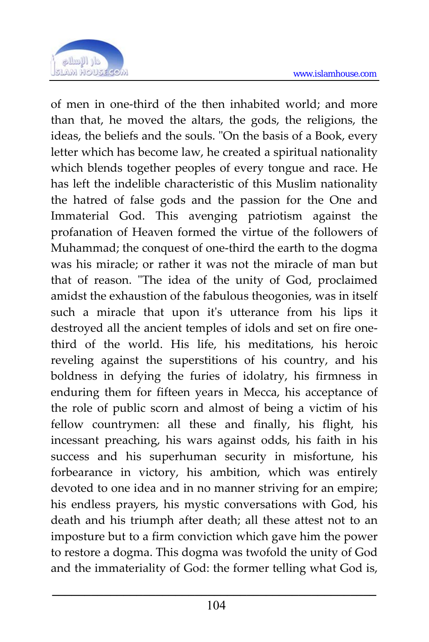

of men in one‐third of the then inhabited world; and more than that, he moved the altars, the gods, the religions, the ideas, the beliefs and the souls. "On the basis of a Book, every letter which has become law, he created a spiritual nationality which blends together peoples of every tongue and race. He has left the indelible characteristic of this Muslim nationality the hatred of false gods and the passion for the One and Immaterial God. This avenging patriotism against the profanation of Heaven formed the virtue of the followers of Muhammad; the conquest of one‐third the earth to the dogma was his miracle; or rather it was not the miracle of man but that of reason. "The idea of the unity of God, proclaimed amidst the exhaustion of the fabulous theogonies, was in itself such a miracle that upon it's utterance from his lips it destroyed all the ancient temples of idols and set on fire onethird of the world. His life, his meditations, his heroic reveling against the superstitions of his country, and his boldness in defying the furies of idolatry, his firmness in enduring them for fifteen years in Mecca, his acceptance of the role of public scorn and almost of being a victim of his fellow countrymen: all these and finally, his flight, his incessant preaching, his wars against odds, his faith in his success and his superhuman security in misfortune, his forbearance in victory, his ambition, which was entirely devoted to one idea and in no manner striving for an empire; his endless prayers, his mystic conversations with God, his death and his triumph after death; all these attest not to an imposture but to a firm conviction which gave him the power to restore a dogma. This dogma was twofold the unity of God and the immateriality of God: the former telling what God is,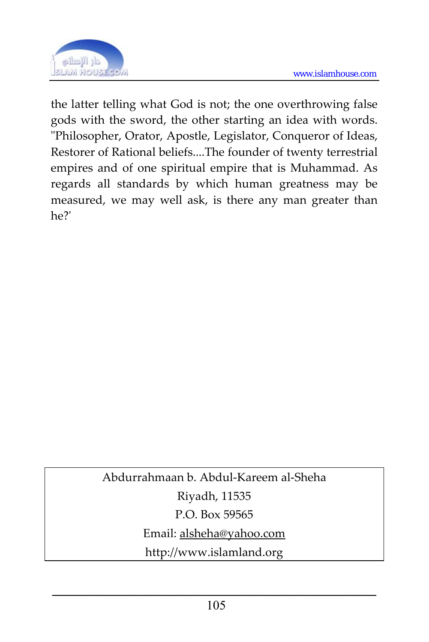

the latter telling what God is not; the one overthrowing false gods with the sword, the other starting an idea with words. ʺPhilosopher, Orator, Apostle, Legislator, Conqueror of Ideas, Restorer of Rational beliefs....The founder of twenty terrestrial empires and of one spiritual empire that is Muhammad. As regards all standards by which human greatness may be measured, we may well ask, is there any man greater than  $he$ ?'

> Abdurrahmaan b. Abdul‐Kareem al‐Sheha Riyadh, 11535 P.O. Box 59565 Email: [alsheha@yahoo.com](mailto:alsheh@yahoo.com) http://www.islamland.org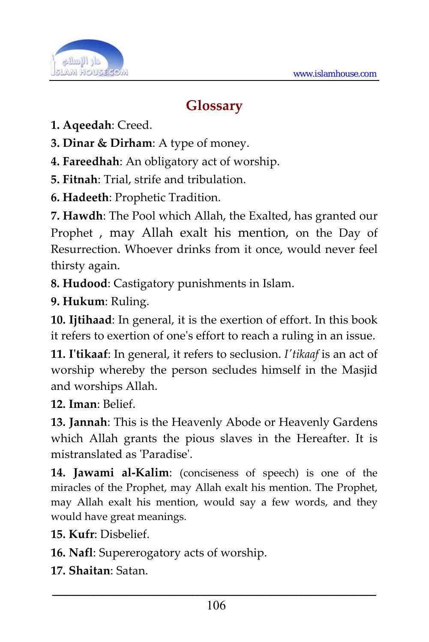

# **Glossary**

- **1. Aqeedah**: Creed.
- **3. Dinar & Dirham**: A type of money.
- **4. Fareedhah**: An obligatory act of worship.
- **5. Fitnah**: Trial, strife and tribulation.
- **6. Hadeeth**: Prophetic Tradition.

**7. Hawdh**: The Pool which Allah, the Exalted, has granted our Prophet , may Allah exalt his mention, on the Day of Resurrection. Whoever drinks from it once, would never feel thirsty again.

**8. Hudood**: Castigatory punishments in Islam.

**9. Hukum**: Ruling.

**10. Ijtihaad**: In general, it is the exertion of effort. In this book it refers to exertion of oneʹs effort to reach a ruling in an issue.

**11. Iʹtikaaf**: In general, it refers to seclusion. *Iʹtikaaf* is an act of worship whereby the person secludes himself in the Masjid and worships Allah.

**12. Iman**: Belief.

**13. Jannah**: This is the Heavenly Abode or Heavenly Gardens which Allah grants the pious slaves in the Hereafter. It is mistranslated as 'Paradise'.

**14. Jawami al‐Kalim**: (conciseness of speech) is one of the miracles of the Prophet, may Allah exalt his mention. The Prophet, may Allah exalt his mention, would say a few words, and they would have great meanings.

**15. Kufr**: Disbelief.

**16. Nafl**: Supererogatory acts of worship.

**17. Shaitan**: Satan.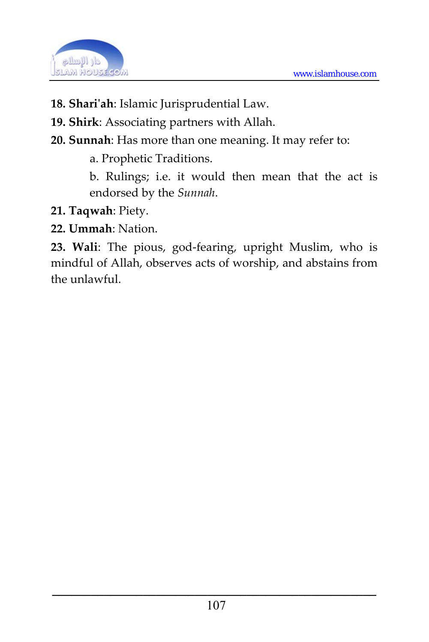

- **18. Shariʹah**: Islamic Jurisprudential Law.
- **19. Shirk**: Associating partners with Allah.
- **20. Sunnah**: Has more than one meaning. It may refer to:
	- a. Prophetic Traditions.
	- b. Rulings; i.e. it would then mean that the act is endorsed by the *Sunnah*.
- **21. Taqwah**: Piety.
- **22. Ummah**: Nation.
- **23. Wali**: The pious, god‐fearing, upright Muslim, who is mindful of Allah, observes acts of worship, and abstains from the unlawful.